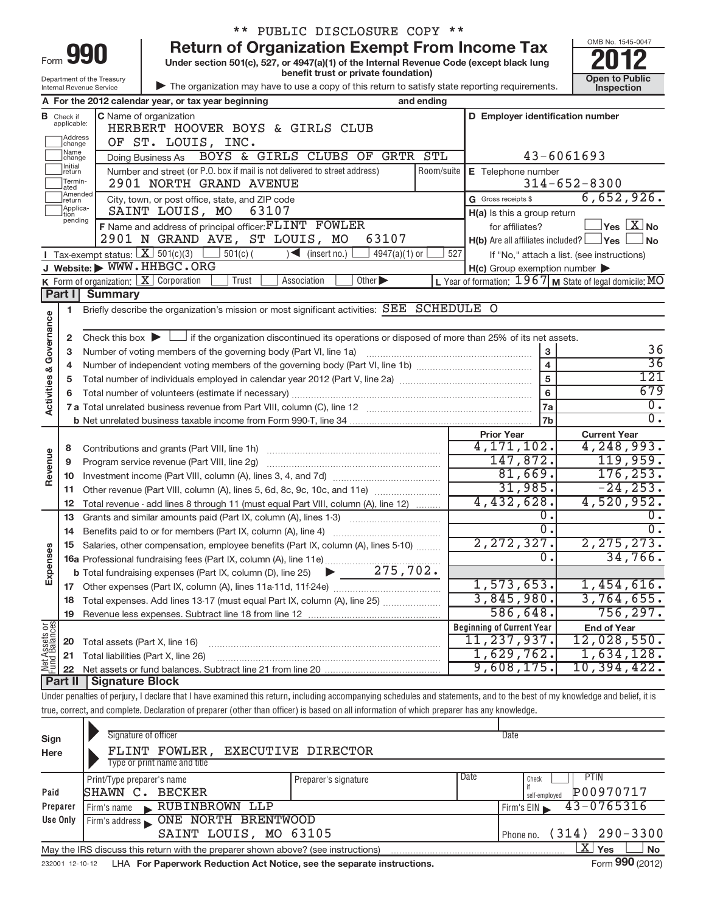|                                |                             |                                                        | ** PUBLIC DISCLOSURE COPY **                                                                                                                                                              |            |                                                     |                                                           |
|--------------------------------|-----------------------------|--------------------------------------------------------|-------------------------------------------------------------------------------------------------------------------------------------------------------------------------------------------|------------|-----------------------------------------------------|-----------------------------------------------------------|
|                                |                             |                                                        | <b>Return of Organization Exempt From Income Tax</b>                                                                                                                                      |            |                                                     | OMB No. 1545-0047                                         |
| Form 990                       |                             |                                                        | Under section 501(c), 527, or 4947(a)(1) of the Internal Revenue Code (except black lung<br>benefit trust or private foundation)                                                          |            |                                                     |                                                           |
|                                |                             | Department of the Treasury<br>Internal Revenue Service | The organization may have to use a copy of this return to satisfy state reporting requirements.                                                                                           |            |                                                     | Open to Public<br>Inspection                              |
|                                |                             |                                                        | and ending<br>A For the 2012 calendar year, or tax year beginning                                                                                                                         |            |                                                     |                                                           |
|                                | <b>B</b> Check if           |                                                        | C Name of organization                                                                                                                                                                    |            | D Employer identification number                    |                                                           |
|                                | applicable:                 |                                                        | HERBERT HOOVER BOYS & GIRLS CLUB                                                                                                                                                          |            |                                                     |                                                           |
|                                | Address<br>change           |                                                        | OF ST. LOUIS, INC.                                                                                                                                                                        |            |                                                     |                                                           |
|                                | Name<br>change              |                                                        | BOYS & GIRLS CLUBS OF GRTR STL<br>Doing Business As                                                                                                                                       |            |                                                     | $43 - 6061693$                                            |
|                                | <b>Initial</b><br>return    |                                                        | Number and street (or P.O. box if mail is not delivered to street address)                                                                                                                | Room/suite | E Telephone number                                  |                                                           |
|                                | Termin-<br>lated            |                                                        | 2901 NORTH GRAND AVENUE                                                                                                                                                                   |            |                                                     | $314 - 652 - 8300$                                        |
|                                | Amended<br>return           |                                                        | City, town, or post office, state, and ZIP code                                                                                                                                           |            | G Gross receipts \$                                 | 6,652,926.                                                |
|                                | Applica-<br>tion<br>pending |                                                        | SAINT LOUIS, MO<br>63107                                                                                                                                                                  |            | H(a) Is this a group return                         |                                                           |
|                                |                             |                                                        | F Name and address of principal officer: FLINT FOWLER                                                                                                                                     |            | for affiliates?                                     | $\overline{\ }$ Yes $\overline{\rm X}$ No                 |
|                                |                             |                                                        | 2901 N GRAND AVE, ST LOUIS, MO<br>63107                                                                                                                                                   |            | $H(b)$ Are all affiliates included? $\Box$ Yes      | No                                                        |
|                                |                             | <b>I</b> Tax-exempt status: $X \over 301(c)(3)$        | $501(c)$ (<br>$\sqrt{\frac{1}{1}}$ (insert no.)<br>$4947(a)(1)$ or<br>J Website: WWW.HHBGC.ORG                                                                                            | 527        |                                                     | If "No," attach a list. (see instructions)                |
|                                |                             | K Form of organization: $X$ Corporation                | Trust<br>Association<br>Other $\blacktriangleright$                                                                                                                                       |            | $H(c)$ Group exemption number $\blacktriangleright$ | L Year of formation: $1967$ M State of legal domicile: MO |
|                                | Part I                      | <b>Summary</b>                                         |                                                                                                                                                                                           |            |                                                     |                                                           |
|                                | 1.                          |                                                        | Briefly describe the organization's mission or most significant activities: SEE SCHEDULE O                                                                                                |            |                                                     |                                                           |
|                                |                             |                                                        |                                                                                                                                                                                           |            |                                                     |                                                           |
|                                | 2                           |                                                        | Check this box $\blacktriangleright$ $\Box$ if the organization discontinued its operations or disposed of more than 25% of its net assets.                                               |            |                                                     |                                                           |
|                                | З                           |                                                        | Number of voting members of the governing body (Part VI, line 1a)                                                                                                                         |            | 3                                                   | 36                                                        |
|                                | 4                           |                                                        |                                                                                                                                                                                           |            | $\overline{\mathbf{4}}$                             | $\overline{36}$                                           |
|                                | 5                           |                                                        |                                                                                                                                                                                           |            | 5                                                   | 121                                                       |
|                                | 6                           |                                                        |                                                                                                                                                                                           |            | 6                                                   | 679                                                       |
| Activities & Governance        |                             |                                                        |                                                                                                                                                                                           |            | 7a                                                  | $\overline{0}$ .                                          |
|                                |                             |                                                        |                                                                                                                                                                                           |            | 7b                                                  | $\overline{0}$ .                                          |
|                                |                             |                                                        |                                                                                                                                                                                           |            | <b>Prior Year</b>                                   | <b>Current Year</b>                                       |
|                                | 8                           |                                                        | Contributions and grants (Part VIII, line 1h)                                                                                                                                             |            | 4,171,102.                                          | 4,248,993.                                                |
|                                | 9                           |                                                        | Program service revenue (Part VIII, line 2g)                                                                                                                                              |            | 147,872.                                            | 119,959.                                                  |
| Revenue                        | 10                          |                                                        |                                                                                                                                                                                           |            | 81,669.                                             | 176, 253.                                                 |
|                                | 11                          |                                                        | Other revenue (Part VIII, column (A), lines 5, 6d, 8c, 9c, 10c, and 11e)                                                                                                                  |            | 31,985.                                             | $-24, 253.$                                               |
|                                | 12                          |                                                        | Total revenue - add lines 8 through 11 (must equal Part VIII, column (A), line 12)                                                                                                        |            | 4,432,628.                                          | 4,520,952.                                                |
|                                | 13                          |                                                        | Grants and similar amounts paid (Part IX, column (A), lines 1-3)<br><u> 1986 - Johann Stoff, deutscher Stoff, deutscher Stoff, deutscher Stoff, der Stoff, der Stoff, der Stoff, der </u> |            | 0.                                                  | 0.                                                        |
|                                | 14                          |                                                        | Benefits paid to or for members (Part IX, column (A), line 4)                                                                                                                             |            | $\overline{0}$ .                                    | $\overline{0}$ .                                          |
|                                | 15                          |                                                        | Salaries, other compensation, employee benefits (Part IX, column (A), lines 5-10)                                                                                                         |            | 2,272,327.<br>0.                                    | 2,275,273.<br>34,766.                                     |
|                                |                             |                                                        |                                                                                                                                                                                           |            |                                                     |                                                           |
| Expenses                       |                             |                                                        |                                                                                                                                                                                           |            | 1,573,653.                                          | 1,454,616.                                                |
|                                | 17                          |                                                        |                                                                                                                                                                                           |            | 3,845,980.                                          | 3,764,655.                                                |
|                                | 18<br>19                    |                                                        | Total expenses. Add lines 13-17 (must equal Part IX, column (A), line 25)                                                                                                                 |            | 586,648.                                            | 756, 297.                                                 |
|                                |                             |                                                        |                                                                                                                                                                                           |            | <b>Beginning of Current Year</b>                    | <b>End of Year</b>                                        |
| Net Assets or<br>Fund Balances | 20                          | Total assets (Part X, line 16)                         |                                                                                                                                                                                           |            | 11,237,937.                                         | 12,028,550.                                               |
|                                | 21                          |                                                        | Total liabilities (Part X, line 26)                                                                                                                                                       |            | 1,629,762.                                          | 1,634,128.                                                |
|                                | 22                          |                                                        |                                                                                                                                                                                           |            | 9,608,175.                                          | 10, 394, 422.                                             |
|                                | <b>Part II</b>              | <b>Signature Block</b>                                 |                                                                                                                                                                                           |            |                                                     |                                                           |
|                                |                             |                                                        | Under penalties of perjury, I declare that I have examined this return, including accompanying schedules and statements, and to the best of my knowledge and belief, it is                |            |                                                     |                                                           |
|                                |                             |                                                        | true, correct, and complete. Declaration of preparer (other than officer) is based on all information of which preparer has any knowledge.                                                |            |                                                     |                                                           |
|                                |                             |                                                        |                                                                                                                                                                                           |            |                                                     |                                                           |

| Sign            | Signature of officer                                                                                                         |                      |      | Date                           |  |  |  |  |  |
|-----------------|------------------------------------------------------------------------------------------------------------------------------|----------------------|------|--------------------------------|--|--|--|--|--|
| Here            | FLINT FOWLER, EXECUTIVE DIRECTOR                                                                                             |                      |      |                                |  |  |  |  |  |
|                 | Type or print name and title                                                                                                 |                      |      |                                |  |  |  |  |  |
|                 | Print/Type preparer's name                                                                                                   | Preparer's signature | Date | PTIN<br>Check                  |  |  |  |  |  |
| Paid            | <b>BECKER</b><br>SHAWN C.                                                                                                    |                      |      | P00970717<br>self-emploved     |  |  |  |  |  |
| Preparer        | RUBINBROWN LLP<br>Firm's name<br>$\mathbf{K}$ .                                                                              |                      |      | $43 - 0765316$<br>Firm's $EIN$ |  |  |  |  |  |
| Use Only        | ONE NORTH BRENTWOOD<br>Firm's address                                                                                        |                      |      |                                |  |  |  |  |  |
|                 | SAINT LOUIS, MO 63105                                                                                                        |                      |      | $(314)$ 290-3300<br>Phone no.  |  |  |  |  |  |
|                 | $\mathbf{X}$<br><b>No</b><br><b>Yes</b><br>May the IRS discuss this return with the preparer shown above? (see instructions) |                      |      |                                |  |  |  |  |  |
| 232001 12-10-12 | LHA For Paperwork Reduction Act Notice, see the separate instructions.                                                       |                      |      | Form 990 (2012)                |  |  |  |  |  |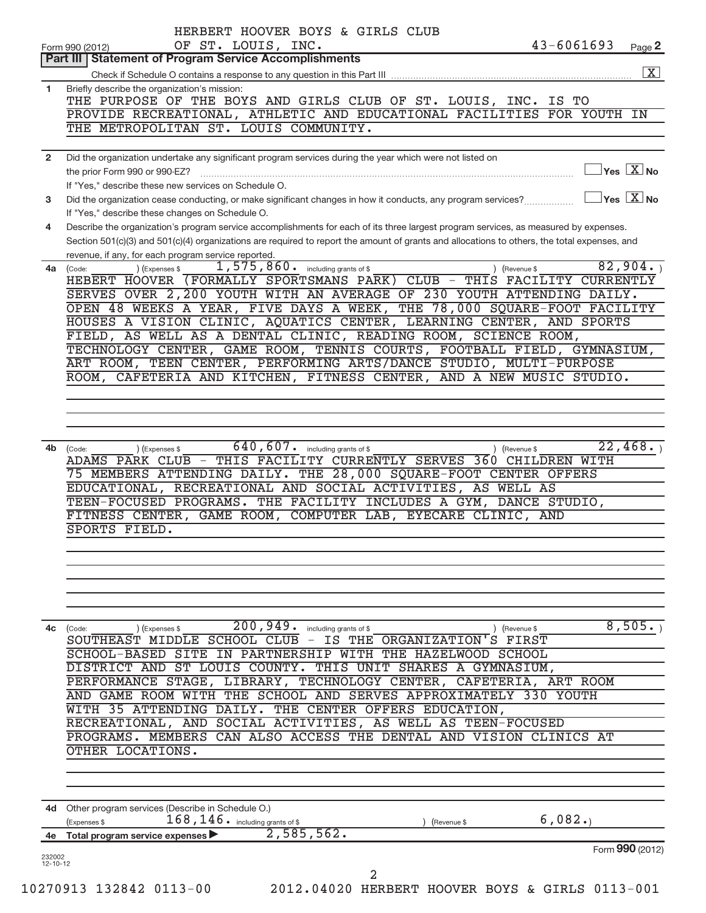| Part III   Statement of Program Service Accomplishments<br>Briefly describe the organization's mission:<br>THE PURPOSE OF THE BOYS AND GIRLS CLUB OF ST. LOUIS, INC. IS TO<br>PROVIDE RECREATIONAL, ATHLETIC AND EDUCATIONAL FACILITIES FOR YOUTH IN<br>THE METROPOLITAN ST. LOUIS COMMUNITY.<br>Did the organization undertake any significant program services during the year which were not listed on<br>$\overline{\ }$ Yes $\overline{\rm X}$ No<br>the prior Form 990 or 990-EZ?<br>If "Yes," describe these new services on Schedule O.<br>$\exists$ Yes $\boxed{\text{X}}$ No<br>Did the organization cease conducting, or make significant changes in how it conducts, any program services?<br>If "Yes," describe these changes on Schedule O.<br>Describe the organization's program service accomplishments for each of its three largest program services, as measured by expenses.<br>Section 501(c)(3) and 501(c)(4) organizations are required to report the amount of grants and allocations to others, the total expenses, and<br>revenue, if any, for each program service reported.<br>82,904.<br>$1,575,860$ . including grants of \$<br>) (Expenses \$<br>4a (Code:<br>) (Revenue \$<br>HEBERT HOOVER (FORMALLY SPORTSMANS PARK) CLUB - THIS FACILITY CURRENTLY<br>SERVES OVER 2,200 YOUTH WITH AN AVERAGE OF 230 YOUTH ATTENDING DAILY.<br>OPEN 48 WEEKS A YEAR, FIVE DAYS A WEEK, THE 78,000 SQUARE-FOOT FACILITY<br>HOUSES A VISION CLINIC, AQUATICS CENTER, LEARNING CENTER, AND SPORTS<br>FIELD, AS WELL AS A DENTAL CLINIC, READING ROOM, SCIENCE ROOM,<br>TECHNOLOGY CENTER, GAME ROOM, TENNIS COURTS, FOOTBALL FIELD, GYMNASIUM,<br>ART ROOM, TEEN CENTER, PERFORMING ARTS/DANCE STUDIO, MULTI-PURPOSE<br>ROOM, CAFETERIA AND KITCHEN, FITNESS CENTER, AND A NEW MUSIC STUDIO.<br>$\overline{640}$ , $\overline{607}$ including grants of \$<br>22,468.<br>4b (Code:<br>(Expenses \$<br>) (Revenue \$<br>ADAMS PARK CLUB - THIS FACILITY CURRENTLY SERVES 360 CHILDREN WITH<br>75 MEMBERS ATTENDING DAILY. THE 28,000 SQUARE-FOOT CENTER OFFERS<br>EDUCATIONAL, RECREATIONAL AND SOCIAL ACTIVITIES, AS WELL AS<br>TEEN-FOCUSED PROGRAMS. THE FACILITY INCLUDES A GYM, DANCE STUDIO,<br>FITNESS CENTER, GAME ROOM, COMPUTER LAB, EYECARE CLINIC, AND<br>SPORTS FIELD.<br>200,949.<br>8,505.<br>including grants of \$<br>(Expenses \$<br>(Revenue \$<br>(Code:<br>SOUTHEAST MIDDLE SCHOOL CLUB<br>$-$ IS THE<br>ORGANIZATION'S FIRST<br><b>SCHOOL-BASED SITE</b><br>PARTNERSHIP WITH<br>THE HAZELWOOD SCHOOL<br>IN<br>DISTRICT AND ST LOUIS COUNTY. THIS UNIT SHARES A GYMNASIUM,<br>PERFORMANCE STAGE, LIBRARY, TECHNOLOGY CENTER, CAFETERIA, ART ROOM<br>AND GAME ROOM WITH THE SCHOOL AND SERVES APPROXIMATELY 330 YOUTH<br>WITH 35 ATTENDING DAILY. THE CENTER OFFERS EDUCATION,<br>RECREATIONAL, AND SOCIAL ACTIVITIES, AS WELL AS TEEN-FOCUSED<br>PROGRAMS. MEMBERS CAN ALSO ACCESS THE DENTAL AND VISION CLINICS AT<br>OTHER LOCATIONS.<br>4d Other program services (Describe in Schedule O.)<br>6,082.<br>$168$ , $146$ $\cdot$ including grants of \$<br>(Expenses \$<br>(Revenue \$<br>2,585,562.<br>Total program service expenses<br>Form 990 (2012) |                          | HERBERT HOOVER BOYS & GIRLS CLUB<br>OF ST. LOUIS, INC.<br>Form 990 (2012) | $43 - 6061693$ | Page 2                  |
|-------------------------------------------------------------------------------------------------------------------------------------------------------------------------------------------------------------------------------------------------------------------------------------------------------------------------------------------------------------------------------------------------------------------------------------------------------------------------------------------------------------------------------------------------------------------------------------------------------------------------------------------------------------------------------------------------------------------------------------------------------------------------------------------------------------------------------------------------------------------------------------------------------------------------------------------------------------------------------------------------------------------------------------------------------------------------------------------------------------------------------------------------------------------------------------------------------------------------------------------------------------------------------------------------------------------------------------------------------------------------------------------------------------------------------------------------------------------------------------------------------------------------------------------------------------------------------------------------------------------------------------------------------------------------------------------------------------------------------------------------------------------------------------------------------------------------------------------------------------------------------------------------------------------------------------------------------------------------------------------------------------------------------------------------------------------------------------------------------------------------------------------------------------------------------------------------------------------------------------------------------------------------------------------------------------------------------------------------------------------------------------------------------------------------------------------------------------------------------------------------------------------------------------------------------------------------------------------------------------------------------------------------------------------------------------------------------------------------------------------------------------------------------------------------------------------------------------------------------------------------------------------------------------------------------------------------------------------------------------------------------------------------------------------------------------------------------------------------------------------------------------------------------------------------------------------------|--------------------------|---------------------------------------------------------------------------|----------------|-------------------------|
|                                                                                                                                                                                                                                                                                                                                                                                                                                                                                                                                                                                                                                                                                                                                                                                                                                                                                                                                                                                                                                                                                                                                                                                                                                                                                                                                                                                                                                                                                                                                                                                                                                                                                                                                                                                                                                                                                                                                                                                                                                                                                                                                                                                                                                                                                                                                                                                                                                                                                                                                                                                                                                                                                                                                                                                                                                                                                                                                                                                                                                                                                                                                                                                                 |                          |                                                                           |                |                         |
|                                                                                                                                                                                                                                                                                                                                                                                                                                                                                                                                                                                                                                                                                                                                                                                                                                                                                                                                                                                                                                                                                                                                                                                                                                                                                                                                                                                                                                                                                                                                                                                                                                                                                                                                                                                                                                                                                                                                                                                                                                                                                                                                                                                                                                                                                                                                                                                                                                                                                                                                                                                                                                                                                                                                                                                                                                                                                                                                                                                                                                                                                                                                                                                                 |                          |                                                                           |                | $\overline{\mathbf{X}}$ |
|                                                                                                                                                                                                                                                                                                                                                                                                                                                                                                                                                                                                                                                                                                                                                                                                                                                                                                                                                                                                                                                                                                                                                                                                                                                                                                                                                                                                                                                                                                                                                                                                                                                                                                                                                                                                                                                                                                                                                                                                                                                                                                                                                                                                                                                                                                                                                                                                                                                                                                                                                                                                                                                                                                                                                                                                                                                                                                                                                                                                                                                                                                                                                                                                 | 1                        |                                                                           |                |                         |
|                                                                                                                                                                                                                                                                                                                                                                                                                                                                                                                                                                                                                                                                                                                                                                                                                                                                                                                                                                                                                                                                                                                                                                                                                                                                                                                                                                                                                                                                                                                                                                                                                                                                                                                                                                                                                                                                                                                                                                                                                                                                                                                                                                                                                                                                                                                                                                                                                                                                                                                                                                                                                                                                                                                                                                                                                                                                                                                                                                                                                                                                                                                                                                                                 |                          |                                                                           |                |                         |
|                                                                                                                                                                                                                                                                                                                                                                                                                                                                                                                                                                                                                                                                                                                                                                                                                                                                                                                                                                                                                                                                                                                                                                                                                                                                                                                                                                                                                                                                                                                                                                                                                                                                                                                                                                                                                                                                                                                                                                                                                                                                                                                                                                                                                                                                                                                                                                                                                                                                                                                                                                                                                                                                                                                                                                                                                                                                                                                                                                                                                                                                                                                                                                                                 |                          |                                                                           |                |                         |
|                                                                                                                                                                                                                                                                                                                                                                                                                                                                                                                                                                                                                                                                                                                                                                                                                                                                                                                                                                                                                                                                                                                                                                                                                                                                                                                                                                                                                                                                                                                                                                                                                                                                                                                                                                                                                                                                                                                                                                                                                                                                                                                                                                                                                                                                                                                                                                                                                                                                                                                                                                                                                                                                                                                                                                                                                                                                                                                                                                                                                                                                                                                                                                                                 |                          |                                                                           |                |                         |
|                                                                                                                                                                                                                                                                                                                                                                                                                                                                                                                                                                                                                                                                                                                                                                                                                                                                                                                                                                                                                                                                                                                                                                                                                                                                                                                                                                                                                                                                                                                                                                                                                                                                                                                                                                                                                                                                                                                                                                                                                                                                                                                                                                                                                                                                                                                                                                                                                                                                                                                                                                                                                                                                                                                                                                                                                                                                                                                                                                                                                                                                                                                                                                                                 | $\overline{2}$           |                                                                           |                |                         |
|                                                                                                                                                                                                                                                                                                                                                                                                                                                                                                                                                                                                                                                                                                                                                                                                                                                                                                                                                                                                                                                                                                                                                                                                                                                                                                                                                                                                                                                                                                                                                                                                                                                                                                                                                                                                                                                                                                                                                                                                                                                                                                                                                                                                                                                                                                                                                                                                                                                                                                                                                                                                                                                                                                                                                                                                                                                                                                                                                                                                                                                                                                                                                                                                 |                          |                                                                           |                |                         |
|                                                                                                                                                                                                                                                                                                                                                                                                                                                                                                                                                                                                                                                                                                                                                                                                                                                                                                                                                                                                                                                                                                                                                                                                                                                                                                                                                                                                                                                                                                                                                                                                                                                                                                                                                                                                                                                                                                                                                                                                                                                                                                                                                                                                                                                                                                                                                                                                                                                                                                                                                                                                                                                                                                                                                                                                                                                                                                                                                                                                                                                                                                                                                                                                 |                          |                                                                           |                |                         |
|                                                                                                                                                                                                                                                                                                                                                                                                                                                                                                                                                                                                                                                                                                                                                                                                                                                                                                                                                                                                                                                                                                                                                                                                                                                                                                                                                                                                                                                                                                                                                                                                                                                                                                                                                                                                                                                                                                                                                                                                                                                                                                                                                                                                                                                                                                                                                                                                                                                                                                                                                                                                                                                                                                                                                                                                                                                                                                                                                                                                                                                                                                                                                                                                 | 3                        |                                                                           |                |                         |
|                                                                                                                                                                                                                                                                                                                                                                                                                                                                                                                                                                                                                                                                                                                                                                                                                                                                                                                                                                                                                                                                                                                                                                                                                                                                                                                                                                                                                                                                                                                                                                                                                                                                                                                                                                                                                                                                                                                                                                                                                                                                                                                                                                                                                                                                                                                                                                                                                                                                                                                                                                                                                                                                                                                                                                                                                                                                                                                                                                                                                                                                                                                                                                                                 |                          |                                                                           |                |                         |
|                                                                                                                                                                                                                                                                                                                                                                                                                                                                                                                                                                                                                                                                                                                                                                                                                                                                                                                                                                                                                                                                                                                                                                                                                                                                                                                                                                                                                                                                                                                                                                                                                                                                                                                                                                                                                                                                                                                                                                                                                                                                                                                                                                                                                                                                                                                                                                                                                                                                                                                                                                                                                                                                                                                                                                                                                                                                                                                                                                                                                                                                                                                                                                                                 | 4                        |                                                                           |                |                         |
|                                                                                                                                                                                                                                                                                                                                                                                                                                                                                                                                                                                                                                                                                                                                                                                                                                                                                                                                                                                                                                                                                                                                                                                                                                                                                                                                                                                                                                                                                                                                                                                                                                                                                                                                                                                                                                                                                                                                                                                                                                                                                                                                                                                                                                                                                                                                                                                                                                                                                                                                                                                                                                                                                                                                                                                                                                                                                                                                                                                                                                                                                                                                                                                                 |                          |                                                                           |                |                         |
|                                                                                                                                                                                                                                                                                                                                                                                                                                                                                                                                                                                                                                                                                                                                                                                                                                                                                                                                                                                                                                                                                                                                                                                                                                                                                                                                                                                                                                                                                                                                                                                                                                                                                                                                                                                                                                                                                                                                                                                                                                                                                                                                                                                                                                                                                                                                                                                                                                                                                                                                                                                                                                                                                                                                                                                                                                                                                                                                                                                                                                                                                                                                                                                                 |                          |                                                                           |                |                         |
|                                                                                                                                                                                                                                                                                                                                                                                                                                                                                                                                                                                                                                                                                                                                                                                                                                                                                                                                                                                                                                                                                                                                                                                                                                                                                                                                                                                                                                                                                                                                                                                                                                                                                                                                                                                                                                                                                                                                                                                                                                                                                                                                                                                                                                                                                                                                                                                                                                                                                                                                                                                                                                                                                                                                                                                                                                                                                                                                                                                                                                                                                                                                                                                                 |                          |                                                                           |                |                         |
|                                                                                                                                                                                                                                                                                                                                                                                                                                                                                                                                                                                                                                                                                                                                                                                                                                                                                                                                                                                                                                                                                                                                                                                                                                                                                                                                                                                                                                                                                                                                                                                                                                                                                                                                                                                                                                                                                                                                                                                                                                                                                                                                                                                                                                                                                                                                                                                                                                                                                                                                                                                                                                                                                                                                                                                                                                                                                                                                                                                                                                                                                                                                                                                                 |                          |                                                                           |                |                         |
|                                                                                                                                                                                                                                                                                                                                                                                                                                                                                                                                                                                                                                                                                                                                                                                                                                                                                                                                                                                                                                                                                                                                                                                                                                                                                                                                                                                                                                                                                                                                                                                                                                                                                                                                                                                                                                                                                                                                                                                                                                                                                                                                                                                                                                                                                                                                                                                                                                                                                                                                                                                                                                                                                                                                                                                                                                                                                                                                                                                                                                                                                                                                                                                                 |                          |                                                                           |                |                         |
|                                                                                                                                                                                                                                                                                                                                                                                                                                                                                                                                                                                                                                                                                                                                                                                                                                                                                                                                                                                                                                                                                                                                                                                                                                                                                                                                                                                                                                                                                                                                                                                                                                                                                                                                                                                                                                                                                                                                                                                                                                                                                                                                                                                                                                                                                                                                                                                                                                                                                                                                                                                                                                                                                                                                                                                                                                                                                                                                                                                                                                                                                                                                                                                                 |                          |                                                                           |                |                         |
|                                                                                                                                                                                                                                                                                                                                                                                                                                                                                                                                                                                                                                                                                                                                                                                                                                                                                                                                                                                                                                                                                                                                                                                                                                                                                                                                                                                                                                                                                                                                                                                                                                                                                                                                                                                                                                                                                                                                                                                                                                                                                                                                                                                                                                                                                                                                                                                                                                                                                                                                                                                                                                                                                                                                                                                                                                                                                                                                                                                                                                                                                                                                                                                                 |                          |                                                                           |                |                         |
|                                                                                                                                                                                                                                                                                                                                                                                                                                                                                                                                                                                                                                                                                                                                                                                                                                                                                                                                                                                                                                                                                                                                                                                                                                                                                                                                                                                                                                                                                                                                                                                                                                                                                                                                                                                                                                                                                                                                                                                                                                                                                                                                                                                                                                                                                                                                                                                                                                                                                                                                                                                                                                                                                                                                                                                                                                                                                                                                                                                                                                                                                                                                                                                                 |                          |                                                                           |                |                         |
|                                                                                                                                                                                                                                                                                                                                                                                                                                                                                                                                                                                                                                                                                                                                                                                                                                                                                                                                                                                                                                                                                                                                                                                                                                                                                                                                                                                                                                                                                                                                                                                                                                                                                                                                                                                                                                                                                                                                                                                                                                                                                                                                                                                                                                                                                                                                                                                                                                                                                                                                                                                                                                                                                                                                                                                                                                                                                                                                                                                                                                                                                                                                                                                                 |                          |                                                                           |                |                         |
|                                                                                                                                                                                                                                                                                                                                                                                                                                                                                                                                                                                                                                                                                                                                                                                                                                                                                                                                                                                                                                                                                                                                                                                                                                                                                                                                                                                                                                                                                                                                                                                                                                                                                                                                                                                                                                                                                                                                                                                                                                                                                                                                                                                                                                                                                                                                                                                                                                                                                                                                                                                                                                                                                                                                                                                                                                                                                                                                                                                                                                                                                                                                                                                                 |                          |                                                                           |                |                         |
|                                                                                                                                                                                                                                                                                                                                                                                                                                                                                                                                                                                                                                                                                                                                                                                                                                                                                                                                                                                                                                                                                                                                                                                                                                                                                                                                                                                                                                                                                                                                                                                                                                                                                                                                                                                                                                                                                                                                                                                                                                                                                                                                                                                                                                                                                                                                                                                                                                                                                                                                                                                                                                                                                                                                                                                                                                                                                                                                                                                                                                                                                                                                                                                                 |                          |                                                                           |                |                         |
|                                                                                                                                                                                                                                                                                                                                                                                                                                                                                                                                                                                                                                                                                                                                                                                                                                                                                                                                                                                                                                                                                                                                                                                                                                                                                                                                                                                                                                                                                                                                                                                                                                                                                                                                                                                                                                                                                                                                                                                                                                                                                                                                                                                                                                                                                                                                                                                                                                                                                                                                                                                                                                                                                                                                                                                                                                                                                                                                                                                                                                                                                                                                                                                                 |                          |                                                                           |                |                         |
|                                                                                                                                                                                                                                                                                                                                                                                                                                                                                                                                                                                                                                                                                                                                                                                                                                                                                                                                                                                                                                                                                                                                                                                                                                                                                                                                                                                                                                                                                                                                                                                                                                                                                                                                                                                                                                                                                                                                                                                                                                                                                                                                                                                                                                                                                                                                                                                                                                                                                                                                                                                                                                                                                                                                                                                                                                                                                                                                                                                                                                                                                                                                                                                                 |                          |                                                                           |                |                         |
|                                                                                                                                                                                                                                                                                                                                                                                                                                                                                                                                                                                                                                                                                                                                                                                                                                                                                                                                                                                                                                                                                                                                                                                                                                                                                                                                                                                                                                                                                                                                                                                                                                                                                                                                                                                                                                                                                                                                                                                                                                                                                                                                                                                                                                                                                                                                                                                                                                                                                                                                                                                                                                                                                                                                                                                                                                                                                                                                                                                                                                                                                                                                                                                                 |                          |                                                                           |                |                         |
|                                                                                                                                                                                                                                                                                                                                                                                                                                                                                                                                                                                                                                                                                                                                                                                                                                                                                                                                                                                                                                                                                                                                                                                                                                                                                                                                                                                                                                                                                                                                                                                                                                                                                                                                                                                                                                                                                                                                                                                                                                                                                                                                                                                                                                                                                                                                                                                                                                                                                                                                                                                                                                                                                                                                                                                                                                                                                                                                                                                                                                                                                                                                                                                                 |                          |                                                                           |                |                         |
|                                                                                                                                                                                                                                                                                                                                                                                                                                                                                                                                                                                                                                                                                                                                                                                                                                                                                                                                                                                                                                                                                                                                                                                                                                                                                                                                                                                                                                                                                                                                                                                                                                                                                                                                                                                                                                                                                                                                                                                                                                                                                                                                                                                                                                                                                                                                                                                                                                                                                                                                                                                                                                                                                                                                                                                                                                                                                                                                                                                                                                                                                                                                                                                                 |                          |                                                                           |                |                         |
|                                                                                                                                                                                                                                                                                                                                                                                                                                                                                                                                                                                                                                                                                                                                                                                                                                                                                                                                                                                                                                                                                                                                                                                                                                                                                                                                                                                                                                                                                                                                                                                                                                                                                                                                                                                                                                                                                                                                                                                                                                                                                                                                                                                                                                                                                                                                                                                                                                                                                                                                                                                                                                                                                                                                                                                                                                                                                                                                                                                                                                                                                                                                                                                                 |                          |                                                                           |                |                         |
|                                                                                                                                                                                                                                                                                                                                                                                                                                                                                                                                                                                                                                                                                                                                                                                                                                                                                                                                                                                                                                                                                                                                                                                                                                                                                                                                                                                                                                                                                                                                                                                                                                                                                                                                                                                                                                                                                                                                                                                                                                                                                                                                                                                                                                                                                                                                                                                                                                                                                                                                                                                                                                                                                                                                                                                                                                                                                                                                                                                                                                                                                                                                                                                                 |                          |                                                                           |                |                         |
|                                                                                                                                                                                                                                                                                                                                                                                                                                                                                                                                                                                                                                                                                                                                                                                                                                                                                                                                                                                                                                                                                                                                                                                                                                                                                                                                                                                                                                                                                                                                                                                                                                                                                                                                                                                                                                                                                                                                                                                                                                                                                                                                                                                                                                                                                                                                                                                                                                                                                                                                                                                                                                                                                                                                                                                                                                                                                                                                                                                                                                                                                                                                                                                                 |                          |                                                                           |                |                         |
|                                                                                                                                                                                                                                                                                                                                                                                                                                                                                                                                                                                                                                                                                                                                                                                                                                                                                                                                                                                                                                                                                                                                                                                                                                                                                                                                                                                                                                                                                                                                                                                                                                                                                                                                                                                                                                                                                                                                                                                                                                                                                                                                                                                                                                                                                                                                                                                                                                                                                                                                                                                                                                                                                                                                                                                                                                                                                                                                                                                                                                                                                                                                                                                                 |                          |                                                                           |                |                         |
|                                                                                                                                                                                                                                                                                                                                                                                                                                                                                                                                                                                                                                                                                                                                                                                                                                                                                                                                                                                                                                                                                                                                                                                                                                                                                                                                                                                                                                                                                                                                                                                                                                                                                                                                                                                                                                                                                                                                                                                                                                                                                                                                                                                                                                                                                                                                                                                                                                                                                                                                                                                                                                                                                                                                                                                                                                                                                                                                                                                                                                                                                                                                                                                                 |                          |                                                                           |                |                         |
|                                                                                                                                                                                                                                                                                                                                                                                                                                                                                                                                                                                                                                                                                                                                                                                                                                                                                                                                                                                                                                                                                                                                                                                                                                                                                                                                                                                                                                                                                                                                                                                                                                                                                                                                                                                                                                                                                                                                                                                                                                                                                                                                                                                                                                                                                                                                                                                                                                                                                                                                                                                                                                                                                                                                                                                                                                                                                                                                                                                                                                                                                                                                                                                                 |                          |                                                                           |                |                         |
|                                                                                                                                                                                                                                                                                                                                                                                                                                                                                                                                                                                                                                                                                                                                                                                                                                                                                                                                                                                                                                                                                                                                                                                                                                                                                                                                                                                                                                                                                                                                                                                                                                                                                                                                                                                                                                                                                                                                                                                                                                                                                                                                                                                                                                                                                                                                                                                                                                                                                                                                                                                                                                                                                                                                                                                                                                                                                                                                                                                                                                                                                                                                                                                                 |                          |                                                                           |                |                         |
|                                                                                                                                                                                                                                                                                                                                                                                                                                                                                                                                                                                                                                                                                                                                                                                                                                                                                                                                                                                                                                                                                                                                                                                                                                                                                                                                                                                                                                                                                                                                                                                                                                                                                                                                                                                                                                                                                                                                                                                                                                                                                                                                                                                                                                                                                                                                                                                                                                                                                                                                                                                                                                                                                                                                                                                                                                                                                                                                                                                                                                                                                                                                                                                                 |                          |                                                                           |                |                         |
|                                                                                                                                                                                                                                                                                                                                                                                                                                                                                                                                                                                                                                                                                                                                                                                                                                                                                                                                                                                                                                                                                                                                                                                                                                                                                                                                                                                                                                                                                                                                                                                                                                                                                                                                                                                                                                                                                                                                                                                                                                                                                                                                                                                                                                                                                                                                                                                                                                                                                                                                                                                                                                                                                                                                                                                                                                                                                                                                                                                                                                                                                                                                                                                                 |                          |                                                                           |                |                         |
|                                                                                                                                                                                                                                                                                                                                                                                                                                                                                                                                                                                                                                                                                                                                                                                                                                                                                                                                                                                                                                                                                                                                                                                                                                                                                                                                                                                                                                                                                                                                                                                                                                                                                                                                                                                                                                                                                                                                                                                                                                                                                                                                                                                                                                                                                                                                                                                                                                                                                                                                                                                                                                                                                                                                                                                                                                                                                                                                                                                                                                                                                                                                                                                                 |                          |                                                                           |                |                         |
|                                                                                                                                                                                                                                                                                                                                                                                                                                                                                                                                                                                                                                                                                                                                                                                                                                                                                                                                                                                                                                                                                                                                                                                                                                                                                                                                                                                                                                                                                                                                                                                                                                                                                                                                                                                                                                                                                                                                                                                                                                                                                                                                                                                                                                                                                                                                                                                                                                                                                                                                                                                                                                                                                                                                                                                                                                                                                                                                                                                                                                                                                                                                                                                                 |                          |                                                                           |                |                         |
|                                                                                                                                                                                                                                                                                                                                                                                                                                                                                                                                                                                                                                                                                                                                                                                                                                                                                                                                                                                                                                                                                                                                                                                                                                                                                                                                                                                                                                                                                                                                                                                                                                                                                                                                                                                                                                                                                                                                                                                                                                                                                                                                                                                                                                                                                                                                                                                                                                                                                                                                                                                                                                                                                                                                                                                                                                                                                                                                                                                                                                                                                                                                                                                                 | 4c                       |                                                                           |                |                         |
|                                                                                                                                                                                                                                                                                                                                                                                                                                                                                                                                                                                                                                                                                                                                                                                                                                                                                                                                                                                                                                                                                                                                                                                                                                                                                                                                                                                                                                                                                                                                                                                                                                                                                                                                                                                                                                                                                                                                                                                                                                                                                                                                                                                                                                                                                                                                                                                                                                                                                                                                                                                                                                                                                                                                                                                                                                                                                                                                                                                                                                                                                                                                                                                                 |                          |                                                                           |                |                         |
|                                                                                                                                                                                                                                                                                                                                                                                                                                                                                                                                                                                                                                                                                                                                                                                                                                                                                                                                                                                                                                                                                                                                                                                                                                                                                                                                                                                                                                                                                                                                                                                                                                                                                                                                                                                                                                                                                                                                                                                                                                                                                                                                                                                                                                                                                                                                                                                                                                                                                                                                                                                                                                                                                                                                                                                                                                                                                                                                                                                                                                                                                                                                                                                                 |                          |                                                                           |                |                         |
|                                                                                                                                                                                                                                                                                                                                                                                                                                                                                                                                                                                                                                                                                                                                                                                                                                                                                                                                                                                                                                                                                                                                                                                                                                                                                                                                                                                                                                                                                                                                                                                                                                                                                                                                                                                                                                                                                                                                                                                                                                                                                                                                                                                                                                                                                                                                                                                                                                                                                                                                                                                                                                                                                                                                                                                                                                                                                                                                                                                                                                                                                                                                                                                                 |                          |                                                                           |                |                         |
|                                                                                                                                                                                                                                                                                                                                                                                                                                                                                                                                                                                                                                                                                                                                                                                                                                                                                                                                                                                                                                                                                                                                                                                                                                                                                                                                                                                                                                                                                                                                                                                                                                                                                                                                                                                                                                                                                                                                                                                                                                                                                                                                                                                                                                                                                                                                                                                                                                                                                                                                                                                                                                                                                                                                                                                                                                                                                                                                                                                                                                                                                                                                                                                                 |                          |                                                                           |                |                         |
|                                                                                                                                                                                                                                                                                                                                                                                                                                                                                                                                                                                                                                                                                                                                                                                                                                                                                                                                                                                                                                                                                                                                                                                                                                                                                                                                                                                                                                                                                                                                                                                                                                                                                                                                                                                                                                                                                                                                                                                                                                                                                                                                                                                                                                                                                                                                                                                                                                                                                                                                                                                                                                                                                                                                                                                                                                                                                                                                                                                                                                                                                                                                                                                                 |                          |                                                                           |                |                         |
|                                                                                                                                                                                                                                                                                                                                                                                                                                                                                                                                                                                                                                                                                                                                                                                                                                                                                                                                                                                                                                                                                                                                                                                                                                                                                                                                                                                                                                                                                                                                                                                                                                                                                                                                                                                                                                                                                                                                                                                                                                                                                                                                                                                                                                                                                                                                                                                                                                                                                                                                                                                                                                                                                                                                                                                                                                                                                                                                                                                                                                                                                                                                                                                                 |                          |                                                                           |                |                         |
|                                                                                                                                                                                                                                                                                                                                                                                                                                                                                                                                                                                                                                                                                                                                                                                                                                                                                                                                                                                                                                                                                                                                                                                                                                                                                                                                                                                                                                                                                                                                                                                                                                                                                                                                                                                                                                                                                                                                                                                                                                                                                                                                                                                                                                                                                                                                                                                                                                                                                                                                                                                                                                                                                                                                                                                                                                                                                                                                                                                                                                                                                                                                                                                                 |                          |                                                                           |                |                         |
|                                                                                                                                                                                                                                                                                                                                                                                                                                                                                                                                                                                                                                                                                                                                                                                                                                                                                                                                                                                                                                                                                                                                                                                                                                                                                                                                                                                                                                                                                                                                                                                                                                                                                                                                                                                                                                                                                                                                                                                                                                                                                                                                                                                                                                                                                                                                                                                                                                                                                                                                                                                                                                                                                                                                                                                                                                                                                                                                                                                                                                                                                                                                                                                                 |                          |                                                                           |                |                         |
|                                                                                                                                                                                                                                                                                                                                                                                                                                                                                                                                                                                                                                                                                                                                                                                                                                                                                                                                                                                                                                                                                                                                                                                                                                                                                                                                                                                                                                                                                                                                                                                                                                                                                                                                                                                                                                                                                                                                                                                                                                                                                                                                                                                                                                                                                                                                                                                                                                                                                                                                                                                                                                                                                                                                                                                                                                                                                                                                                                                                                                                                                                                                                                                                 |                          |                                                                           |                |                         |
|                                                                                                                                                                                                                                                                                                                                                                                                                                                                                                                                                                                                                                                                                                                                                                                                                                                                                                                                                                                                                                                                                                                                                                                                                                                                                                                                                                                                                                                                                                                                                                                                                                                                                                                                                                                                                                                                                                                                                                                                                                                                                                                                                                                                                                                                                                                                                                                                                                                                                                                                                                                                                                                                                                                                                                                                                                                                                                                                                                                                                                                                                                                                                                                                 |                          |                                                                           |                |                         |
|                                                                                                                                                                                                                                                                                                                                                                                                                                                                                                                                                                                                                                                                                                                                                                                                                                                                                                                                                                                                                                                                                                                                                                                                                                                                                                                                                                                                                                                                                                                                                                                                                                                                                                                                                                                                                                                                                                                                                                                                                                                                                                                                                                                                                                                                                                                                                                                                                                                                                                                                                                                                                                                                                                                                                                                                                                                                                                                                                                                                                                                                                                                                                                                                 |                          |                                                                           |                |                         |
|                                                                                                                                                                                                                                                                                                                                                                                                                                                                                                                                                                                                                                                                                                                                                                                                                                                                                                                                                                                                                                                                                                                                                                                                                                                                                                                                                                                                                                                                                                                                                                                                                                                                                                                                                                                                                                                                                                                                                                                                                                                                                                                                                                                                                                                                                                                                                                                                                                                                                                                                                                                                                                                                                                                                                                                                                                                                                                                                                                                                                                                                                                                                                                                                 |                          |                                                                           |                |                         |
|                                                                                                                                                                                                                                                                                                                                                                                                                                                                                                                                                                                                                                                                                                                                                                                                                                                                                                                                                                                                                                                                                                                                                                                                                                                                                                                                                                                                                                                                                                                                                                                                                                                                                                                                                                                                                                                                                                                                                                                                                                                                                                                                                                                                                                                                                                                                                                                                                                                                                                                                                                                                                                                                                                                                                                                                                                                                                                                                                                                                                                                                                                                                                                                                 |                          |                                                                           |                |                         |
|                                                                                                                                                                                                                                                                                                                                                                                                                                                                                                                                                                                                                                                                                                                                                                                                                                                                                                                                                                                                                                                                                                                                                                                                                                                                                                                                                                                                                                                                                                                                                                                                                                                                                                                                                                                                                                                                                                                                                                                                                                                                                                                                                                                                                                                                                                                                                                                                                                                                                                                                                                                                                                                                                                                                                                                                                                                                                                                                                                                                                                                                                                                                                                                                 | 4е                       |                                                                           |                |                         |
|                                                                                                                                                                                                                                                                                                                                                                                                                                                                                                                                                                                                                                                                                                                                                                                                                                                                                                                                                                                                                                                                                                                                                                                                                                                                                                                                                                                                                                                                                                                                                                                                                                                                                                                                                                                                                                                                                                                                                                                                                                                                                                                                                                                                                                                                                                                                                                                                                                                                                                                                                                                                                                                                                                                                                                                                                                                                                                                                                                                                                                                                                                                                                                                                 |                          |                                                                           |                |                         |
|                                                                                                                                                                                                                                                                                                                                                                                                                                                                                                                                                                                                                                                                                                                                                                                                                                                                                                                                                                                                                                                                                                                                                                                                                                                                                                                                                                                                                                                                                                                                                                                                                                                                                                                                                                                                                                                                                                                                                                                                                                                                                                                                                                                                                                                                                                                                                                                                                                                                                                                                                                                                                                                                                                                                                                                                                                                                                                                                                                                                                                                                                                                                                                                                 | 232002<br>$12 - 10 - 12$ | $\overline{2}$                                                            |                |                         |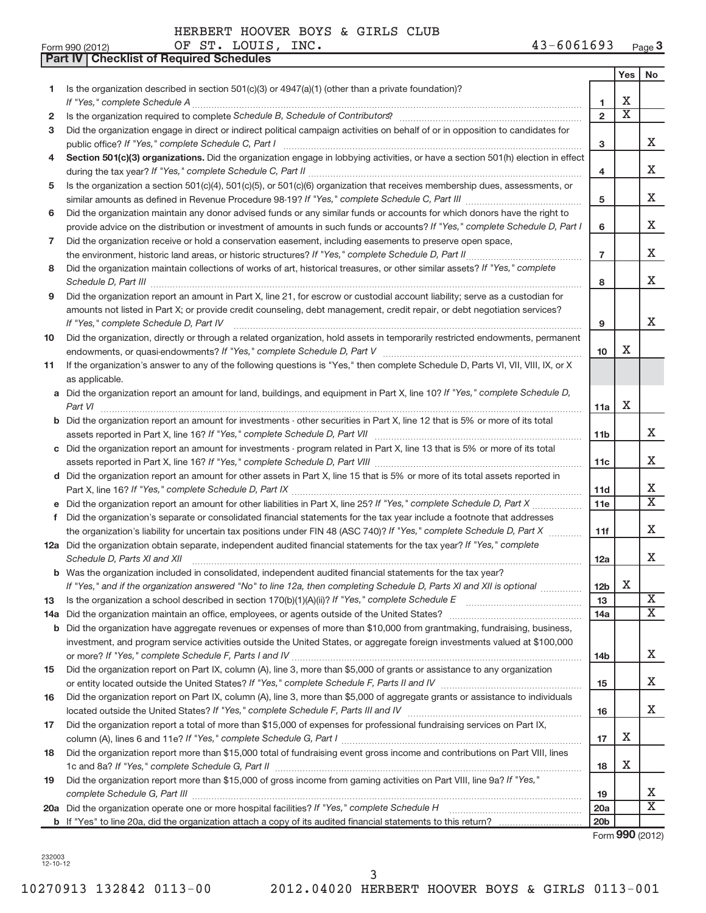**Part IV Checklist of Required Schedules**

| Form 990 (2012) | LOUIS<br>INC.<br>ST<br>ΟF | $-6061693$<br>$\mathbf{r}$<br>Page 3<br>$\cdot$ n u n $\cdot$<br>≖◡ |
|-----------------|---------------------------|---------------------------------------------------------------------|
|-----------------|---------------------------|---------------------------------------------------------------------|

|     |                                                                                                                                                                                                                                                                                                             |                 | Yes                         | No                      |
|-----|-------------------------------------------------------------------------------------------------------------------------------------------------------------------------------------------------------------------------------------------------------------------------------------------------------------|-----------------|-----------------------------|-------------------------|
| 1   | Is the organization described in section 501(c)(3) or $4947(a)(1)$ (other than a private foundation)?                                                                                                                                                                                                       |                 |                             |                         |
|     | If "Yes," complete Schedule A                                                                                                                                                                                                                                                                               | 1.              | Χ                           |                         |
| 2   | Is the organization required to complete Schedule B, Schedule of Contributors? [11] [12] the organization required to complete Schedule B, Schedule of Contributors? [11] [12] [12] the organization required to complete Sche                                                                              | $\overline{2}$  | $\overline{\textnormal{x}}$ |                         |
| 3   | Did the organization engage in direct or indirect political campaign activities on behalf of or in opposition to candidates for                                                                                                                                                                             | 3               |                             | X.                      |
| 4   | Section 501(c)(3) organizations. Did the organization engage in lobbying activities, or have a section 501(h) election in effect                                                                                                                                                                            |                 |                             |                         |
|     |                                                                                                                                                                                                                                                                                                             | 4               |                             | X                       |
| 5   | Is the organization a section 501(c)(4), 501(c)(5), or 501(c)(6) organization that receives membership dues, assessments, or                                                                                                                                                                                |                 |                             |                         |
|     |                                                                                                                                                                                                                                                                                                             | 5               |                             | X                       |
| 6   | Did the organization maintain any donor advised funds or any similar funds or accounts for which donors have the right to                                                                                                                                                                                   |                 |                             |                         |
|     | provide advice on the distribution or investment of amounts in such funds or accounts? If "Yes," complete Schedule D, Part I                                                                                                                                                                                | 6               |                             | X                       |
| 7   | Did the organization receive or hold a conservation easement, including easements to preserve open space,                                                                                                                                                                                                   |                 |                             |                         |
|     | the environment, historic land areas, or historic structures? If "Yes," complete Schedule D, Part II                                                                                                                                                                                                        | $\overline{7}$  |                             | X                       |
| 8   | Did the organization maintain collections of works of art, historical treasures, or other similar assets? If "Yes," complete<br>Schedule D, Part III <b>Marting Constructs</b> 2014 (2014) 2015 2014 2014 2015 2016 2017 2018 2019 2014 2015 2016 2017                                                      | 8               |                             | x                       |
| 9   | Did the organization report an amount in Part X, line 21, for escrow or custodial account liability; serve as a custodian for                                                                                                                                                                               |                 |                             |                         |
|     | amounts not listed in Part X; or provide credit counseling, debt management, credit repair, or debt negotiation services?                                                                                                                                                                                   |                 |                             |                         |
|     | If "Yes," complete Schedule D, Part IV                                                                                                                                                                                                                                                                      | 9               |                             | x                       |
| 10  | Did the organization, directly or through a related organization, hold assets in temporarily restricted endowments, permanent                                                                                                                                                                               |                 |                             |                         |
|     |                                                                                                                                                                                                                                                                                                             | 10              | x                           |                         |
| 11  | If the organization's answer to any of the following questions is "Yes," then complete Schedule D, Parts VI, VII, VIII, IX, or X                                                                                                                                                                            |                 |                             |                         |
|     | as applicable.                                                                                                                                                                                                                                                                                              |                 |                             |                         |
| a   | Did the organization report an amount for land, buildings, and equipment in Part X, line 10? If "Yes," complete Schedule D,                                                                                                                                                                                 |                 | Χ                           |                         |
|     | Part VI                                                                                                                                                                                                                                                                                                     | 11a             |                             |                         |
| b   | Did the organization report an amount for investments - other securities in Part X, line 12 that is 5% or more of its total                                                                                                                                                                                 | 11 <sub>b</sub> |                             | X                       |
| c   | Did the organization report an amount for investments - program related in Part X, line 13 that is 5% or more of its total                                                                                                                                                                                  |                 |                             |                         |
|     |                                                                                                                                                                                                                                                                                                             | 11c             |                             | x                       |
| d   | Did the organization report an amount for other assets in Part X, line 15 that is 5% or more of its total assets reported in                                                                                                                                                                                |                 |                             |                         |
|     |                                                                                                                                                                                                                                                                                                             | 11d             |                             | Χ                       |
|     | Did the organization report an amount for other liabilities in Part X, line 25? If "Yes," complete Schedule D, Part X                                                                                                                                                                                       | 11e             |                             | $\overline{\mathbf{X}}$ |
| f.  | Did the organization's separate or consolidated financial statements for the tax year include a footnote that addresses                                                                                                                                                                                     |                 |                             |                         |
|     | the organization's liability for uncertain tax positions under FIN 48 (ASC 740)? If "Yes," complete Schedule D, Part X                                                                                                                                                                                      | 11f             |                             | x                       |
|     | 12a Did the organization obtain separate, independent audited financial statements for the tax year? If "Yes," complete                                                                                                                                                                                     |                 |                             |                         |
|     | Schedule D, Parts XI and XII                                                                                                                                                                                                                                                                                | 12a             |                             | X.                      |
|     | <b>b</b> Was the organization included in consolidated, independent audited financial statements for the tax year?                                                                                                                                                                                          |                 |                             |                         |
|     | If "Yes," and if the organization answered "No" to line 12a, then completing Schedule D, Parts XI and XII is optional                                                                                                                                                                                       | 12 <sub>b</sub> | X                           | $\overline{\mathbf{X}}$ |
| 13  | Is the organization a school described in section $170(b)(1)(A)(ii)?$ If "Yes," complete Schedule E                                                                                                                                                                                                         | 13              |                             | $\overline{X}$          |
| 14a | Did the organization maintain an office, employees, or agents outside of the United States?<br>Did the organization have aggregate revenues or expenses of more than \$10,000 from grantmaking, fundraising, business,                                                                                      | 14a             |                             |                         |
| b   | investment, and program service activities outside the United States, or aggregate foreign investments valued at \$100,000                                                                                                                                                                                  |                 |                             |                         |
|     |                                                                                                                                                                                                                                                                                                             | 14b             |                             | x                       |
| 15  | Did the organization report on Part IX, column (A), line 3, more than \$5,000 of grants or assistance to any organization                                                                                                                                                                                   |                 |                             |                         |
|     |                                                                                                                                                                                                                                                                                                             | 15              |                             | x                       |
| 16  | Did the organization report on Part IX, column (A), line 3, more than \$5,000 of aggregate grants or assistance to individuals                                                                                                                                                                              |                 |                             | X.                      |
|     | located outside the United States? If "Yes," complete Schedule F, Parts III and IV [11] many manuscription of the United States? If "Yes," complete Schedule F, Parts III and IV<br>Did the organization report a total of more than \$15,000 of expenses for professional fundraising services on Part IX, | 16              |                             |                         |
| 17  |                                                                                                                                                                                                                                                                                                             | 17              | Х                           |                         |
| 18  | Did the organization report more than \$15,000 total of fundraising event gross income and contributions on Part VIII, lines                                                                                                                                                                                |                 |                             |                         |
|     |                                                                                                                                                                                                                                                                                                             | 18              | Х                           |                         |
| 19  | Did the organization report more than \$15,000 of gross income from gaming activities on Part VIII, line 9a? If "Yes,"                                                                                                                                                                                      |                 |                             |                         |
|     |                                                                                                                                                                                                                                                                                                             | 19              |                             | х                       |
|     | 20a Did the organization operate one or more hospital facilities? If "Yes," complete Schedule H                                                                                                                                                                                                             | 20a             |                             | $\overline{\mathbf{X}}$ |
|     |                                                                                                                                                                                                                                                                                                             | 20 <sub>b</sub> |                             |                         |
|     |                                                                                                                                                                                                                                                                                                             |                 | Form 990 (2012)             |                         |

232003 12-10-12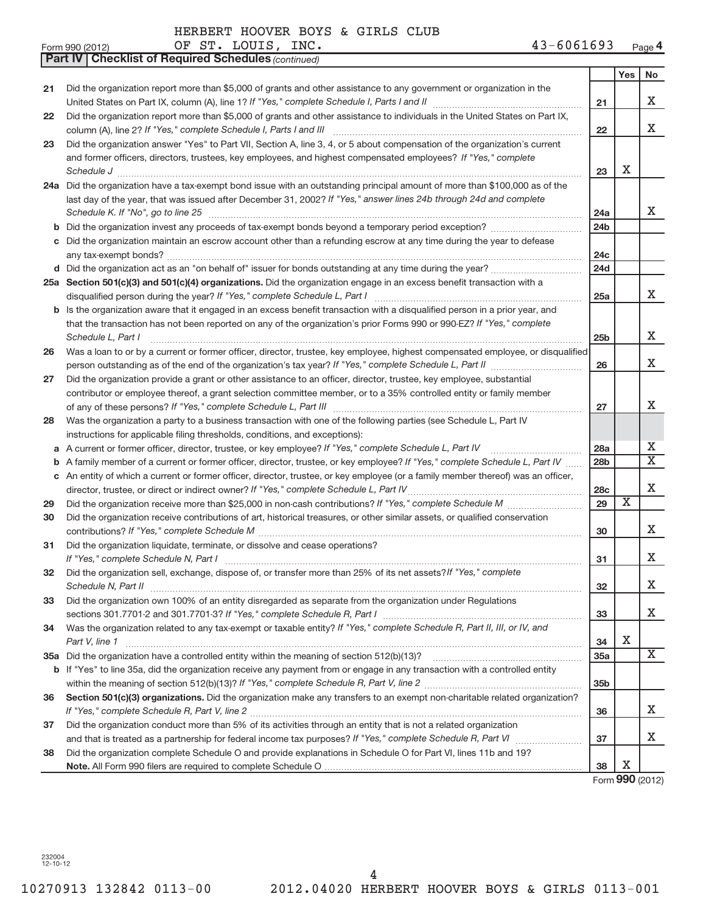|    | OF ST. LOUIS, INC.<br>$43 - 6061693$<br>Form 990 (2012)                                                                                                                                                                       |                 |                         | Page 4                  |
|----|-------------------------------------------------------------------------------------------------------------------------------------------------------------------------------------------------------------------------------|-----------------|-------------------------|-------------------------|
|    | <b>Part IV   Checklist of Required Schedules (continued)</b>                                                                                                                                                                  |                 |                         |                         |
|    |                                                                                                                                                                                                                               |                 | Yes                     | No                      |
| 21 | Did the organization report more than \$5,000 of grants and other assistance to any government or organization in the                                                                                                         |                 |                         |                         |
|    |                                                                                                                                                                                                                               | 21              |                         | X                       |
| 22 | Did the organization report more than \$5,000 of grants and other assistance to individuals in the United States on Part IX,                                                                                                  |                 |                         |                         |
|    | column (A), line 2? If "Yes," complete Schedule I, Parts I and III                                                                                                                                                            | 22              |                         | X                       |
| 23 | Did the organization answer "Yes" to Part VII, Section A, line 3, 4, or 5 about compensation of the organization's current                                                                                                    |                 |                         |                         |
|    | and former officers, directors, trustees, key employees, and highest compensated employees? If "Yes," complete                                                                                                                |                 |                         |                         |
|    | Schedule J <b>Execute Schedule Schedule Schedule Schedule</b> J <b>Execute Schedule J Execute Schedule J</b>                                                                                                                  | 23              | Х                       |                         |
|    | 24a Did the organization have a tax-exempt bond issue with an outstanding principal amount of more than \$100,000 as of the                                                                                                   |                 |                         |                         |
|    | last day of the year, that was issued after December 31, 2002? If "Yes," answer lines 24b through 24d and complete                                                                                                            |                 |                         |                         |
|    | Schedule K. If "No", go to line 25                                                                                                                                                                                            | 24a             |                         | x                       |
|    | b Did the organization invest any proceeds of tax-exempt bonds beyond a temporary period exception?                                                                                                                           | 24b             |                         |                         |
|    | c Did the organization maintain an escrow account other than a refunding escrow at any time during the year to defease                                                                                                        | 24c             |                         |                         |
|    |                                                                                                                                                                                                                               | 24d             |                         |                         |
|    | 25a Section 501(c)(3) and 501(c)(4) organizations. Did the organization engage in an excess benefit transaction with a                                                                                                        |                 |                         |                         |
|    |                                                                                                                                                                                                                               | 25a             |                         | x                       |
|    | <b>b</b> Is the organization aware that it engaged in an excess benefit transaction with a disqualified person in a prior year, and                                                                                           |                 |                         |                         |
|    | that the transaction has not been reported on any of the organization's prior Forms 990 or 990-EZ? If "Yes," complete                                                                                                         |                 |                         |                         |
|    | Schedule L, Part I                                                                                                                                                                                                            | 25 <sub>b</sub> |                         | Х                       |
| 26 | Was a loan to or by a current or former officer, director, trustee, key employee, highest compensated employee, or disqualified                                                                                               |                 |                         |                         |
|    |                                                                                                                                                                                                                               | 26              |                         | x                       |
| 27 | Did the organization provide a grant or other assistance to an officer, director, trustee, key employee, substantial                                                                                                          |                 |                         |                         |
|    | contributor or employee thereof, a grant selection committee member, or to a 35% controlled entity or family member                                                                                                           |                 |                         | Χ                       |
|    |                                                                                                                                                                                                                               | 27              |                         |                         |
| 28 | Was the organization a party to a business transaction with one of the following parties (see Schedule L, Part IV<br>instructions for applicable filing thresholds, conditions, and exceptions):                              |                 |                         |                         |
| a  | A current or former officer, director, trustee, or key employee? If "Yes," complete Schedule L, Part IV                                                                                                                       | 28a             |                         | x                       |
| b  | A family member of a current or former officer, director, trustee, or key employee? If "Yes," complete Schedule L, Part IV                                                                                                    | 28 <sub>b</sub> |                         | $\overline{\text{X}}$   |
|    | c An entity of which a current or former officer, director, trustee, or key employee (or a family member thereof) was an officer,                                                                                             |                 |                         |                         |
|    | director, trustee, or direct or indirect owner? If "Yes," complete Schedule L, Part IV                                                                                                                                        | 28c             |                         | Χ                       |
| 29 |                                                                                                                                                                                                                               | 29              | $\overline{\textbf{x}}$ |                         |
| 30 | Did the organization receive contributions of art, historical treasures, or other similar assets, or qualified conservation                                                                                                   |                 |                         |                         |
|    | contributions? If "Yes," complete Schedule M                                                                                                                                                                                  | 30              |                         | Х                       |
| 31 | Did the organization liquidate, terminate, or dissolve and cease operations?                                                                                                                                                  |                 |                         |                         |
|    | If "Yes," complete Schedule N, Part I                                                                                                                                                                                         | 31              |                         | х                       |
| 32 | Did the organization sell, exchange, dispose of, or transfer more than 25% of its net assets? If "Yes," complete                                                                                                              |                 |                         |                         |
|    | Schedule N, Part II                                                                                                                                                                                                           | 32              |                         | Х                       |
| 33 | Did the organization own 100% of an entity disregarded as separate from the organization under Regulations                                                                                                                    |                 |                         |                         |
|    | sections 301.7701-2 and 301.7701-3? If "Yes," complete Schedule R, Part I manufactured and annumental manufactured with the section of the section of the section of the section of the section of the section of the section | 33              |                         | Х                       |
| 34 | Was the organization related to any tax-exempt or taxable entity? If "Yes," complete Schedule R, Part II, III, or IV, and                                                                                                     |                 |                         |                         |
|    | Part V, line 1                                                                                                                                                                                                                | 34              | х                       |                         |
|    |                                                                                                                                                                                                                               | 35a             |                         | $\overline{\mathbf{X}}$ |
|    | b If "Yes" to line 35a, did the organization receive any payment from or engage in any transaction with a controlled entity                                                                                                   |                 |                         |                         |
|    |                                                                                                                                                                                                                               | 35b             |                         |                         |
| 36 | Section 501(c)(3) organizations. Did the organization make any transfers to an exempt non-charitable related organization?                                                                                                    |                 |                         |                         |
|    |                                                                                                                                                                                                                               | 36              |                         | X                       |
| 37 | Did the organization conduct more than 5% of its activities through an entity that is not a related organization                                                                                                              |                 |                         | х                       |
|    | Did the organization complete Schedule O and provide explanations in Schedule O for Part VI, lines 11b and 19?                                                                                                                | 37              |                         |                         |
| 38 |                                                                                                                                                                                                                               | 38              | х                       |                         |
|    |                                                                                                                                                                                                                               |                 | $000 \, \text{GeV}$     |                         |

Form **990** (2012)

232004 12-10-12

4

### OF ST. LOUIS, INC.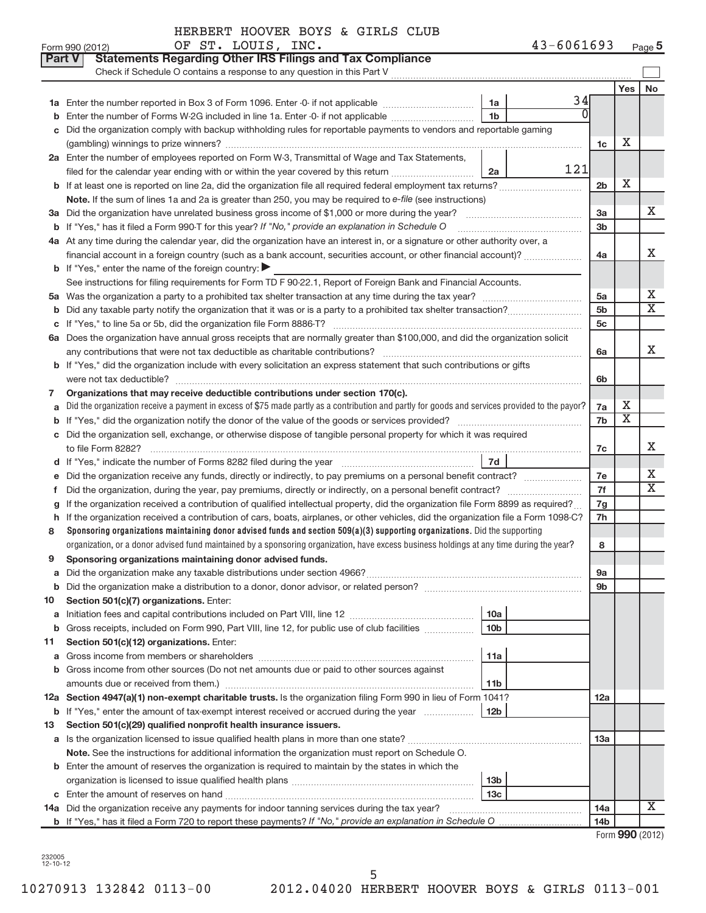| Form 990 (2012) | LOUIS<br>INC.<br>ST<br>ΟF | $-6061693$<br>Page 5<br>$\mathbf{r}$<br>≖◡ |
|-----------------|---------------------------|--------------------------------------------|
|-----------------|---------------------------|--------------------------------------------|

| Part V | <b>Statements Regarding Other IRS Filings and Tax Compliance</b><br>Check if Schedule O contains a response to any question in this Part V                                                                                                                        |                 |                   |                         |
|--------|-------------------------------------------------------------------------------------------------------------------------------------------------------------------------------------------------------------------------------------------------------------------|-----------------|-------------------|-------------------------|
|        |                                                                                                                                                                                                                                                                   |                 | Yes               | <b>No</b>               |
|        | 34<br>1a                                                                                                                                                                                                                                                          |                 |                   |                         |
| b      | $\overline{0}$<br>1 <sub>b</sub><br>Enter the number of Forms W-2G included in line 1a. Enter -0- if not applicable                                                                                                                                               |                 |                   |                         |
| c      | Did the organization comply with backup withholding rules for reportable payments to vendors and reportable gaming                                                                                                                                                |                 |                   |                         |
|        |                                                                                                                                                                                                                                                                   | 1c              | Х                 |                         |
|        | 2a Enter the number of employees reported on Form W-3, Transmittal of Wage and Tax Statements,                                                                                                                                                                    |                 |                   |                         |
|        | 121<br>filed for the calendar year ending with or within the year covered by this return<br>2a                                                                                                                                                                    |                 |                   |                         |
| b      | If at least one is reported on line 2a, did the organization file all required federal employment tax returns?                                                                                                                                                    | 2 <sub>b</sub>  | Х                 |                         |
|        | Note. If the sum of lines 1a and 2a is greater than 250, you may be required to e-file (see instructions)                                                                                                                                                         |                 |                   |                         |
|        |                                                                                                                                                                                                                                                                   | 3a              |                   | х                       |
|        | <b>b</b> If "Yes," has it filed a Form 990-T for this year? If "No," provide an explanation in Schedule O                                                                                                                                                         | 3 <sub>b</sub>  |                   |                         |
|        | 4a At any time during the calendar year, did the organization have an interest in, or a signature or other authority over, a                                                                                                                                      |                 |                   |                         |
|        | financial account in a foreign country (such as a bank account, securities account, or other financial account)?                                                                                                                                                  | 4a              |                   | x                       |
|        | <b>b</b> If "Yes," enter the name of the foreign country:                                                                                                                                                                                                         |                 |                   |                         |
|        | See instructions for filing requirements for Form TD F 90-22.1, Report of Foreign Bank and Financial Accounts.                                                                                                                                                    |                 |                   |                         |
| 5а     |                                                                                                                                                                                                                                                                   | 5a              |                   | х                       |
| b      |                                                                                                                                                                                                                                                                   | 5 <sub>b</sub>  |                   | $\overline{\text{X}}$   |
| С      |                                                                                                                                                                                                                                                                   | 5c              |                   |                         |
|        | 6a Does the organization have annual gross receipts that are normally greater than \$100,000, and did the organization solicit                                                                                                                                    |                 |                   |                         |
|        |                                                                                                                                                                                                                                                                   | 6a              |                   | x                       |
|        | <b>b</b> If "Yes," did the organization include with every solicitation an express statement that such contributions or gifts                                                                                                                                     |                 |                   |                         |
|        | were not tax deductible?                                                                                                                                                                                                                                          | 6b              |                   |                         |
| 7      | Organizations that may receive deductible contributions under section 170(c).                                                                                                                                                                                     |                 |                   |                         |
| a      | Did the organization receive a payment in excess of \$75 made partly as a contribution and partly for goods and services provided to the payor?                                                                                                                   | 7a              | Х                 |                         |
| b      |                                                                                                                                                                                                                                                                   | 7b              | х                 |                         |
| c      | Did the organization sell, exchange, or otherwise dispose of tangible personal property for which it was required                                                                                                                                                 |                 |                   |                         |
|        |                                                                                                                                                                                                                                                                   | 7c              |                   | х                       |
| d      | 7d                                                                                                                                                                                                                                                                |                 |                   | х                       |
| е      | Did the organization receive any funds, directly or indirectly, to pay premiums on a personal benefit contract?                                                                                                                                                   | 7e              |                   | $\overline{\mathbf{X}}$ |
| f.     | Did the organization, during the year, pay premiums, directly or indirectly, on a personal benefit contract?                                                                                                                                                      | 7f              |                   |                         |
| q      | If the organization received a contribution of qualified intellectual property, did the organization file Form 8899 as required?                                                                                                                                  | 7g              |                   |                         |
| h      | If the organization received a contribution of cars, boats, airplanes, or other vehicles, did the organization file a Form 1098-C?<br>Sponsoring organizations maintaining donor advised funds and section 509(a)(3) supporting organizations. Did the supporting | 7h              |                   |                         |
| 8      | organization, or a donor advised fund maintained by a sponsoring organization, have excess business holdings at any time during the year?                                                                                                                         | 8               |                   |                         |
| 9      | Sponsoring organizations maintaining donor advised funds.                                                                                                                                                                                                         |                 |                   |                         |
|        |                                                                                                                                                                                                                                                                   | 9a              |                   |                         |
| b      |                                                                                                                                                                                                                                                                   | 9b              |                   |                         |
| 10     | Section 501(c)(7) organizations. Enter:                                                                                                                                                                                                                           |                 |                   |                         |
| a      | 10a                                                                                                                                                                                                                                                               |                 |                   |                         |
| b      | 10 <sub>b</sub><br>Gross receipts, included on Form 990, Part VIII, line 12, for public use of club facilities                                                                                                                                                    |                 |                   |                         |
| 11     | Section 501(c)(12) organizations. Enter:                                                                                                                                                                                                                          |                 |                   |                         |
| a      | 11a                                                                                                                                                                                                                                                               |                 |                   |                         |
| b      | Gross income from other sources (Do not net amounts due or paid to other sources against                                                                                                                                                                          |                 |                   |                         |
|        | 11b                                                                                                                                                                                                                                                               |                 |                   |                         |
|        | 12a Section 4947(a)(1) non-exempt charitable trusts. Is the organization filing Form 990 in lieu of Form 1041?                                                                                                                                                    | <b>12a</b>      |                   |                         |
|        | <b>b</b> If "Yes," enter the amount of tax-exempt interest received or accrued during the year<br>12 <sub>b</sub>                                                                                                                                                 |                 |                   |                         |
| 13     | Section 501(c)(29) qualified nonprofit health insurance issuers.                                                                                                                                                                                                  |                 |                   |                         |
|        |                                                                                                                                                                                                                                                                   | 13a             |                   |                         |
|        | Note. See the instructions for additional information the organization must report on Schedule O.                                                                                                                                                                 |                 |                   |                         |
|        | <b>b</b> Enter the amount of reserves the organization is required to maintain by the states in which the                                                                                                                                                         |                 |                   |                         |
|        | 13b                                                                                                                                                                                                                                                               |                 |                   |                         |
| c      | 13 <sub>c</sub>                                                                                                                                                                                                                                                   |                 |                   |                         |
|        | 14a Did the organization receive any payments for indoor tanning services during the tax year?                                                                                                                                                                    | 14a             |                   | х                       |
|        |                                                                                                                                                                                                                                                                   | 14 <sub>b</sub> |                   |                         |
|        |                                                                                                                                                                                                                                                                   |                 | $Form$ QQQ (2012) |                         |

Form **990** (2012)

232005 12-10-12

Form 990 (2012)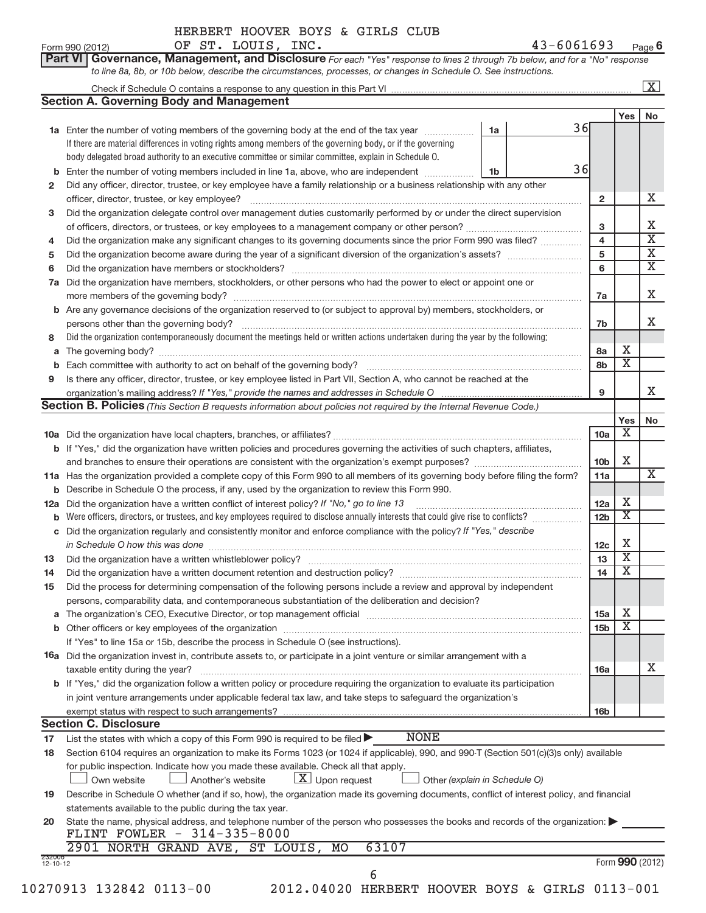| $\sim$ 0.0<br>$.0111^\circ$<br>INC.<br>cп<br>ΟF<br>-<br>Form 990 (2012)<br>. u<br>.L.C<br>. O 7.J | Page O |
|---------------------------------------------------------------------------------------------------|--------|
|---------------------------------------------------------------------------------------------------|--------|

|                          |                                                                                                                                                                                                          |                |    |                 |                         | $\overline{\mathbf{x}}$ |
|--------------------------|----------------------------------------------------------------------------------------------------------------------------------------------------------------------------------------------------------|----------------|----|-----------------|-------------------------|-------------------------|
|                          | <b>Section A. Governing Body and Management</b>                                                                                                                                                          |                |    |                 |                         |                         |
|                          |                                                                                                                                                                                                          |                |    |                 | Yes                     | No                      |
|                          | 1a Enter the number of voting members of the governing body at the end of the tax year <i>manumum</i>                                                                                                    | 1a             | 36 |                 |                         |                         |
|                          | If there are material differences in voting rights among members of the governing body, or if the governing                                                                                              |                |    |                 |                         |                         |
|                          | body delegated broad authority to an executive committee or similar committee, explain in Schedule O.                                                                                                    |                |    |                 |                         |                         |
| b                        | Enter the number of voting members included in line 1a, above, who are independent                                                                                                                       | 1 <sub>b</sub> | 36 |                 |                         |                         |
| 2                        | Did any officer, director, trustee, or key employee have a family relationship or a business relationship with any other                                                                                 |                |    |                 |                         |                         |
|                          | officer, director, trustee, or key employee?                                                                                                                                                             |                |    | $\overline{2}$  |                         | х                       |
| з                        | Did the organization delegate control over management duties customarily performed by or under the direct supervision                                                                                    |                |    |                 |                         |                         |
|                          |                                                                                                                                                                                                          |                |    | 3               |                         | Х                       |
| 4                        | Did the organization make any significant changes to its governing documents since the prior Form 990 was filed?                                                                                         |                |    | $\overline{4}$  |                         | $\overline{\mathbf{x}}$ |
| 5                        |                                                                                                                                                                                                          |                |    | 5               |                         | $\overline{\mathbf{X}}$ |
| 6                        |                                                                                                                                                                                                          |                |    | 6               |                         | $\overline{\mathbf{X}}$ |
| 7a                       | Did the organization have members, stockholders, or other persons who had the power to elect or appoint one or                                                                                           |                |    |                 |                         |                         |
|                          |                                                                                                                                                                                                          |                |    |                 |                         | X                       |
|                          |                                                                                                                                                                                                          |                |    | 7a              |                         |                         |
| b                        | Are any governance decisions of the organization reserved to (or subject to approval by) members, stockholders, or                                                                                       |                |    |                 |                         | x                       |
|                          | persons other than the governing body?                                                                                                                                                                   |                |    | 7b              |                         |                         |
| 8                        | Did the organization contemporaneously document the meetings held or written actions undertaken during the year by the following:                                                                        |                |    |                 |                         |                         |
| a                        |                                                                                                                                                                                                          |                |    | 8a              | х                       |                         |
|                          |                                                                                                                                                                                                          |                |    | 8b              | $\overline{\textbf{X}}$ |                         |
| 9                        | Is there any officer, director, trustee, or key employee listed in Part VII, Section A, who cannot be reached at the                                                                                     |                |    |                 |                         |                         |
|                          |                                                                                                                                                                                                          |                |    | 9               |                         | X                       |
|                          | <b>Section B. Policies</b> (This Section B requests information about policies not required by the Internal Revenue Code.)                                                                               |                |    |                 |                         |                         |
|                          |                                                                                                                                                                                                          |                |    |                 | Yes                     | No                      |
|                          |                                                                                                                                                                                                          |                |    | 10a             | Χ                       |                         |
|                          | b If "Yes," did the organization have written policies and procedures governing the activities of such chapters, affiliates,                                                                             |                |    |                 |                         |                         |
|                          |                                                                                                                                                                                                          |                |    | 10 <sub>b</sub> | X                       |                         |
|                          | 11a Has the organization provided a complete copy of this Form 990 to all members of its governing body before filing the form?                                                                          |                |    | 11a             |                         | x                       |
|                          | <b>b</b> Describe in Schedule O the process, if any, used by the organization to review this Form 990.                                                                                                   |                |    |                 |                         |                         |
| 12a                      | Did the organization have a written conflict of interest policy? If "No," go to line 13                                                                                                                  |                |    | 12a             | Χ                       |                         |
| b                        | Were officers, directors, or trustees, and key employees required to disclose annually interests that could give rise to conflicts?                                                                      |                |    | 12 <sub>b</sub> | $\overline{\textbf{x}}$ |                         |
|                          | c Did the organization regularly and consistently monitor and enforce compliance with the policy? If "Yes," describe                                                                                     |                |    |                 |                         |                         |
|                          | in Schedule O how this was done encounteral contracts and a set of the set of the set of the set of the set of                                                                                           |                |    | 12c             | Χ                       |                         |
| 13                       |                                                                                                                                                                                                          |                |    | 13              | $\overline{\mathbf{X}}$ |                         |
| 14                       | Did the organization have a written document retention and destruction policy? [111] [12] manument content and the organization have a written document retention and destruction policy?                |                |    | 14              | $\overline{\text{X}}$   |                         |
| 15                       | Did the process for determining compensation of the following persons include a review and approval by independent                                                                                       |                |    |                 |                         |                         |
|                          |                                                                                                                                                                                                          |                |    |                 |                         |                         |
|                          | persons, comparability data, and contemporaneous substantiation of the deliberation and decision?                                                                                                        |                |    |                 | Х                       |                         |
| a                        | The organization's CEO, Executive Director, or top management official manufactured content of the organization's CEO, Executive Director, or top management official manufactured in the organization's |                |    | 15a             | х                       |                         |
|                          |                                                                                                                                                                                                          |                |    | 15 <sub>b</sub> |                         |                         |
|                          | If "Yes" to line 15a or 15b, describe the process in Schedule O (see instructions).                                                                                                                      |                |    |                 |                         |                         |
|                          | 16a Did the organization invest in, contribute assets to, or participate in a joint venture or similar arrangement with a                                                                                |                |    |                 |                         |                         |
|                          | taxable entity during the year?                                                                                                                                                                          |                |    | <b>16a</b>      |                         | x                       |
|                          | <b>b</b> If "Yes," did the organization follow a written policy or procedure requiring the organization to evaluate its participation                                                                    |                |    |                 |                         |                         |
|                          | in joint venture arrangements under applicable federal tax law, and take steps to safeguard the organization's                                                                                           |                |    |                 |                         |                         |
|                          | exempt status with respect to such arrangements?                                                                                                                                                         |                |    | 16b             |                         |                         |
|                          | <b>Section C. Disclosure</b>                                                                                                                                                                             |                |    |                 |                         |                         |
| 17                       | <b>NONE</b><br>List the states with which a copy of this Form 990 is required to be filed $\blacktriangleright$                                                                                          |                |    |                 |                         |                         |
| 18                       | Section 6104 requires an organization to make its Forms 1023 (or 1024 if applicable), 990, and 990-T (Section 501(c)(3)s only) available                                                                 |                |    |                 |                         |                         |
|                          | for public inspection. Indicate how you made these available. Check all that apply.                                                                                                                      |                |    |                 |                         |                         |
|                          | $X$ Upon request<br>Another's website<br>Own website<br>Other (explain in Schedule O)                                                                                                                    |                |    |                 |                         |                         |
| 19                       | Describe in Schedule O whether (and if so, how), the organization made its governing documents, conflict of interest policy, and financial                                                               |                |    |                 |                         |                         |
|                          | statements available to the public during the tax year.                                                                                                                                                  |                |    |                 |                         |                         |
| 20                       | State the name, physical address, and telephone number of the person who possesses the books and records of the organization:                                                                            |                |    |                 |                         |                         |
|                          | FLINT FOWLER - 314-335-8000                                                                                                                                                                              |                |    |                 |                         |                         |
|                          |                                                                                                                                                                                                          |                |    |                 |                         |                         |
|                          |                                                                                                                                                                                                          |                |    |                 |                         |                         |
|                          | 63107<br>2901 NORTH GRAND AVE, ST LOUIS, MO                                                                                                                                                              |                |    |                 |                         |                         |
| 232006<br>$12 - 10 - 12$ | 6                                                                                                                                                                                                        |                |    |                 | Form 990 (2012)         |                         |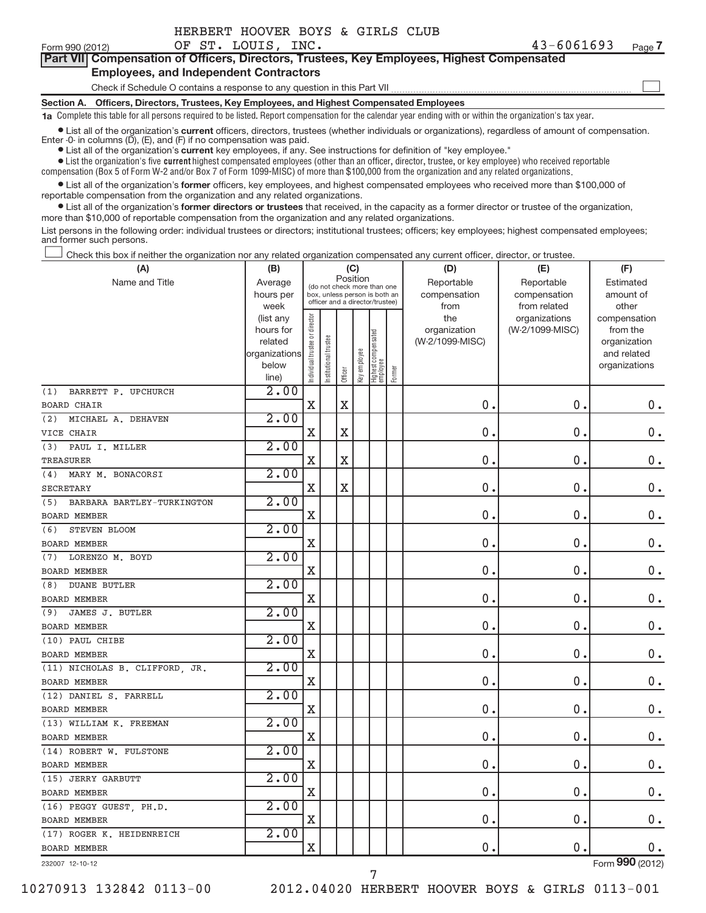-

### **Part VII Compensation of Officers, Directors, Trustees, Key Employees, Highest CompensatedEmployees, and Independent Contractors**

Check if Schedule O contains a response to any question in this Part VII

**Section A. Officers, Directors, Trustees, Key Employees, and Highest Compensated Employees**

**1a** Complete this table for all persons required to be listed. Report compensation for the calendar year ending with or within the organization's tax year.

 $\bullet$  List all of the organization's **current** ● List all of the organization's current officers, directors, trustees (whether individuals or organizations), regardless of amount of compensation.<br>Enter 0- in columns (D), (E), and (F) if no compensation was paid.

● List all of the organization's **current** key employees, if any. See instructions for definition of "key employee."

● List the organization's five current highest compensated employees (other than an officer, director, trustee, or key employee) who received reportable compensation (Box 5 of Form W-2 and/or Box 7 of Form 1099-MISC) of more than \$100,000 from the organization and any related organizations .

● List all of the organization's former officers, key employees, and highest compensated employees who received more than \$100,000 of reportable compensation from the organization and any related organizations.

**•** List all of the organization's former directors or trustees that received, in the capacity as a former director or trustee of the organization, more than \$10,000 of reportable compensation from the organization and any related organizations.

List persons in the following order: individual trustees or directors; institutional trustees; officers; key employees; highest compensated employees; and former such persons.

Check this box if neither the organization nor any related organization compensated any current officer, director, or trustee. -

| (A)                               | (B)                    | (C)                            |                      |                                         |                                                                  |                                 |        | (D)                 | (E)                              | (F)                      |
|-----------------------------------|------------------------|--------------------------------|----------------------|-----------------------------------------|------------------------------------------------------------------|---------------------------------|--------|---------------------|----------------------------------|--------------------------|
| Name and Title                    | Average                |                                |                      | Position<br>(do not check more than one |                                                                  |                                 |        | Reportable          | Reportable                       | Estimated                |
|                                   | hours per              |                                |                      |                                         | box, unless person is both an<br>officer and a director/trustee) |                                 |        | compensation        | compensation                     | amount of                |
|                                   | week                   |                                |                      |                                         |                                                                  |                                 |        | from                | from related                     | other                    |
|                                   | (list any<br>hours for | Individual trustee or director |                      |                                         |                                                                  |                                 |        | the<br>organization | organizations<br>(W-2/1099-MISC) | compensation<br>from the |
|                                   | related                |                                |                      |                                         |                                                                  |                                 |        | (W-2/1099-MISC)     |                                  | organization             |
|                                   | organizations          |                                | nstitutional trustee |                                         |                                                                  | Highest compensated<br>employee |        |                     |                                  | and related              |
|                                   | below                  |                                |                      |                                         | Key employee                                                     |                                 |        |                     |                                  | organizations            |
|                                   | line)                  |                                |                      | Officer                                 |                                                                  |                                 | Former |                     |                                  |                          |
| BARRETT P. UPCHURCH<br>(1)        | 2.00                   |                                |                      |                                         |                                                                  |                                 |        |                     |                                  |                          |
| <b>BOARD CHAIR</b>                |                        | $\mathbf X$                    |                      | X                                       |                                                                  |                                 |        | 0.                  | 0.                               | 0.                       |
| MICHAEL A. DEHAVEN<br>(2)         | 2.00                   |                                |                      |                                         |                                                                  |                                 |        |                     |                                  |                          |
| VICE CHAIR                        |                        | $\mathbf X$                    |                      | $\mathbf X$                             |                                                                  |                                 |        | 0.                  | 0.                               | $0$ .                    |
| (3)<br>PAUL I. MILLER             | 2.00                   |                                |                      |                                         |                                                                  |                                 |        |                     |                                  |                          |
| TREASURER                         |                        | $\mathbf X$                    |                      | $\mathbf X$                             |                                                                  |                                 |        | $\mathbf 0$         | 0                                | 0.                       |
| (4) MARY M. BONACORSI             | 2.00                   |                                |                      |                                         |                                                                  |                                 |        |                     |                                  |                          |
| <b>SECRETARY</b>                  |                        | $\mathbf X$                    |                      | $\mathbf X$                             |                                                                  |                                 |        | 0.                  | 0.                               | 0.                       |
| (5)<br>BARBARA BARTLEY-TURKINGTON | 2.00                   |                                |                      |                                         |                                                                  |                                 |        |                     |                                  |                          |
| <b>BOARD MEMBER</b>               |                        | $\mathbf X$                    |                      |                                         |                                                                  |                                 |        | 0                   | $\mathbf 0$                      | 0.                       |
| STEVEN BLOOM<br>(6)               | 2.00                   |                                |                      |                                         |                                                                  |                                 |        |                     |                                  |                          |
| <b>BOARD MEMBER</b>               |                        | $\mathbf X$                    |                      |                                         |                                                                  |                                 |        | $\mathbf 0$         | 0.                               | $0$ .                    |
| LORENZO M. BOYD<br>(7)            | 2.00                   |                                |                      |                                         |                                                                  |                                 |        |                     |                                  |                          |
| <b>BOARD MEMBER</b>               |                        | $\mathbf X$                    |                      |                                         |                                                                  |                                 |        | 0.                  | $\mathbf 0$                      | $0$ .                    |
| <b>DUANE BUTLER</b><br>(8)        | 2.00                   |                                |                      |                                         |                                                                  |                                 |        |                     |                                  |                          |
| <b>BOARD MEMBER</b>               |                        | Χ                              |                      |                                         |                                                                  |                                 |        | 0                   | 0.                               | 0.                       |
| JAMES J. BUTLER<br>(9)            | 2.00                   |                                |                      |                                         |                                                                  |                                 |        |                     |                                  |                          |
| <b>BOARD MEMBER</b>               |                        | $\mathbf X$                    |                      |                                         |                                                                  |                                 |        | 0.                  | 0.                               | $\boldsymbol{0}$ .       |
| (10) PAUL CHIBE                   | 2.00                   |                                |                      |                                         |                                                                  |                                 |        |                     |                                  |                          |
| <b>BOARD MEMBER</b>               |                        | $\mathbf X$                    |                      |                                         |                                                                  |                                 |        | 0.                  | 0.                               | $0$ .                    |
| (11) NICHOLAS B. CLIFFORD, JR.    | 2.00                   |                                |                      |                                         |                                                                  |                                 |        |                     |                                  |                          |
| <b>BOARD MEMBER</b>               |                        | $\mathbf X$                    |                      |                                         |                                                                  |                                 |        | $\pmb{0}$           | $\pmb{0}$                        | $0$ .                    |
| (12) DANIEL S. FARRELL            | 2.00                   |                                |                      |                                         |                                                                  |                                 |        |                     |                                  |                          |
| <b>BOARD MEMBER</b>               |                        | X                              |                      |                                         |                                                                  |                                 |        | 0.                  | $\pmb{0}$                        | $\mathbf 0$ .            |
| (13) WILLIAM K. FREEMAN           | 2.00                   |                                |                      |                                         |                                                                  |                                 |        |                     |                                  |                          |
| <b>BOARD MEMBER</b>               |                        | $\mathbf X$                    |                      |                                         |                                                                  |                                 |        | 0.                  | 0.                               | $\mathbf 0$ .            |
| (14) ROBERT W. FULSTONE           | 2.00                   |                                |                      |                                         |                                                                  |                                 |        |                     |                                  |                          |
| <b>BOARD MEMBER</b>               |                        | $\mathbf X$                    |                      |                                         |                                                                  |                                 |        | 0.                  | 0                                | $0$ .                    |
| (15) JERRY GARBUTT                | 2.00                   |                                |                      |                                         |                                                                  |                                 |        |                     |                                  |                          |
| <b>BOARD MEMBER</b>               |                        | X                              |                      |                                         |                                                                  |                                 |        | $\mathbf 0$         | 0.                               | 0.                       |
| (16) PEGGY GUEST, PH.D.           | 2.00                   |                                |                      |                                         |                                                                  |                                 |        |                     |                                  |                          |
| <b>BOARD MEMBER</b>               |                        | $\mathbf X$                    |                      |                                         |                                                                  |                                 |        | $\mathbf 0$ .       | 0.                               | $0$ .                    |
| (17) ROGER K. HEIDENREICH         | 2.00                   |                                |                      |                                         |                                                                  |                                 |        |                     |                                  |                          |
| <b>BOARD MEMBER</b>               |                        | $\mathbf X$                    |                      |                                         |                                                                  |                                 |        | 0.                  | 0.                               | $0$ .                    |
| 232007 12-10-12                   |                        |                                |                      |                                         |                                                                  |                                 |        |                     |                                  | Form 990 (2012)          |

7

232007 12-10-12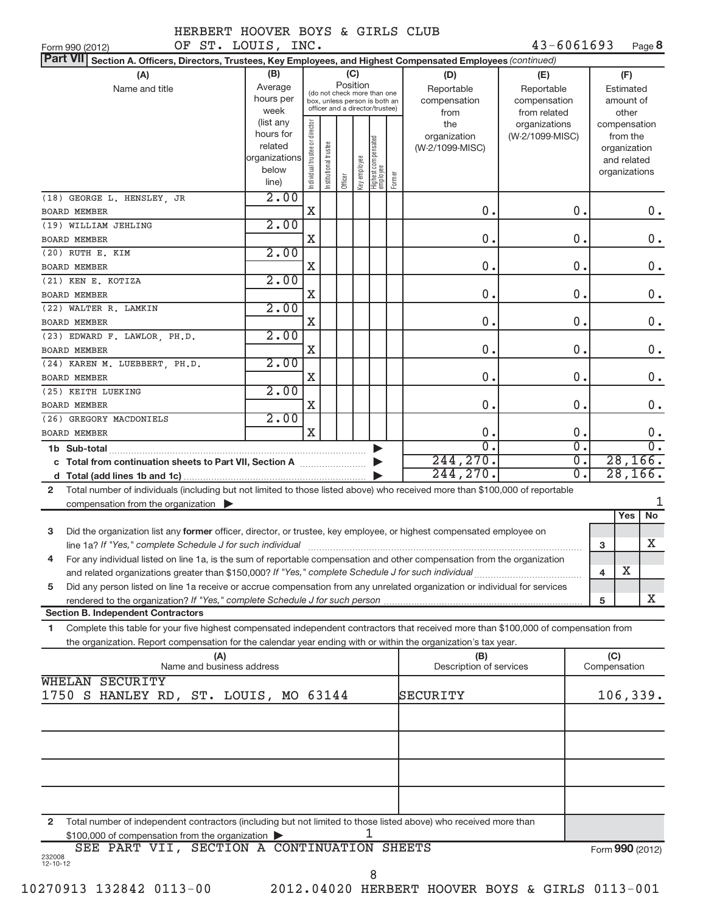43-6061693 Page 8

| OF ST. LOUIS, INC.<br>Form 990 (2012)                                                                                                          |                |                                |                                                              |         |              |                                   |        |                         | $43 - 6061693$  |                  |              | Page 8          |                  |
|------------------------------------------------------------------------------------------------------------------------------------------------|----------------|--------------------------------|--------------------------------------------------------------|---------|--------------|-----------------------------------|--------|-------------------------|-----------------|------------------|--------------|-----------------|------------------|
| <b>Part VII</b><br>Section A. Officers, Directors, Trustees, Key Employees, and Highest Compensated Employees (continued)                      |                |                                |                                                              |         |              |                                   |        |                         |                 |                  |              |                 |                  |
| (A)                                                                                                                                            | (B)            |                                |                                                              | (C)     |              |                                   |        | (D)                     | (E)             |                  |              | (F)             |                  |
| Name and title                                                                                                                                 | Average        |                                |                                                              |         | Position     |                                   |        | Reportable              | Reportable      |                  |              | Estimated       |                  |
|                                                                                                                                                | hours per      |                                | (do not check more than one<br>box, unless person is both an |         |              |                                   |        | compensation            | compensation    |                  |              | amount of       |                  |
|                                                                                                                                                | week           |                                | officer and a director/trustee)                              |         |              |                                   |        | from                    | from related    |                  |              | other           |                  |
|                                                                                                                                                | (list any      |                                |                                                              |         |              |                                   |        | the                     | organizations   |                  |              | compensation    |                  |
|                                                                                                                                                | hours for      |                                |                                                              |         |              |                                   |        | organization            | (W-2/1099-MISC) |                  |              | from the        |                  |
|                                                                                                                                                | related        |                                |                                                              |         |              |                                   |        | (W-2/1099-MISC)         |                 |                  |              | organization    |                  |
|                                                                                                                                                | organizations  |                                |                                                              |         |              |                                   |        |                         |                 |                  |              | and related     |                  |
|                                                                                                                                                | below<br>line) | Individual trustee or director | Institutional trustee                                        | Officer | Key employee | Highest compensated<br>  employee | Former |                         |                 |                  |              | organizations   |                  |
| (18) GEORGE L. HENSLEY, JR                                                                                                                     | 2.00           |                                |                                                              |         |              |                                   |        |                         |                 |                  |              |                 |                  |
| <b>BOARD MEMBER</b>                                                                                                                            |                | X                              |                                                              |         |              |                                   |        | $\mathbf 0$ .           |                 | 0.               |              |                 | 0.               |
| (19) WILLIAM JEHLING                                                                                                                           | 2.00           |                                |                                                              |         |              |                                   |        |                         |                 |                  |              |                 |                  |
| <b>BOARD MEMBER</b>                                                                                                                            |                | X                              |                                                              |         |              |                                   |        | $\mathbf 0$ .           |                 | $\mathbf 0$ .    |              |                 | 0.               |
| $(20)$ RUTH E. KIM                                                                                                                             | 2.00           |                                |                                                              |         |              |                                   |        |                         |                 |                  |              |                 |                  |
| <b>BOARD MEMBER</b>                                                                                                                            |                | X                              |                                                              |         |              |                                   |        | $\mathbf 0$ .           |                 | $\mathbf 0$ .    |              |                 | $0$ .            |
| (21) KEN E. KOTIZA                                                                                                                             | 2.00           |                                |                                                              |         |              |                                   |        |                         |                 |                  |              |                 |                  |
| <b>BOARD MEMBER</b>                                                                                                                            |                | X                              |                                                              |         |              |                                   |        | $\mathbf 0$ .           |                 | $\mathbf 0$ .    |              |                 | 0.               |
| (22) WALTER R. LAMKIN                                                                                                                          | 2.00           |                                |                                                              |         |              |                                   |        |                         |                 |                  |              |                 |                  |
| <b>BOARD MEMBER</b>                                                                                                                            |                | X                              |                                                              |         |              |                                   |        | $\mathbf 0$ .           |                 | $\mathbf 0$ .    |              |                 | 0.               |
| (23) EDWARD F. LAWLOR, PH.D.                                                                                                                   | 2.00           |                                |                                                              |         |              |                                   |        |                         |                 |                  |              |                 |                  |
| <b>BOARD MEMBER</b>                                                                                                                            | 2.00           | X                              |                                                              |         |              |                                   |        | $\mathbf 0$ .           |                 | $\mathbf 0$ .    |              |                 | 0.               |
| (24) KAREN M. LUEBBERT, PH.D.                                                                                                                  |                | X                              |                                                              |         |              |                                   |        | $\mathbf 0$ .           |                 | $\mathbf 0$ .    |              |                 | $0$ .            |
| <b>BOARD MEMBER</b>                                                                                                                            | 2.00           |                                |                                                              |         |              |                                   |        |                         |                 |                  |              |                 |                  |
| (25) KEITH LUEKING<br><b>BOARD MEMBER</b>                                                                                                      |                | X                              |                                                              |         |              |                                   |        | $\mathbf 0$ .           |                 | 0.               |              |                 | $\mathbf 0$ .    |
| (26) GREGORY MACDONIELS                                                                                                                        | 2.00           |                                |                                                              |         |              |                                   |        |                         |                 |                  |              |                 |                  |
| <b>BOARD MEMBER</b>                                                                                                                            |                | $\mathbf X$                    |                                                              |         |              |                                   |        | $\mathbf 0$ .           |                 | 0.               |              |                 | $0$ .            |
| 1b Sub-total                                                                                                                                   |                |                                |                                                              |         |              |                                   |        | $\overline{0}$ .        |                 | $\overline{0}$ . |              |                 | $\overline{0}$ . |
| c Total from continuation sheets to Part VII, Section A                                                                                        |                |                                |                                                              |         |              |                                   |        | 244, 270.               |                 | $\overline{0}$ . |              | 28, 166.        |                  |
| d                                                                                                                                              |                |                                |                                                              |         |              |                                   |        | 244, 270.               |                 | σ.               |              | 28, 166.        |                  |
| Total number of individuals (including but not limited to those listed above) who received more than \$100,000 of reportable<br>$\overline{2}$ |                |                                |                                                              |         |              |                                   |        |                         |                 |                  |              |                 |                  |
| compensation from the organization $\blacktriangleright$                                                                                       |                |                                |                                                              |         |              |                                   |        |                         |                 |                  |              |                 | 1                |
|                                                                                                                                                |                |                                |                                                              |         |              |                                   |        |                         |                 |                  |              | No<br>Yes       |                  |
| Did the organization list any former officer, director, or trustee, key employee, or highest compensated employee on<br>3                      |                |                                |                                                              |         |              |                                   |        |                         |                 |                  |              |                 |                  |
|                                                                                                                                                |                |                                |                                                              |         |              |                                   |        |                         |                 |                  | 3            | X.              |                  |
| For any individual listed on line 1a, is the sum of reportable compensation and other compensation from the organization<br>4                  |                |                                |                                                              |         |              |                                   |        |                         |                 |                  |              |                 |                  |
| and related organizations greater than \$150,000? If "Yes," complete Schedule J for such individual                                            |                |                                |                                                              |         |              |                                   |        |                         |                 |                  | 4            | Х               |                  |
| Did any person listed on line 1a receive or accrue compensation from any unrelated organization or individual for services<br>5                |                |                                |                                                              |         |              |                                   |        |                         |                 |                  |              |                 |                  |
|                                                                                                                                                |                |                                |                                                              |         |              |                                   |        |                         |                 |                  | 5            | x               |                  |
| <b>Section B. Independent Contractors</b>                                                                                                      |                |                                |                                                              |         |              |                                   |        |                         |                 |                  |              |                 |                  |
| Complete this table for your five highest compensated independent contractors that received more than \$100,000 of compensation from<br>1.     |                |                                |                                                              |         |              |                                   |        |                         |                 |                  |              |                 |                  |
| the organization. Report compensation for the calendar year ending with or within the organization's tax year.                                 |                |                                |                                                              |         |              |                                   |        |                         |                 |                  |              |                 |                  |
| (A)                                                                                                                                            |                |                                |                                                              |         |              |                                   |        | (B)                     |                 |                  | (C)          |                 |                  |
| Name and business address                                                                                                                      |                |                                |                                                              |         |              |                                   |        | Description of services |                 |                  | Compensation |                 |                  |
| WHELAN SECURITY                                                                                                                                |                |                                |                                                              |         |              |                                   |        |                         |                 |                  |              |                 |                  |
| 1750 S HANLEY RD, ST. LOUIS, MO 63144                                                                                                          |                |                                |                                                              |         |              |                                   |        | SECURITY                |                 |                  |              | 106,339.        |                  |
|                                                                                                                                                |                |                                |                                                              |         |              |                                   |        |                         |                 |                  |              |                 |                  |
|                                                                                                                                                |                |                                |                                                              |         |              |                                   |        |                         |                 |                  |              |                 |                  |
|                                                                                                                                                |                |                                |                                                              |         |              |                                   |        |                         |                 |                  |              |                 |                  |
|                                                                                                                                                |                |                                |                                                              |         |              |                                   |        |                         |                 |                  |              |                 |                  |
|                                                                                                                                                |                |                                |                                                              |         |              |                                   |        |                         |                 |                  |              |                 |                  |
|                                                                                                                                                |                |                                |                                                              |         |              |                                   |        |                         |                 |                  |              |                 |                  |
| Total number of independent contractors (including but not limited to those listed above) who received more than<br>$\mathbf{2}$               |                |                                |                                                              |         |              |                                   |        |                         |                 |                  |              |                 |                  |
| \$100,000 of compensation from the organization                                                                                                |                |                                |                                                              |         |              | 1                                 |        |                         |                 |                  |              |                 |                  |
| SEE PART VII, SECTION A CONTINUATION SHEETS                                                                                                    |                |                                |                                                              |         |              |                                   |        |                         |                 |                  |              | Form 990 (2012) |                  |
| 232008<br>12-10-12                                                                                                                             |                |                                |                                                              |         |              |                                   |        |                         |                 |                  |              |                 |                  |
|                                                                                                                                                |                |                                |                                                              |         |              | 8                                 |        |                         |                 |                  |              |                 |                  |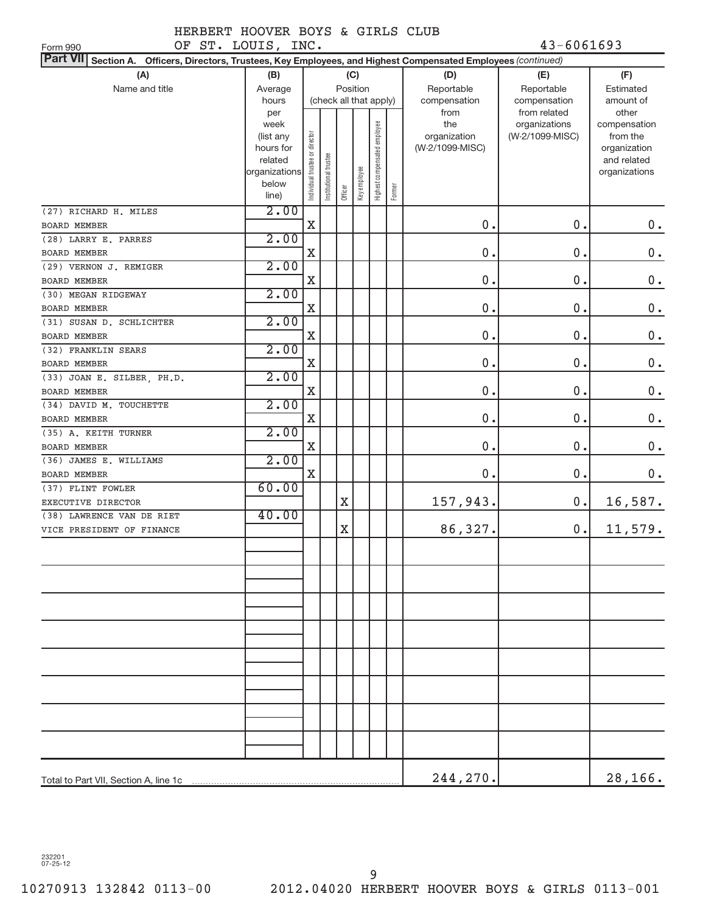OF ST. LOUIS, INC. 43-6061693

| (A)<br>(B)<br>(C)<br>(D)<br>(E)<br>(F)<br>Position<br>Name and title<br>Reportable<br>Reportable<br>Estimated<br>Average<br>(check all that apply)<br>hours<br>compensation<br>compensation<br>amount of<br>from related<br>from<br>other<br>per<br>week<br>Highest compensated employee<br>the<br>organizations<br>compensation<br>Individual trustee or director<br>organization<br>(W-2/1099-MISC)<br>(list any<br>from the<br>(W-2/1099-MISC)<br>hours for<br>organization<br>nstitutional trustee<br>and related<br>related<br>Key employee<br>organizations<br>organizations<br>below<br>Former<br>Officer<br>line)<br>2.00<br>0.<br>$\mathbf X$<br>0.<br>$0$ .<br>2.00<br>(28) LARRY E. PARRES<br>$\mathbf 0$ .<br>0.<br>0.<br>X<br>BOARD MEMBER<br>2.00<br>(29) VERNON J. REMIGER<br>0.<br>$\mathbf 0$ .<br>0.<br>X<br>2.00<br>$\mathbf 0$ .<br>$\mathbf X$<br>0.<br>0.<br>2.00<br>$\boldsymbol{0}$ .<br>0.<br>0.<br>X<br>2.00<br>(32) FRANKLIN SEARS<br>$\mathbf 0$ .<br>0.<br>0.<br>X<br>2.00<br>$(33)$ JOAN E. SILBER, PH.D.<br>0.<br>$\mathbf 0$ .<br>0.<br>X<br>BOARD MEMBER<br>2.00<br>(34) DAVID M. TOUCHETTE<br>0.<br>$\mathbf 0$ .<br>$\mathbf X$<br>0.<br>BOARD MEMBER<br>2.00<br>(35) A. KEITH TURNER<br>$\mathbf 0$ .<br>$\mathbf X$<br>0.<br>0.<br>BOARD MEMBER<br>2.00<br>(36) JAMES E. WILLIAMS<br>0.<br>$\mathbf 0$ .<br>0.<br>X<br>BOARD MEMBER<br>60.00<br>(37) FLINT FOWLER<br>157,943.<br>0.<br>16,587.<br>X<br>EXECUTIVE DIRECTOR<br>40.00<br>(38) LAWRENCE VAN DE RIET<br>86,327.<br>$\mathbf X$<br>$0$ .<br>11,579.<br>VICE PRESIDENT OF FINANCE<br>244,270.<br>28,166. | Part VII Section A. Officers, Directors, Trustees, Key Employees, and Highest Compensated Employees (continued) |  |  |  |  |  |
|--------------------------------------------------------------------------------------------------------------------------------------------------------------------------------------------------------------------------------------------------------------------------------------------------------------------------------------------------------------------------------------------------------------------------------------------------------------------------------------------------------------------------------------------------------------------------------------------------------------------------------------------------------------------------------------------------------------------------------------------------------------------------------------------------------------------------------------------------------------------------------------------------------------------------------------------------------------------------------------------------------------------------------------------------------------------------------------------------------------------------------------------------------------------------------------------------------------------------------------------------------------------------------------------------------------------------------------------------------------------------------------------------------------------------------------------------------------------------------------------------------------------------------------------------------------------------------------------------------|-----------------------------------------------------------------------------------------------------------------|--|--|--|--|--|
|                                                                                                                                                                                                                                                                                                                                                                                                                                                                                                                                                                                                                                                                                                                                                                                                                                                                                                                                                                                                                                                                                                                                                                                                                                                                                                                                                                                                                                                                                                                                                                                                        |                                                                                                                 |  |  |  |  |  |
|                                                                                                                                                                                                                                                                                                                                                                                                                                                                                                                                                                                                                                                                                                                                                                                                                                                                                                                                                                                                                                                                                                                                                                                                                                                                                                                                                                                                                                                                                                                                                                                                        |                                                                                                                 |  |  |  |  |  |
|                                                                                                                                                                                                                                                                                                                                                                                                                                                                                                                                                                                                                                                                                                                                                                                                                                                                                                                                                                                                                                                                                                                                                                                                                                                                                                                                                                                                                                                                                                                                                                                                        |                                                                                                                 |  |  |  |  |  |
|                                                                                                                                                                                                                                                                                                                                                                                                                                                                                                                                                                                                                                                                                                                                                                                                                                                                                                                                                                                                                                                                                                                                                                                                                                                                                                                                                                                                                                                                                                                                                                                                        |                                                                                                                 |  |  |  |  |  |
|                                                                                                                                                                                                                                                                                                                                                                                                                                                                                                                                                                                                                                                                                                                                                                                                                                                                                                                                                                                                                                                                                                                                                                                                                                                                                                                                                                                                                                                                                                                                                                                                        |                                                                                                                 |  |  |  |  |  |
|                                                                                                                                                                                                                                                                                                                                                                                                                                                                                                                                                                                                                                                                                                                                                                                                                                                                                                                                                                                                                                                                                                                                                                                                                                                                                                                                                                                                                                                                                                                                                                                                        | (27) RICHARD H. MILES                                                                                           |  |  |  |  |  |
|                                                                                                                                                                                                                                                                                                                                                                                                                                                                                                                                                                                                                                                                                                                                                                                                                                                                                                                                                                                                                                                                                                                                                                                                                                                                                                                                                                                                                                                                                                                                                                                                        | <b>BOARD MEMBER</b>                                                                                             |  |  |  |  |  |
|                                                                                                                                                                                                                                                                                                                                                                                                                                                                                                                                                                                                                                                                                                                                                                                                                                                                                                                                                                                                                                                                                                                                                                                                                                                                                                                                                                                                                                                                                                                                                                                                        |                                                                                                                 |  |  |  |  |  |
|                                                                                                                                                                                                                                                                                                                                                                                                                                                                                                                                                                                                                                                                                                                                                                                                                                                                                                                                                                                                                                                                                                                                                                                                                                                                                                                                                                                                                                                                                                                                                                                                        |                                                                                                                 |  |  |  |  |  |
|                                                                                                                                                                                                                                                                                                                                                                                                                                                                                                                                                                                                                                                                                                                                                                                                                                                                                                                                                                                                                                                                                                                                                                                                                                                                                                                                                                                                                                                                                                                                                                                                        |                                                                                                                 |  |  |  |  |  |
|                                                                                                                                                                                                                                                                                                                                                                                                                                                                                                                                                                                                                                                                                                                                                                                                                                                                                                                                                                                                                                                                                                                                                                                                                                                                                                                                                                                                                                                                                                                                                                                                        | <b>BOARD MEMBER</b>                                                                                             |  |  |  |  |  |
|                                                                                                                                                                                                                                                                                                                                                                                                                                                                                                                                                                                                                                                                                                                                                                                                                                                                                                                                                                                                                                                                                                                                                                                                                                                                                                                                                                                                                                                                                                                                                                                                        | (30) MEGAN RIDGEWAY                                                                                             |  |  |  |  |  |
|                                                                                                                                                                                                                                                                                                                                                                                                                                                                                                                                                                                                                                                                                                                                                                                                                                                                                                                                                                                                                                                                                                                                                                                                                                                                                                                                                                                                                                                                                                                                                                                                        | BOARD MEMBER                                                                                                    |  |  |  |  |  |
|                                                                                                                                                                                                                                                                                                                                                                                                                                                                                                                                                                                                                                                                                                                                                                                                                                                                                                                                                                                                                                                                                                                                                                                                                                                                                                                                                                                                                                                                                                                                                                                                        | (31) SUSAN D. SCHLICHTER                                                                                        |  |  |  |  |  |
|                                                                                                                                                                                                                                                                                                                                                                                                                                                                                                                                                                                                                                                                                                                                                                                                                                                                                                                                                                                                                                                                                                                                                                                                                                                                                                                                                                                                                                                                                                                                                                                                        | BOARD MEMBER                                                                                                    |  |  |  |  |  |
|                                                                                                                                                                                                                                                                                                                                                                                                                                                                                                                                                                                                                                                                                                                                                                                                                                                                                                                                                                                                                                                                                                                                                                                                                                                                                                                                                                                                                                                                                                                                                                                                        |                                                                                                                 |  |  |  |  |  |
|                                                                                                                                                                                                                                                                                                                                                                                                                                                                                                                                                                                                                                                                                                                                                                                                                                                                                                                                                                                                                                                                                                                                                                                                                                                                                                                                                                                                                                                                                                                                                                                                        | BOARD MEMBER                                                                                                    |  |  |  |  |  |
|                                                                                                                                                                                                                                                                                                                                                                                                                                                                                                                                                                                                                                                                                                                                                                                                                                                                                                                                                                                                                                                                                                                                                                                                                                                                                                                                                                                                                                                                                                                                                                                                        |                                                                                                                 |  |  |  |  |  |
|                                                                                                                                                                                                                                                                                                                                                                                                                                                                                                                                                                                                                                                                                                                                                                                                                                                                                                                                                                                                                                                                                                                                                                                                                                                                                                                                                                                                                                                                                                                                                                                                        |                                                                                                                 |  |  |  |  |  |
|                                                                                                                                                                                                                                                                                                                                                                                                                                                                                                                                                                                                                                                                                                                                                                                                                                                                                                                                                                                                                                                                                                                                                                                                                                                                                                                                                                                                                                                                                                                                                                                                        |                                                                                                                 |  |  |  |  |  |
|                                                                                                                                                                                                                                                                                                                                                                                                                                                                                                                                                                                                                                                                                                                                                                                                                                                                                                                                                                                                                                                                                                                                                                                                                                                                                                                                                                                                                                                                                                                                                                                                        |                                                                                                                 |  |  |  |  |  |
|                                                                                                                                                                                                                                                                                                                                                                                                                                                                                                                                                                                                                                                                                                                                                                                                                                                                                                                                                                                                                                                                                                                                                                                                                                                                                                                                                                                                                                                                                                                                                                                                        |                                                                                                                 |  |  |  |  |  |
|                                                                                                                                                                                                                                                                                                                                                                                                                                                                                                                                                                                                                                                                                                                                                                                                                                                                                                                                                                                                                                                                                                                                                                                                                                                                                                                                                                                                                                                                                                                                                                                                        |                                                                                                                 |  |  |  |  |  |
|                                                                                                                                                                                                                                                                                                                                                                                                                                                                                                                                                                                                                                                                                                                                                                                                                                                                                                                                                                                                                                                                                                                                                                                                                                                                                                                                                                                                                                                                                                                                                                                                        |                                                                                                                 |  |  |  |  |  |
|                                                                                                                                                                                                                                                                                                                                                                                                                                                                                                                                                                                                                                                                                                                                                                                                                                                                                                                                                                                                                                                                                                                                                                                                                                                                                                                                                                                                                                                                                                                                                                                                        |                                                                                                                 |  |  |  |  |  |
|                                                                                                                                                                                                                                                                                                                                                                                                                                                                                                                                                                                                                                                                                                                                                                                                                                                                                                                                                                                                                                                                                                                                                                                                                                                                                                                                                                                                                                                                                                                                                                                                        |                                                                                                                 |  |  |  |  |  |
|                                                                                                                                                                                                                                                                                                                                                                                                                                                                                                                                                                                                                                                                                                                                                                                                                                                                                                                                                                                                                                                                                                                                                                                                                                                                                                                                                                                                                                                                                                                                                                                                        |                                                                                                                 |  |  |  |  |  |
|                                                                                                                                                                                                                                                                                                                                                                                                                                                                                                                                                                                                                                                                                                                                                                                                                                                                                                                                                                                                                                                                                                                                                                                                                                                                                                                                                                                                                                                                                                                                                                                                        |                                                                                                                 |  |  |  |  |  |
|                                                                                                                                                                                                                                                                                                                                                                                                                                                                                                                                                                                                                                                                                                                                                                                                                                                                                                                                                                                                                                                                                                                                                                                                                                                                                                                                                                                                                                                                                                                                                                                                        |                                                                                                                 |  |  |  |  |  |
|                                                                                                                                                                                                                                                                                                                                                                                                                                                                                                                                                                                                                                                                                                                                                                                                                                                                                                                                                                                                                                                                                                                                                                                                                                                                                                                                                                                                                                                                                                                                                                                                        |                                                                                                                 |  |  |  |  |  |
|                                                                                                                                                                                                                                                                                                                                                                                                                                                                                                                                                                                                                                                                                                                                                                                                                                                                                                                                                                                                                                                                                                                                                                                                                                                                                                                                                                                                                                                                                                                                                                                                        |                                                                                                                 |  |  |  |  |  |
|                                                                                                                                                                                                                                                                                                                                                                                                                                                                                                                                                                                                                                                                                                                                                                                                                                                                                                                                                                                                                                                                                                                                                                                                                                                                                                                                                                                                                                                                                                                                                                                                        |                                                                                                                 |  |  |  |  |  |
|                                                                                                                                                                                                                                                                                                                                                                                                                                                                                                                                                                                                                                                                                                                                                                                                                                                                                                                                                                                                                                                                                                                                                                                                                                                                                                                                                                                                                                                                                                                                                                                                        |                                                                                                                 |  |  |  |  |  |
|                                                                                                                                                                                                                                                                                                                                                                                                                                                                                                                                                                                                                                                                                                                                                                                                                                                                                                                                                                                                                                                                                                                                                                                                                                                                                                                                                                                                                                                                                                                                                                                                        |                                                                                                                 |  |  |  |  |  |
|                                                                                                                                                                                                                                                                                                                                                                                                                                                                                                                                                                                                                                                                                                                                                                                                                                                                                                                                                                                                                                                                                                                                                                                                                                                                                                                                                                                                                                                                                                                                                                                                        |                                                                                                                 |  |  |  |  |  |
|                                                                                                                                                                                                                                                                                                                                                                                                                                                                                                                                                                                                                                                                                                                                                                                                                                                                                                                                                                                                                                                                                                                                                                                                                                                                                                                                                                                                                                                                                                                                                                                                        |                                                                                                                 |  |  |  |  |  |
|                                                                                                                                                                                                                                                                                                                                                                                                                                                                                                                                                                                                                                                                                                                                                                                                                                                                                                                                                                                                                                                                                                                                                                                                                                                                                                                                                                                                                                                                                                                                                                                                        |                                                                                                                 |  |  |  |  |  |
|                                                                                                                                                                                                                                                                                                                                                                                                                                                                                                                                                                                                                                                                                                                                                                                                                                                                                                                                                                                                                                                                                                                                                                                                                                                                                                                                                                                                                                                                                                                                                                                                        |                                                                                                                 |  |  |  |  |  |
|                                                                                                                                                                                                                                                                                                                                                                                                                                                                                                                                                                                                                                                                                                                                                                                                                                                                                                                                                                                                                                                                                                                                                                                                                                                                                                                                                                                                                                                                                                                                                                                                        |                                                                                                                 |  |  |  |  |  |
|                                                                                                                                                                                                                                                                                                                                                                                                                                                                                                                                                                                                                                                                                                                                                                                                                                                                                                                                                                                                                                                                                                                                                                                                                                                                                                                                                                                                                                                                                                                                                                                                        |                                                                                                                 |  |  |  |  |  |
|                                                                                                                                                                                                                                                                                                                                                                                                                                                                                                                                                                                                                                                                                                                                                                                                                                                                                                                                                                                                                                                                                                                                                                                                                                                                                                                                                                                                                                                                                                                                                                                                        |                                                                                                                 |  |  |  |  |  |
|                                                                                                                                                                                                                                                                                                                                                                                                                                                                                                                                                                                                                                                                                                                                                                                                                                                                                                                                                                                                                                                                                                                                                                                                                                                                                                                                                                                                                                                                                                                                                                                                        |                                                                                                                 |  |  |  |  |  |
|                                                                                                                                                                                                                                                                                                                                                                                                                                                                                                                                                                                                                                                                                                                                                                                                                                                                                                                                                                                                                                                                                                                                                                                                                                                                                                                                                                                                                                                                                                                                                                                                        |                                                                                                                 |  |  |  |  |  |
|                                                                                                                                                                                                                                                                                                                                                                                                                                                                                                                                                                                                                                                                                                                                                                                                                                                                                                                                                                                                                                                                                                                                                                                                                                                                                                                                                                                                                                                                                                                                                                                                        |                                                                                                                 |  |  |  |  |  |
|                                                                                                                                                                                                                                                                                                                                                                                                                                                                                                                                                                                                                                                                                                                                                                                                                                                                                                                                                                                                                                                                                                                                                                                                                                                                                                                                                                                                                                                                                                                                                                                                        |                                                                                                                 |  |  |  |  |  |
|                                                                                                                                                                                                                                                                                                                                                                                                                                                                                                                                                                                                                                                                                                                                                                                                                                                                                                                                                                                                                                                                                                                                                                                                                                                                                                                                                                                                                                                                                                                                                                                                        |                                                                                                                 |  |  |  |  |  |

232201 07-25-12

Form 990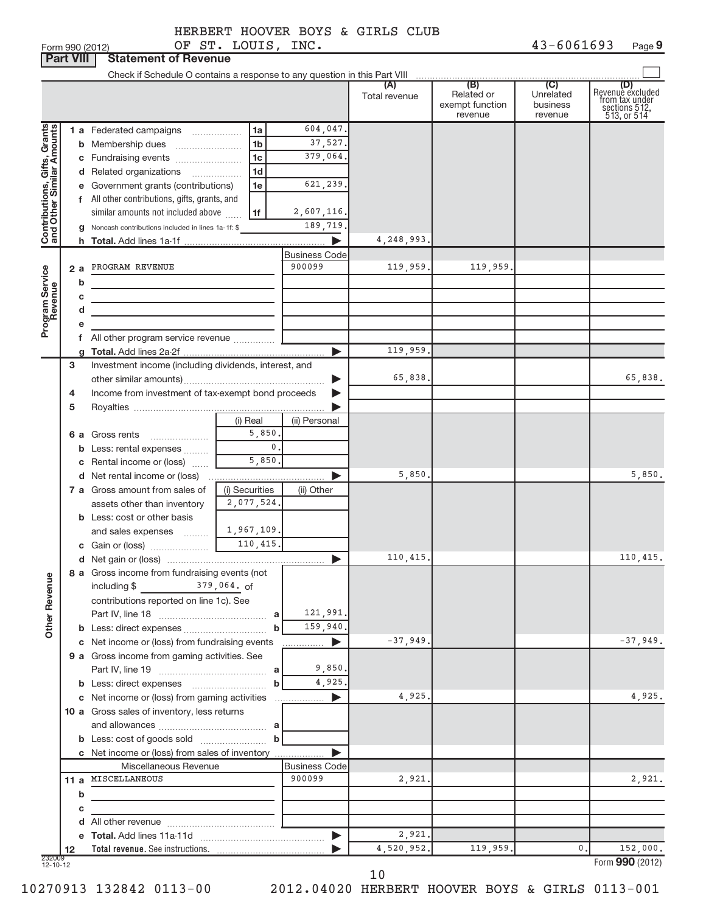Form 990 (2012) OP'S'I'。LOUIS,INC。 43-6 0 6 1 6 93 Page **9** OF ST. LOUIS, INC. 43-6061693

|                                                           | <b>Part VIII</b> | <b>Statement of Revenue</b>                                                                    |                     |                       |                      |                                                 |                                         |                                                                           |
|-----------------------------------------------------------|------------------|------------------------------------------------------------------------------------------------|---------------------|-----------------------|----------------------|-------------------------------------------------|-----------------------------------------|---------------------------------------------------------------------------|
|                                                           |                  |                                                                                                |                     |                       |                      |                                                 |                                         |                                                                           |
|                                                           |                  |                                                                                                |                     |                       | (A)<br>Total revenue | (B)<br>Related or<br>exempt function<br>revenue | (C)<br>Unrelated<br>business<br>revenue | (D)<br>Revenue excluded<br>from tax under<br>sections 512,<br>513, or 514 |
|                                                           |                  | 1 a Federated campaigns                                                                        | 1a                  | 604,047.              |                      |                                                 |                                         |                                                                           |
| Contributions, Gifts, Grants<br>and Other Similar Amounts |                  | <b>b</b> Membership dues                                                                       | 1 <sub>b</sub>      | 37,527.               |                      |                                                 |                                         |                                                                           |
|                                                           |                  | c Fundraising events                                                                           | 1 <sub>c</sub>      | 379,064.              |                      |                                                 |                                         |                                                                           |
|                                                           |                  | d Related organizations                                                                        | 1 <sub>d</sub><br>. |                       |                      |                                                 |                                         |                                                                           |
|                                                           |                  | e Government grants (contributions)                                                            | 1e                  | 621,239.              |                      |                                                 |                                         |                                                                           |
|                                                           |                  | f All other contributions, gifts, grants, and                                                  |                     |                       |                      |                                                 |                                         |                                                                           |
|                                                           |                  | similar amounts not included above                                                             | 1f                  | 2,607,116.            |                      |                                                 |                                         |                                                                           |
|                                                           | g                | Noncash contributions included in lines 1a-1f: \$                                              |                     | 189,719.              |                      |                                                 |                                         |                                                                           |
|                                                           |                  |                                                                                                |                     | ь                     | 4, 248, 993.         |                                                 |                                         |                                                                           |
|                                                           |                  |                                                                                                |                     | <b>Business Code</b>  |                      |                                                 |                                         |                                                                           |
|                                                           | 2a               | PROGRAM REVENUE                                                                                |                     | 900099                | 119,959.             | 119,959.                                        |                                         |                                                                           |
|                                                           | b                |                                                                                                |                     |                       |                      |                                                 |                                         |                                                                           |
|                                                           | с                |                                                                                                |                     |                       |                      |                                                 |                                         |                                                                           |
|                                                           | d                |                                                                                                |                     |                       |                      |                                                 |                                         |                                                                           |
| Program Service<br>Revenue                                | е                |                                                                                                |                     |                       |                      |                                                 |                                         |                                                                           |
|                                                           |                  | f All other program service revenue                                                            |                     |                       |                      |                                                 |                                         |                                                                           |
|                                                           |                  |                                                                                                |                     | ь                     | 119,959.             |                                                 |                                         |                                                                           |
|                                                           | 3                | Investment income (including dividends, interest, and                                          |                     |                       | 65,838.              |                                                 |                                         | 65,838.                                                                   |
|                                                           | 4                | Income from investment of tax-exempt bond proceeds                                             |                     |                       |                      |                                                 |                                         |                                                                           |
|                                                           | 5                |                                                                                                |                     |                       |                      |                                                 |                                         |                                                                           |
|                                                           |                  |                                                                                                | (i) Real            | (ii) Personal         |                      |                                                 |                                         |                                                                           |
|                                                           |                  | 6 a Gross rents                                                                                | 5,850.              |                       |                      |                                                 |                                         |                                                                           |
|                                                           | b                | Less: rental expenses                                                                          | 0.                  |                       |                      |                                                 |                                         |                                                                           |
|                                                           |                  | c Rental income or (loss)                                                                      | 5,850.              |                       |                      |                                                 |                                         |                                                                           |
|                                                           |                  | d Net rental income or (loss)                                                                  |                     | ▶                     | 5,850.               |                                                 |                                         | 5,850.                                                                    |
|                                                           |                  | 7 a Gross amount from sales of                                                                 | (i) Securities      | (ii) Other            |                      |                                                 |                                         |                                                                           |
|                                                           |                  | assets other than inventory                                                                    | 2,077,524.          |                       |                      |                                                 |                                         |                                                                           |
|                                                           |                  | <b>b</b> Less: cost or other basis                                                             |                     |                       |                      |                                                 |                                         |                                                                           |
|                                                           |                  | and sales expenses                                                                             | 1,967,109.          |                       |                      |                                                 |                                         |                                                                           |
|                                                           |                  | c Gain or (loss) 200 110, 415.                                                                 |                     |                       |                      |                                                 |                                         |                                                                           |
|                                                           |                  |                                                                                                |                     | ▶                     | 110,415.             |                                                 |                                         | 110,415.                                                                  |
|                                                           |                  | 8 a Gross income from fundraising events (not                                                  |                     |                       |                      |                                                 |                                         |                                                                           |
|                                                           |                  | $\frac{379}{1064}$ , 064. of<br>including $$$                                                  |                     |                       |                      |                                                 |                                         |                                                                           |
|                                                           |                  | contributions reported on line 1c). See                                                        |                     |                       |                      |                                                 |                                         |                                                                           |
| <b>Other Revenue</b>                                      |                  |                                                                                                | a                   | 121,991.              |                      |                                                 |                                         |                                                                           |
|                                                           |                  |                                                                                                | $\mathbf b$         | 159,940.<br>▶         | $-37,949.$           |                                                 |                                         | $-37,949.$                                                                |
|                                                           |                  | c Net income or (loss) from fundraising events<br>9 a Gross income from gaming activities. See |                     | .                     |                      |                                                 |                                         |                                                                           |
|                                                           |                  |                                                                                                |                     | 9,850.                |                      |                                                 |                                         |                                                                           |
|                                                           |                  |                                                                                                | b                   | 4,925.                |                      |                                                 |                                         |                                                                           |
|                                                           |                  | c Net income or (loss) from gaming activities                                                  |                     | $\blacktriangleright$ | 4,925.               |                                                 |                                         | 4,925.                                                                    |
|                                                           |                  | 10 a Gross sales of inventory, less returns                                                    |                     |                       |                      |                                                 |                                         |                                                                           |
|                                                           |                  |                                                                                                |                     |                       |                      |                                                 |                                         |                                                                           |
|                                                           |                  |                                                                                                | $\mathbf b$         |                       |                      |                                                 |                                         |                                                                           |
|                                                           |                  | c Net income or (loss) from sales of inventory                                                 |                     | ь                     |                      |                                                 |                                         |                                                                           |
|                                                           |                  | Miscellaneous Revenue                                                                          |                     | <b>Business Code</b>  |                      |                                                 |                                         |                                                                           |
|                                                           |                  | 11 a MISCELLANEOUS                                                                             |                     | 900099                | 2,921.               |                                                 |                                         | 2,921.                                                                    |
|                                                           | b                |                                                                                                |                     |                       |                      |                                                 |                                         |                                                                           |
|                                                           | с                |                                                                                                |                     |                       |                      |                                                 |                                         |                                                                           |
|                                                           | d                |                                                                                                |                     |                       |                      |                                                 |                                         |                                                                           |
|                                                           |                  |                                                                                                |                     | $\blacktriangleright$ | 2,921.               |                                                 |                                         |                                                                           |
| 232009<br>12-10-12                                        | 12               |                                                                                                |                     |                       | 4,520,952.           | 119,959.                                        | $0$ .                                   | 152,000.                                                                  |
|                                                           |                  |                                                                                                |                     |                       |                      |                                                 |                                         | Form 990 (2012)                                                           |

10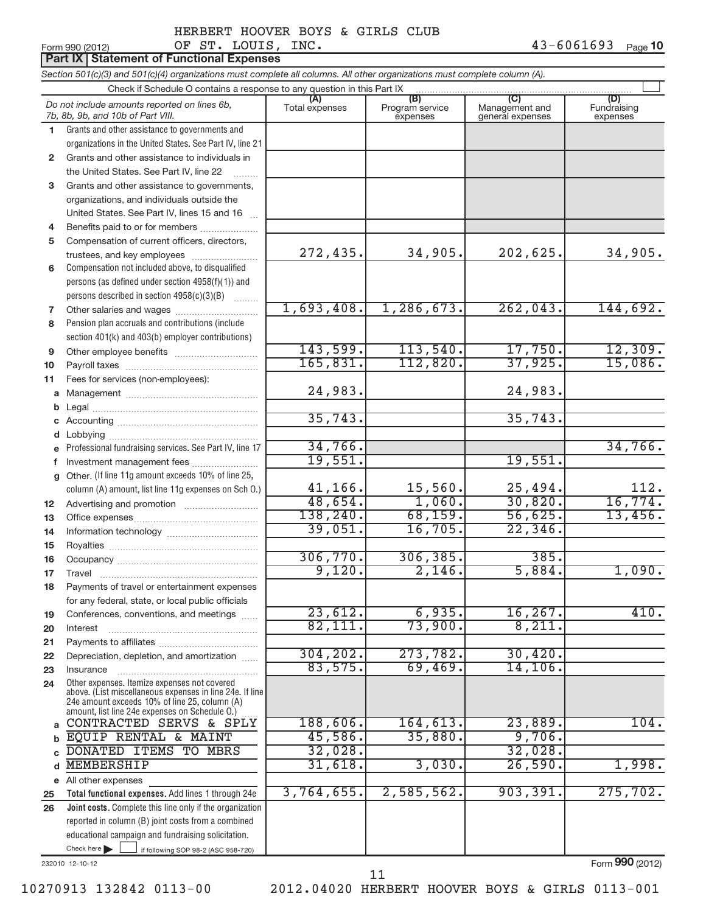|              | OF ST. LOUIS, INC.<br>Form 990 (2012)                                                                                                                       |                |                                    |                                           | $43 - 6061693$<br>Page 10      |
|--------------|-------------------------------------------------------------------------------------------------------------------------------------------------------------|----------------|------------------------------------|-------------------------------------------|--------------------------------|
|              | <b>Part IX   Statement of Functional Expenses</b>                                                                                                           |                |                                    |                                           |                                |
|              | Section 501(c)(3) and 501(c)(4) organizations must complete all columns. All other organizations must complete column (A).                                  |                |                                    |                                           |                                |
|              | Check if Schedule O contains a response to any question in this Part IX                                                                                     |                |                                    |                                           |                                |
|              | Do not include amounts reported on lines 6b,<br>7b, 8b, 9b, and 10b of Part VIII.                                                                           | Total expenses | (B)<br>Program service<br>expenses | (C)<br>Management and<br>general expenses | (D)<br>Fundraising<br>expenses |
| 1.           | Grants and other assistance to governments and                                                                                                              |                |                                    |                                           |                                |
|              | organizations in the United States. See Part IV, line 21                                                                                                    |                |                                    |                                           |                                |
| $\mathbf{2}$ | Grants and other assistance to individuals in                                                                                                               |                |                                    |                                           |                                |
|              | the United States. See Part IV, line 22                                                                                                                     |                |                                    |                                           |                                |
| 3            | Grants and other assistance to governments,                                                                                                                 |                |                                    |                                           |                                |
|              | organizations, and individuals outside the                                                                                                                  |                |                                    |                                           |                                |
|              | United States. See Part IV, lines 15 and 16                                                                                                                 |                |                                    |                                           |                                |
| 4            | Benefits paid to or for members                                                                                                                             |                |                                    |                                           |                                |
| 5            | Compensation of current officers, directors,                                                                                                                | 272,435.       | 34,905.                            | 202,625.                                  | 34,905.                        |
|              | trustees, and key employees                                                                                                                                 |                |                                    |                                           |                                |
| 6            | Compensation not included above, to disqualified<br>persons (as defined under section 4958(f)(1)) and                                                       |                |                                    |                                           |                                |
|              | persons described in section 4958(c)(3)(B)                                                                                                                  |                |                                    |                                           |                                |
| 7            |                                                                                                                                                             | 1,693,408.     | 1,286,673.                         | 262,043.                                  | 144,692.                       |
| 8            | Pension plan accruals and contributions (include                                                                                                            |                |                                    |                                           |                                |
|              | section 401(k) and 403(b) employer contributions)                                                                                                           |                |                                    |                                           |                                |
| 9            |                                                                                                                                                             | 143,599.       | 113,540.                           | 17,750.                                   | 12,309.                        |
| 10           |                                                                                                                                                             | 165,831.       | 112,820.                           | 37,925.                                   | 15,086.                        |
| 11           | Fees for services (non-employees):                                                                                                                          |                |                                    |                                           |                                |
|              |                                                                                                                                                             | 24,983.        |                                    | 24,983.                                   |                                |
| b            |                                                                                                                                                             |                |                                    |                                           |                                |
|              |                                                                                                                                                             | 35,743.        |                                    | 35,743.                                   |                                |
| d            | Lobbying                                                                                                                                                    |                |                                    |                                           |                                |
|              | e Professional fundraising services. See Part IV, line 17                                                                                                   | 34,766.        |                                    |                                           | 34,766.                        |
|              | Investment management fees                                                                                                                                  | 19,551.        |                                    | 19,551.                                   |                                |
|              | g Other. (If line 11g amount exceeds 10% of line 25,                                                                                                        |                |                                    |                                           |                                |
|              | column (A) amount, list line 11g expenses on Sch O.)                                                                                                        | 41,166.        | 15,560.                            | 25,494.                                   | 112.                           |
| 12           |                                                                                                                                                             | 48,654.        | 1,060.                             | 30,820.                                   | 16,774.                        |
| 13           |                                                                                                                                                             | 138,240.       | 68, 159.                           | 56,625.                                   | 13,456.                        |
| 14           |                                                                                                                                                             | 39,051.        | 16,705.                            | 22, 346.                                  |                                |
| 15           |                                                                                                                                                             |                |                                    |                                           |                                |
| 16           |                                                                                                                                                             | 306,770.       | 306, 385.                          | 385.                                      |                                |
| 17           | Travel                                                                                                                                                      | 9,120.         | 2,146.                             | 5,884.                                    | 1,090.                         |
| 18           | Payments of travel or entertainment expenses                                                                                                                |                |                                    |                                           |                                |
|              | for any federal, state, or local public officials                                                                                                           | 23,612.        | 6,935.                             |                                           | 410.                           |
| 19           | Conferences, conventions, and meetings                                                                                                                      | 82,111.        | 73,900.                            | 16, 267.<br>8,211.                        |                                |
| 20           | Interest                                                                                                                                                    |                |                                    |                                           |                                |
| 21           | Depreciation, depletion, and amortization                                                                                                                   | 304, 202.      | 273,782.                           | 30,420.                                   |                                |
| 22           | Insurance                                                                                                                                                   | 83,575.        | 69,469.                            | 14, 106.                                  |                                |
| 23<br>24     | Other expenses. Itemize expenses not covered                                                                                                                |                |                                    |                                           |                                |
|              | above. (List miscellaneous expenses in line 24e. If line<br>24e amount exceeds 10% of line 25, column (A)<br>amount, list line 24e expenses on Schedule O.) |                |                                    |                                           |                                |
|              | CONTRACTED SERVS & SPLY                                                                                                                                     | 188,606.       | 164, 613.                          | 23,889.                                   | 104.                           |
|              | EQUIP RENTAL & MAINT                                                                                                                                        | 45,586.        | 35,880.                            | 9,706.                                    |                                |
|              | DONATED ITEMS TO MBRS                                                                                                                                       | 32,028.        |                                    | 32,028.                                   |                                |
| d            | <b>MEMBERSHIP</b>                                                                                                                                           | 31,618.        | 3,030.                             | 26,590.                                   | 1,998.                         |
|              | e All other expenses                                                                                                                                        |                |                                    |                                           |                                |
| 25           | Total functional expenses. Add lines 1 through 24e                                                                                                          | 3,764,655.     | 2,585,562.                         | 903, 391.                                 | 275, 702.                      |
| 26           | Joint costs. Complete this line only if the organization                                                                                                    |                |                                    |                                           |                                |
|              | reported in column (B) joint costs from a combined                                                                                                          |                |                                    |                                           |                                |
|              | educational campaign and fundraising solicitation.                                                                                                          |                |                                    |                                           |                                |

232010 12-10-12

Form **990** (2012)

Check here if following SOP 98-2 (ASC 958-720)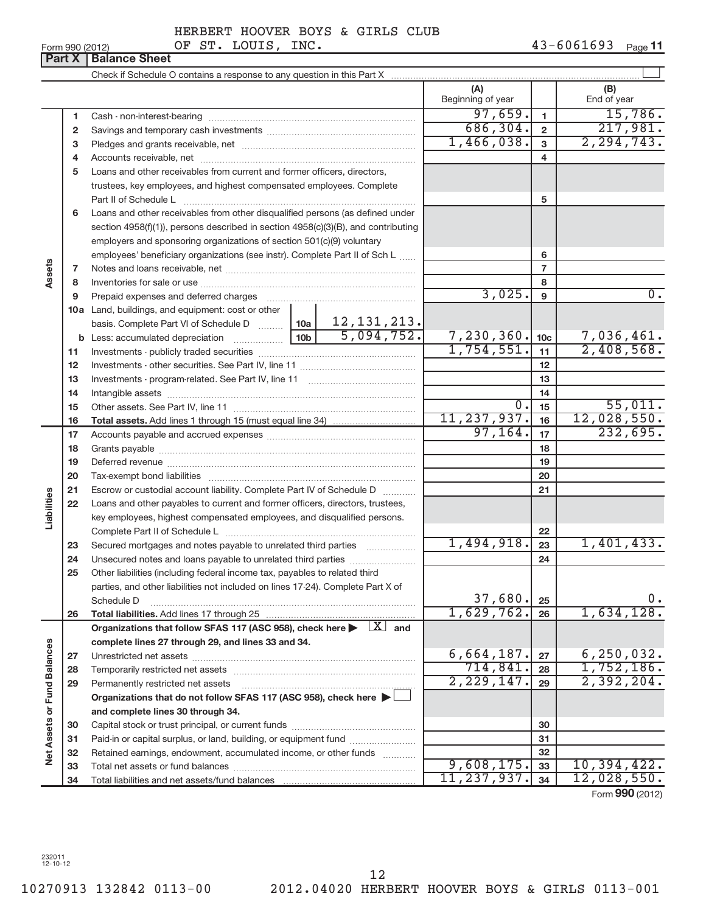**11**

### Form 990 (2012)  $OF ST. LOUIS, INC.$   $43-6061693$  Page

|                             |    |                                                                                                                         | (A)<br>Beginning of year |                 | (B)<br>End of year |
|-----------------------------|----|-------------------------------------------------------------------------------------------------------------------------|--------------------------|-----------------|--------------------|
|                             | 1  |                                                                                                                         | 97,659.                  | $\mathbf{1}$    | 15,786.            |
|                             | 2  |                                                                                                                         | 686,304.                 | $\overline{2}$  | 217,981.           |
|                             | 3  |                                                                                                                         | 1,466,038.               | $\overline{3}$  | 2, 294, 743.       |
|                             | 4  |                                                                                                                         |                          | 4               |                    |
|                             | 5  | Loans and other receivables from current and former officers, directors,                                                |                          |                 |                    |
|                             |    | trustees, key employees, and highest compensated employees. Complete                                                    |                          |                 |                    |
|                             |    | Part II of Schedule L                                                                                                   |                          | 5               |                    |
|                             | 6  | Loans and other receivables from other disqualified persons (as defined under                                           |                          |                 |                    |
|                             |    | section 4958(f)(1)), persons described in section 4958(c)(3)(B), and contributing                                       |                          |                 |                    |
|                             |    | employers and sponsoring organizations of section 501(c)(9) voluntary                                                   |                          |                 |                    |
|                             |    | employees' beneficiary organizations (see instr). Complete Part II of Sch L                                             |                          | 6               |                    |
| Assets                      | 7  |                                                                                                                         |                          | $\overline{7}$  |                    |
|                             | 8  |                                                                                                                         |                          | 8               |                    |
|                             | 9  | Prepaid expenses and deferred charges                                                                                   | 3,025.                   | 9               | 0.                 |
|                             |    | 10a Land, buildings, and equipment: cost or other                                                                       |                          |                 |                    |
|                             |    | basis. Complete Part VI of Schedule D  10a 12, 131, 213.                                                                |                          |                 |                    |
|                             | b  |                                                                                                                         | 7,230,360.               | 10 <sub>c</sub> | 7,036,461.         |
|                             | 11 |                                                                                                                         | 1,754,551.               | 11              | 2,408,568.         |
|                             | 12 |                                                                                                                         |                          | 12              |                    |
|                             | 13 |                                                                                                                         |                          | 13              |                    |
|                             | 14 | Intangible assets www.communication.com/www.communication.com/www.communication.com/www.communication.com/www.          |                          | 14              |                    |
|                             | 15 |                                                                                                                         | 0.                       | 15              | 55,011.            |
|                             | 16 |                                                                                                                         | 11, 237, 937.            | 16              | 12,028,550.        |
|                             | 17 |                                                                                                                         | 97, 164.                 | 17              | 232,695.           |
|                             | 18 |                                                                                                                         |                          | 18              |                    |
|                             | 19 |                                                                                                                         |                          | 19              |                    |
|                             | 20 |                                                                                                                         |                          | 20              |                    |
|                             | 21 | Escrow or custodial account liability. Complete Part IV of Schedule D                                                   |                          | 21              |                    |
| Liabilities                 | 22 | Loans and other payables to current and former officers, directors, trustees,                                           |                          |                 |                    |
|                             |    | key employees, highest compensated employees, and disqualified persons.                                                 |                          |                 |                    |
|                             |    |                                                                                                                         |                          | 22              |                    |
|                             | 23 | Secured mortgages and notes payable to unrelated third parties <i>manufacture</i>                                       | 1,494,918.               | 23              | 1,401,433.         |
|                             | 24 | Unsecured notes and loans payable to unrelated third parties                                                            |                          | 24              |                    |
|                             | 25 | Other liabilities (including federal income tax, payables to related third                                              |                          |                 |                    |
|                             |    | parties, and other liabilities not included on lines 17-24). Complete Part X of                                         | 37,680.                  |                 | $0$ .              |
|                             |    | Schedule D                                                                                                              | 1,629,762.               | 25              | 1,634,128.         |
|                             | 26 | Organizations that follow SFAS 117 (ASC 958), check here $\blacktriangleright \begin{array}{c} \perp X \end{array}$ and |                          | 26              |                    |
|                             |    | complete lines 27 through 29, and lines 33 and 34.                                                                      |                          |                 |                    |
|                             | 27 |                                                                                                                         | 6,664,187.               | 27              | 6, 250, 032.       |
|                             | 28 | Temporarily restricted net assets                                                                                       | 714,841.                 | 28              | 1,752,186.         |
|                             | 29 | Permanently restricted net assets                                                                                       | 2, 229, 147.             | 29              | 2,392,204.         |
|                             |    | Organizations that do not follow SFAS 117 (ASC 958), check here $\blacktriangleright$                                   |                          |                 |                    |
|                             |    | and complete lines 30 through 34.                                                                                       |                          |                 |                    |
| Net Assets or Fund Balances | 30 |                                                                                                                         |                          | 30              |                    |
|                             | 31 | Paid-in or capital surplus, or land, building, or equipment fund                                                        |                          | 31              |                    |
|                             | 32 | Retained earnings, endowment, accumulated income, or other funds                                                        |                          | 32              |                    |
|                             | 33 |                                                                                                                         | 9,608,175.               | 33              | 10, 394, 422.      |
|                             | 34 |                                                                                                                         | 11, 237, 937.            | 34              | 12,028,550.        |
|                             |    |                                                                                                                         |                          |                 |                    |

Form **990** (2012)

232011 12-10-12

**Part X** | Balance Sheet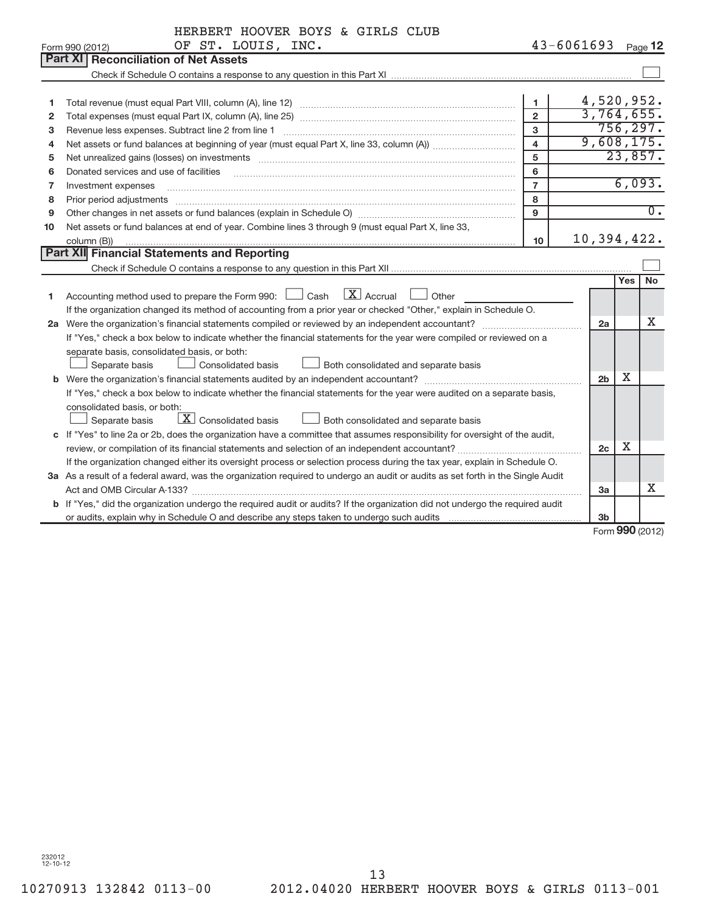| HERBERT HOOVER BOYS & GIRLS CLUB |  |  |  |  |
|----------------------------------|--|--|--|--|
|----------------------------------|--|--|--|--|

| <b>Part XI Reconciliation of Net Assets</b><br>4,520,952.<br>$\mathbf{1}$<br>1<br>3,764,655.<br>$\overline{2}$<br>2<br>756, 297.<br>$\mathbf{3}$<br>Revenue less expenses. Subtract line 2 from line 1<br>3<br>9,608,175.<br>$\overline{4}$<br>4<br>23,857.<br>5<br>5<br>$6\phantom{a}$<br>Donated services and use of facilities<br>6<br>6,093.<br>$\overline{7}$<br>Investment expenses<br>7<br>8<br>Prior period adjustments<br>8<br>$\overline{0}$ .<br>Other changes in net assets or fund balances (explain in Schedule O) [11] content changes in net assets or fund balances (explain in Schedule O) [11] content changes in net assets or fund balances (explain in Schedule O) [<br>9<br>9<br>Net assets or fund balances at end of year. Combine lines 3 through 9 (must equal Part X, line 33,<br>10<br>10,394,422.<br>10<br>column (B)) | OF ST. LOUIS, INC.<br>Form 990 (2012) | $43 - 6061693$ | Page 12 |
|------------------------------------------------------------------------------------------------------------------------------------------------------------------------------------------------------------------------------------------------------------------------------------------------------------------------------------------------------------------------------------------------------------------------------------------------------------------------------------------------------------------------------------------------------------------------------------------------------------------------------------------------------------------------------------------------------------------------------------------------------------------------------------------------------------------------------------------------------|---------------------------------------|----------------|---------|
|                                                                                                                                                                                                                                                                                                                                                                                                                                                                                                                                                                                                                                                                                                                                                                                                                                                      |                                       |                |         |
|                                                                                                                                                                                                                                                                                                                                                                                                                                                                                                                                                                                                                                                                                                                                                                                                                                                      |                                       |                |         |
|                                                                                                                                                                                                                                                                                                                                                                                                                                                                                                                                                                                                                                                                                                                                                                                                                                                      |                                       |                |         |
|                                                                                                                                                                                                                                                                                                                                                                                                                                                                                                                                                                                                                                                                                                                                                                                                                                                      |                                       |                |         |
|                                                                                                                                                                                                                                                                                                                                                                                                                                                                                                                                                                                                                                                                                                                                                                                                                                                      |                                       |                |         |
|                                                                                                                                                                                                                                                                                                                                                                                                                                                                                                                                                                                                                                                                                                                                                                                                                                                      |                                       |                |         |
|                                                                                                                                                                                                                                                                                                                                                                                                                                                                                                                                                                                                                                                                                                                                                                                                                                                      |                                       |                |         |
|                                                                                                                                                                                                                                                                                                                                                                                                                                                                                                                                                                                                                                                                                                                                                                                                                                                      |                                       |                |         |
|                                                                                                                                                                                                                                                                                                                                                                                                                                                                                                                                                                                                                                                                                                                                                                                                                                                      |                                       |                |         |
|                                                                                                                                                                                                                                                                                                                                                                                                                                                                                                                                                                                                                                                                                                                                                                                                                                                      |                                       |                |         |
|                                                                                                                                                                                                                                                                                                                                                                                                                                                                                                                                                                                                                                                                                                                                                                                                                                                      |                                       |                |         |
|                                                                                                                                                                                                                                                                                                                                                                                                                                                                                                                                                                                                                                                                                                                                                                                                                                                      |                                       |                |         |
|                                                                                                                                                                                                                                                                                                                                                                                                                                                                                                                                                                                                                                                                                                                                                                                                                                                      |                                       |                |         |
|                                                                                                                                                                                                                                                                                                                                                                                                                                                                                                                                                                                                                                                                                                                                                                                                                                                      |                                       |                |         |
| Part XII Financial Statements and Reporting                                                                                                                                                                                                                                                                                                                                                                                                                                                                                                                                                                                                                                                                                                                                                                                                          |                                       |                |         |
|                                                                                                                                                                                                                                                                                                                                                                                                                                                                                                                                                                                                                                                                                                                                                                                                                                                      |                                       |                |         |
| <b>No</b><br><b>Yes</b>                                                                                                                                                                                                                                                                                                                                                                                                                                                                                                                                                                                                                                                                                                                                                                                                                              |                                       |                |         |
| Accounting method used to prepare the Form 990: $\Box$ Cash $\Box$ Accrual $\Box$ Other<br>1                                                                                                                                                                                                                                                                                                                                                                                                                                                                                                                                                                                                                                                                                                                                                         |                                       |                |         |
| If the organization changed its method of accounting from a prior year or checked "Other," explain in Schedule O.                                                                                                                                                                                                                                                                                                                                                                                                                                                                                                                                                                                                                                                                                                                                    |                                       |                |         |
| X<br>2a                                                                                                                                                                                                                                                                                                                                                                                                                                                                                                                                                                                                                                                                                                                                                                                                                                              |                                       |                |         |
| If "Yes," check a box below to indicate whether the financial statements for the year were compiled or reviewed on a                                                                                                                                                                                                                                                                                                                                                                                                                                                                                                                                                                                                                                                                                                                                 |                                       |                |         |
| separate basis, consolidated basis, or both:                                                                                                                                                                                                                                                                                                                                                                                                                                                                                                                                                                                                                                                                                                                                                                                                         |                                       |                |         |
| Both consolidated and separate basis<br><b>Consolidated basis</b><br>Separate basis                                                                                                                                                                                                                                                                                                                                                                                                                                                                                                                                                                                                                                                                                                                                                                  |                                       |                |         |
| Χ<br>2 <sub>b</sub>                                                                                                                                                                                                                                                                                                                                                                                                                                                                                                                                                                                                                                                                                                                                                                                                                                  |                                       |                |         |
| If "Yes," check a box below to indicate whether the financial statements for the year were audited on a separate basis,                                                                                                                                                                                                                                                                                                                                                                                                                                                                                                                                                                                                                                                                                                                              |                                       |                |         |
| consolidated basis, or both:                                                                                                                                                                                                                                                                                                                                                                                                                                                                                                                                                                                                                                                                                                                                                                                                                         |                                       |                |         |
| $\boxed{\text{X}}$ Consolidated basis<br>Separate basis<br>Both consolidated and separate basis                                                                                                                                                                                                                                                                                                                                                                                                                                                                                                                                                                                                                                                                                                                                                      |                                       |                |         |
| c If "Yes" to line 2a or 2b, does the organization have a committee that assumes responsibility for oversight of the audit,                                                                                                                                                                                                                                                                                                                                                                                                                                                                                                                                                                                                                                                                                                                          |                                       |                |         |
| Χ<br>2 <sub>c</sub>                                                                                                                                                                                                                                                                                                                                                                                                                                                                                                                                                                                                                                                                                                                                                                                                                                  |                                       |                |         |
| If the organization changed either its oversight process or selection process during the tax year, explain in Schedule O.                                                                                                                                                                                                                                                                                                                                                                                                                                                                                                                                                                                                                                                                                                                            |                                       |                |         |
| 3a As a result of a federal award, was the organization required to undergo an audit or audits as set forth in the Single Audit                                                                                                                                                                                                                                                                                                                                                                                                                                                                                                                                                                                                                                                                                                                      |                                       |                |         |
| X<br>Act and OMB Circular A-133?<br>За                                                                                                                                                                                                                                                                                                                                                                                                                                                                                                                                                                                                                                                                                                                                                                                                               |                                       |                |         |
| b If "Yes," did the organization undergo the required audit or audits? If the organization did not undergo the required audit                                                                                                                                                                                                                                                                                                                                                                                                                                                                                                                                                                                                                                                                                                                        |                                       |                |         |
| 3 <sub>b</sub><br>$000 \text{ m}$                                                                                                                                                                                                                                                                                                                                                                                                                                                                                                                                                                                                                                                                                                                                                                                                                    |                                       |                |         |

Form (2012) **990**

232012 12-10-12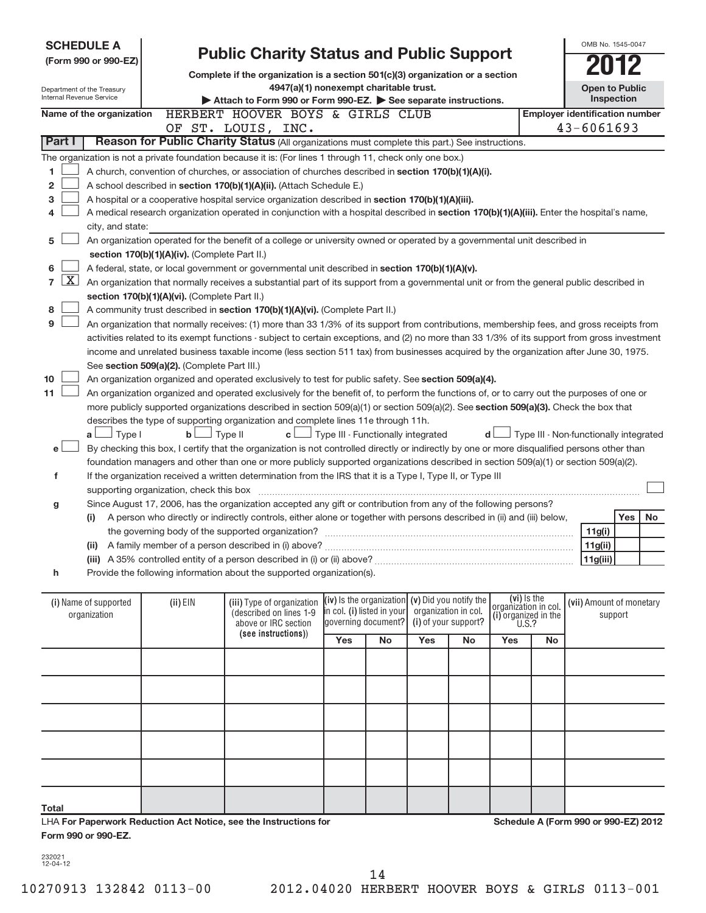| <b>SCHEDULE A</b><br><b>Public Charity Status and Public Support</b><br>(Form 990 or 990-EZ)<br>Complete if the organization is a section 501(c)(3) organization or a section<br>4947(a)(1) nonexempt charitable trust.<br>Department of the Treasury<br>Internal Revenue Service<br>Attach to Form 990 or Form 990-EZ. See separate instructions.<br>HERBERT HOOVER BOYS & GIRLS CLUB<br>Name of the organization |                                                                                                                                                           |                                               |                                                                                                                                               |                            |                     |                                                        | OMB No. 1545-0047<br><b>Open to Public</b>   | <b>Inspection</b>                  |                                      |                                                         |         |    |
|--------------------------------------------------------------------------------------------------------------------------------------------------------------------------------------------------------------------------------------------------------------------------------------------------------------------------------------------------------------------------------------------------------------------|-----------------------------------------------------------------------------------------------------------------------------------------------------------|-----------------------------------------------|-----------------------------------------------------------------------------------------------------------------------------------------------|----------------------------|---------------------|--------------------------------------------------------|----------------------------------------------|------------------------------------|--------------------------------------|---------------------------------------------------------|---------|----|
|                                                                                                                                                                                                                                                                                                                                                                                                                    |                                                                                                                                                           |                                               | OF ST. LOUIS, INC.                                                                                                                            |                            |                     |                                                        |                                              |                                    |                                      | <b>Employer identification number</b><br>$43 - 6061693$ |         |    |
| Part I                                                                                                                                                                                                                                                                                                                                                                                                             |                                                                                                                                                           |                                               | Reason for Public Charity Status (All organizations must complete this part.) See instructions.                                               |                            |                     |                                                        |                                              |                                    |                                      |                                                         |         |    |
|                                                                                                                                                                                                                                                                                                                                                                                                                    |                                                                                                                                                           |                                               | The organization is not a private foundation because it is: (For lines 1 through 11, check only one box.)                                     |                            |                     |                                                        |                                              |                                    |                                      |                                                         |         |    |
| 1                                                                                                                                                                                                                                                                                                                                                                                                                  |                                                                                                                                                           |                                               | A church, convention of churches, or association of churches described in section 170(b)(1)(A)(i).                                            |                            |                     |                                                        |                                              |                                    |                                      |                                                         |         |    |
| 2                                                                                                                                                                                                                                                                                                                                                                                                                  |                                                                                                                                                           |                                               | A school described in section 170(b)(1)(A)(ii). (Attach Schedule E.)                                                                          |                            |                     |                                                        |                                              |                                    |                                      |                                                         |         |    |
| 3                                                                                                                                                                                                                                                                                                                                                                                                                  |                                                                                                                                                           |                                               | A hospital or a cooperative hospital service organization described in section 170(b)(1)(A)(iii).                                             |                            |                     |                                                        |                                              |                                    |                                      |                                                         |         |    |
| 4                                                                                                                                                                                                                                                                                                                                                                                                                  |                                                                                                                                                           |                                               | A medical research organization operated in conjunction with a hospital described in section 170(b)(1)(A)(iii). Enter the hospital's name,    |                            |                     |                                                        |                                              |                                    |                                      |                                                         |         |    |
|                                                                                                                                                                                                                                                                                                                                                                                                                    | city, and state:                                                                                                                                          |                                               |                                                                                                                                               |                            |                     |                                                        |                                              |                                    |                                      |                                                         |         |    |
| 5                                                                                                                                                                                                                                                                                                                                                                                                                  |                                                                                                                                                           |                                               | An organization operated for the benefit of a college or university owned or operated by a governmental unit described in                     |                            |                     |                                                        |                                              |                                    |                                      |                                                         |         |    |
| section 170(b)(1)(A)(iv). (Complete Part II.)                                                                                                                                                                                                                                                                                                                                                                      |                                                                                                                                                           |                                               |                                                                                                                                               |                            |                     |                                                        |                                              |                                    |                                      |                                                         |         |    |
| 6                                                                                                                                                                                                                                                                                                                                                                                                                  |                                                                                                                                                           |                                               | A federal, state, or local government or governmental unit described in section 170(b)(1)(A)(v).                                              |                            |                     |                                                        |                                              |                                    |                                      |                                                         |         |    |
| $\overline{7}$                                                                                                                                                                                                                                                                                                                                                                                                     | $\mathbf{X}$<br>An organization that normally receives a substantial part of its support from a governmental unit or from the general public described in |                                               |                                                                                                                                               |                            |                     |                                                        |                                              |                                    |                                      |                                                         |         |    |
|                                                                                                                                                                                                                                                                                                                                                                                                                    |                                                                                                                                                           | section 170(b)(1)(A)(vi). (Complete Part II.) |                                                                                                                                               |                            |                     |                                                        |                                              |                                    |                                      |                                                         |         |    |
| 8                                                                                                                                                                                                                                                                                                                                                                                                                  | A community trust described in section 170(b)(1)(A)(vi). (Complete Part II.)                                                                              |                                               |                                                                                                                                               |                            |                     |                                                        |                                              |                                    |                                      |                                                         |         |    |
| 9                                                                                                                                                                                                                                                                                                                                                                                                                  |                                                                                                                                                           |                                               | An organization that normally receives: (1) more than 33 1/3% of its support from contributions, membership fees, and gross receipts from     |                            |                     |                                                        |                                              |                                    |                                      |                                                         |         |    |
|                                                                                                                                                                                                                                                                                                                                                                                                                    |                                                                                                                                                           |                                               | activities related to its exempt functions - subject to certain exceptions, and (2) no more than 33 1/3% of its support from gross investment |                            |                     |                                                        |                                              |                                    |                                      |                                                         |         |    |
|                                                                                                                                                                                                                                                                                                                                                                                                                    |                                                                                                                                                           |                                               | income and unrelated business taxable income (less section 511 tax) from businesses acquired by the organization after June 30, 1975.         |                            |                     |                                                        |                                              |                                    |                                      |                                                         |         |    |
|                                                                                                                                                                                                                                                                                                                                                                                                                    |                                                                                                                                                           | See section 509(a)(2). (Complete Part III.)   |                                                                                                                                               |                            |                     |                                                        |                                              |                                    |                                      |                                                         |         |    |
| 10                                                                                                                                                                                                                                                                                                                                                                                                                 |                                                                                                                                                           |                                               | An organization organized and operated exclusively to test for public safety. See section 509(a)(4).                                          |                            |                     |                                                        |                                              |                                    |                                      |                                                         |         |    |
| 11                                                                                                                                                                                                                                                                                                                                                                                                                 |                                                                                                                                                           |                                               | An organization organized and operated exclusively for the benefit of, to perform the functions of, or to carry out the purposes of one or    |                            |                     |                                                        |                                              |                                    |                                      |                                                         |         |    |
|                                                                                                                                                                                                                                                                                                                                                                                                                    |                                                                                                                                                           |                                               | more publicly supported organizations described in section 509(a)(1) or section 509(a)(2). See section 509(a)(3). Check the box that          |                            |                     |                                                        |                                              |                                    |                                      |                                                         |         |    |
|                                                                                                                                                                                                                                                                                                                                                                                                                    |                                                                                                                                                           |                                               | describes the type of supporting organization and complete lines 11e through 11h.                                                             |                            |                     |                                                        |                                              |                                    |                                      |                                                         |         |    |
|                                                                                                                                                                                                                                                                                                                                                                                                                    | $a \Box$ Type I                                                                                                                                           | $b$ $\Box$                                    | Type II                                                                                                                                       |                            |                     | $\mathbf{c}$ $\Box$ Type III - Functionally integrated |                                              | d l                                |                                      | Type III - Non-functionally integrated                  |         |    |
| e L                                                                                                                                                                                                                                                                                                                                                                                                                |                                                                                                                                                           |                                               | By checking this box, I certify that the organization is not controlled directly or indirectly by one or more disqualified persons other than |                            |                     |                                                        |                                              |                                    |                                      |                                                         |         |    |
|                                                                                                                                                                                                                                                                                                                                                                                                                    |                                                                                                                                                           |                                               | foundation managers and other than one or more publicly supported organizations described in section 509(a)(1) or section 509(a)(2).          |                            |                     |                                                        |                                              |                                    |                                      |                                                         |         |    |
| f                                                                                                                                                                                                                                                                                                                                                                                                                  |                                                                                                                                                           |                                               | If the organization received a written determination from the IRS that it is a Type I, Type II, or Type III                                   |                            |                     |                                                        |                                              |                                    |                                      |                                                         |         |    |
|                                                                                                                                                                                                                                                                                                                                                                                                                    |                                                                                                                                                           | supporting organization, check this box       |                                                                                                                                               |                            |                     |                                                        |                                              |                                    |                                      |                                                         |         |    |
| g                                                                                                                                                                                                                                                                                                                                                                                                                  |                                                                                                                                                           |                                               | Since August 17, 2006, has the organization accepted any gift or contribution from any of the following persons?                              |                            |                     |                                                        |                                              |                                    |                                      |                                                         |         |    |
|                                                                                                                                                                                                                                                                                                                                                                                                                    | (i)                                                                                                                                                       |                                               | A person who directly or indirectly controls, either alone or together with persons described in (ii) and (iii) below,                        |                            |                     |                                                        |                                              |                                    |                                      |                                                         | Yes     | No |
|                                                                                                                                                                                                                                                                                                                                                                                                                    |                                                                                                                                                           |                                               | the governing body of the supported organization?                                                                                             |                            |                     |                                                        |                                              |                                    |                                      | 11g(i)                                                  |         |    |
|                                                                                                                                                                                                                                                                                                                                                                                                                    |                                                                                                                                                           |                                               | (ii) A family member of a person described in (i) above?                                                                                      |                            |                     |                                                        |                                              |                                    |                                      | 11g(ii)                                                 |         |    |
|                                                                                                                                                                                                                                                                                                                                                                                                                    |                                                                                                                                                           |                                               | (iii) A 35% controlled entity of a person described in (i) or (ii) above?                                                                     |                            |                     |                                                        |                                              |                                    |                                      | 11g(iii)                                                |         |    |
| h                                                                                                                                                                                                                                                                                                                                                                                                                  |                                                                                                                                                           |                                               | Provide the following information about the supported organization(s).                                                                        |                            |                     |                                                        |                                              |                                    |                                      |                                                         |         |    |
|                                                                                                                                                                                                                                                                                                                                                                                                                    |                                                                                                                                                           |                                               |                                                                                                                                               |                            |                     |                                                        |                                              |                                    |                                      |                                                         |         |    |
|                                                                                                                                                                                                                                                                                                                                                                                                                    | (i) Name of supported<br>organization                                                                                                                     | (ii) EIN                                      | (iii) Type of organization<br>(described on lines 1-9<br>above or IRC section<br>(see instructions))                                          | in col. (i) listed in your | governing document? | (iv) is the organization $(v)$ Did you notify the      | organization in col.<br>(i) of your support? | $(vi)$ Is the organization in col. | (i) organized in the<br><b>U.S.?</b> | (vii) Amount of monetary                                | support |    |
|                                                                                                                                                                                                                                                                                                                                                                                                                    |                                                                                                                                                           |                                               |                                                                                                                                               | Yes                        | <b>No</b>           | Yes                                                    | No                                           | Yes                                | <b>No</b>                            |                                                         |         |    |
|                                                                                                                                                                                                                                                                                                                                                                                                                    |                                                                                                                                                           |                                               |                                                                                                                                               |                            |                     |                                                        |                                              |                                    |                                      |                                                         |         |    |
|                                                                                                                                                                                                                                                                                                                                                                                                                    |                                                                                                                                                           |                                               |                                                                                                                                               |                            |                     |                                                        |                                              |                                    |                                      |                                                         |         |    |

**Schedule A (Form 990 or 990-EZ) 2012**

**Total**

**For Paperwork Reduction Act Notice, see the Instructions for** LHA **Form 990 or 990-EZ.**

232021 12-04-12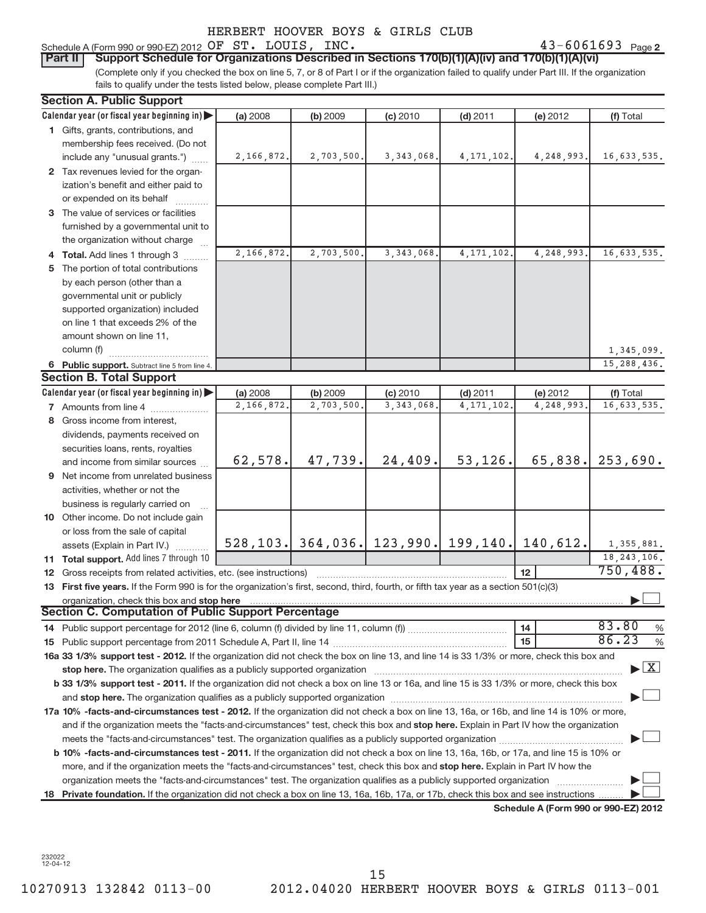**Schedule A (Form 990 or 990-EZ) 2012**

232022 12-04-12

# T. LOUIS, INC.

| Schedule A (Form 990 or 990-EZ) 2012 OF ST. LOUIS, |  |  | INC. |                 | $43 - 6061693$ | Page 2 |
|----------------------------------------------------|--|--|------|-----------------|----------------|--------|
|                                                    |  |  |      | _______________ |                |        |

(Complete only if you checked the box on line 5, 7, or 8 of Part I or if the organization failed to qualify under Part III. If the organization fails to qualify under the tests listed below, please complete Part III.) **Part II** Support Schedule for Organizations Described in Sections 170(b)(1)(A)(iv) and 170(b)(1)(A)(vi)

|                                                                                                                                  | <b>Section A. Public Support</b>                                                                                                                                                                                               |            |            |                                                   |              |            |                                    |  |  |  |  |  |  |
|----------------------------------------------------------------------------------------------------------------------------------|--------------------------------------------------------------------------------------------------------------------------------------------------------------------------------------------------------------------------------|------------|------------|---------------------------------------------------|--------------|------------|------------------------------------|--|--|--|--|--|--|
|                                                                                                                                  | Calendar year (or fiscal year beginning in)                                                                                                                                                                                    | (a) 2008   | (b) 2009   | (c) 2010                                          | $(d)$ 2011   | (e) 2012   | (f) Total                          |  |  |  |  |  |  |
|                                                                                                                                  | 1 Gifts, grants, contributions, and                                                                                                                                                                                            |            |            |                                                   |              |            |                                    |  |  |  |  |  |  |
|                                                                                                                                  | membership fees received. (Do not                                                                                                                                                                                              |            |            |                                                   |              |            |                                    |  |  |  |  |  |  |
|                                                                                                                                  | include any "unusual grants.")                                                                                                                                                                                                 | 2,166,872. | 2,703,500. | 3, 343, 068.                                      | 4, 171, 102. | 4,248,993. | 16,633,535.                        |  |  |  |  |  |  |
|                                                                                                                                  | 2 Tax revenues levied for the organ-                                                                                                                                                                                           |            |            |                                                   |              |            |                                    |  |  |  |  |  |  |
|                                                                                                                                  | ization's benefit and either paid to                                                                                                                                                                                           |            |            |                                                   |              |            |                                    |  |  |  |  |  |  |
|                                                                                                                                  | or expended on its behalf                                                                                                                                                                                                      |            |            |                                                   |              |            |                                    |  |  |  |  |  |  |
|                                                                                                                                  | 3 The value of services or facilities                                                                                                                                                                                          |            |            |                                                   |              |            |                                    |  |  |  |  |  |  |
|                                                                                                                                  | furnished by a governmental unit to                                                                                                                                                                                            |            |            |                                                   |              |            |                                    |  |  |  |  |  |  |
|                                                                                                                                  | the organization without charge                                                                                                                                                                                                |            |            |                                                   |              |            |                                    |  |  |  |  |  |  |
|                                                                                                                                  | Total. Add lines 1 through 3                                                                                                                                                                                                   | 2,166,872. | 2,703,500. | 3, 343, 068.                                      | 4, 171, 102. | 4,248,993. | 16,633,535.                        |  |  |  |  |  |  |
|                                                                                                                                  | The portion of total contributions                                                                                                                                                                                             |            |            |                                                   |              |            |                                    |  |  |  |  |  |  |
|                                                                                                                                  | by each person (other than a                                                                                                                                                                                                   |            |            |                                                   |              |            |                                    |  |  |  |  |  |  |
|                                                                                                                                  | governmental unit or publicly                                                                                                                                                                                                  |            |            |                                                   |              |            |                                    |  |  |  |  |  |  |
|                                                                                                                                  | supported organization) included                                                                                                                                                                                               |            |            |                                                   |              |            |                                    |  |  |  |  |  |  |
|                                                                                                                                  | on line 1 that exceeds 2% of the                                                                                                                                                                                               |            |            |                                                   |              |            |                                    |  |  |  |  |  |  |
|                                                                                                                                  | amount shown on line 11,                                                                                                                                                                                                       |            |            |                                                   |              |            |                                    |  |  |  |  |  |  |
|                                                                                                                                  | column (f)                                                                                                                                                                                                                     |            |            |                                                   |              |            | 1,345,099.                         |  |  |  |  |  |  |
|                                                                                                                                  | 6 Public support. Subtract line 5 from line 4.                                                                                                                                                                                 |            |            |                                                   |              |            | 15,288,436.                        |  |  |  |  |  |  |
|                                                                                                                                  | <b>Section B. Total Support</b>                                                                                                                                                                                                |            |            |                                                   |              |            |                                    |  |  |  |  |  |  |
|                                                                                                                                  | Calendar year (or fiscal year beginning in)                                                                                                                                                                                    | (a) 2008   | (b) 2009   | (c) 2010                                          | $(d)$ 2011   | (e) 2012   | (f) Total                          |  |  |  |  |  |  |
|                                                                                                                                  | <b>7</b> Amounts from line 4                                                                                                                                                                                                   | 2,166,872. | 2,703,500. | 3, 343, 068.                                      | 4, 171, 102. | 4,248,993. | 16,633,535.                        |  |  |  |  |  |  |
| 8                                                                                                                                | Gross income from interest,                                                                                                                                                                                                    |            |            |                                                   |              |            |                                    |  |  |  |  |  |  |
|                                                                                                                                  | dividends, payments received on                                                                                                                                                                                                |            |            |                                                   |              |            |                                    |  |  |  |  |  |  |
|                                                                                                                                  | securities loans, rents, royalties                                                                                                                                                                                             |            |            |                                                   |              |            |                                    |  |  |  |  |  |  |
|                                                                                                                                  | and income from similar sources                                                                                                                                                                                                | 62,578.    | 47,739.    | 24,409.                                           | 53,126.      | 65,838.    | 253,690.                           |  |  |  |  |  |  |
|                                                                                                                                  | 9 Net income from unrelated business                                                                                                                                                                                           |            |            |                                                   |              |            |                                    |  |  |  |  |  |  |
|                                                                                                                                  | activities, whether or not the                                                                                                                                                                                                 |            |            |                                                   |              |            |                                    |  |  |  |  |  |  |
|                                                                                                                                  | business is regularly carried on                                                                                                                                                                                               |            |            |                                                   |              |            |                                    |  |  |  |  |  |  |
|                                                                                                                                  | 10 Other income. Do not include gain                                                                                                                                                                                           |            |            |                                                   |              |            |                                    |  |  |  |  |  |  |
|                                                                                                                                  | or loss from the sale of capital                                                                                                                                                                                               |            |            |                                                   |              |            |                                    |  |  |  |  |  |  |
|                                                                                                                                  | assets (Explain in Part IV.)                                                                                                                                                                                                   |            |            | 528, 103. 364, 036. 123, 990. 199, 140. 140, 612. |              |            | 1,355,881.                         |  |  |  |  |  |  |
|                                                                                                                                  | 11 Total support. Add lines 7 through 10                                                                                                                                                                                       |            |            |                                                   |              |            | 18, 243, 106.                      |  |  |  |  |  |  |
| 12                                                                                                                               | Gross receipts from related activities, etc. (see instructions)                                                                                                                                                                |            |            |                                                   |              | 12         | 750,488.                           |  |  |  |  |  |  |
|                                                                                                                                  | 13 First five years. If the Form 990 is for the organization's first, second, third, fourth, or fifth tax year as a section 501(c)(3)                                                                                          |            |            |                                                   |              |            |                                    |  |  |  |  |  |  |
|                                                                                                                                  | organization, check this box and stop here                                                                                                                                                                                     |            |            |                                                   |              |            |                                    |  |  |  |  |  |  |
|                                                                                                                                  | <b>Section C. Computation of Public Support Percentage</b>                                                                                                                                                                     |            |            |                                                   |              |            |                                    |  |  |  |  |  |  |
|                                                                                                                                  |                                                                                                                                                                                                                                |            |            |                                                   |              | 14         | 83.80<br>%                         |  |  |  |  |  |  |
|                                                                                                                                  |                                                                                                                                                                                                                                |            |            |                                                   |              | 15         | 86.23<br>$\%$                      |  |  |  |  |  |  |
|                                                                                                                                  | 16a 33 1/3% support test - 2012. If the organization did not check the box on line 13, and line 14 is 33 1/3% or more, check this box and                                                                                      |            |            |                                                   |              |            |                                    |  |  |  |  |  |  |
|                                                                                                                                  | stop here. The organization qualifies as a publicly supported organization manufactured content and the support of the state of the state of the state of the state of the state of the state of the state of the state of the |            |            |                                                   |              |            | $\blacktriangleright$ $\mathbf{X}$ |  |  |  |  |  |  |
|                                                                                                                                  | b 33 1/3% support test - 2011. If the organization did not check a box on line 13 or 16a, and line 15 is 33 1/3% or more, check this box                                                                                       |            |            |                                                   |              |            |                                    |  |  |  |  |  |  |
|                                                                                                                                  | and stop here. The organization qualifies as a publicly supported organization [11] manuscription manuscription manuscription manuscription manuscription manuscription manuscription manuscription manuscription manuscriptio |            |            |                                                   |              |            |                                    |  |  |  |  |  |  |
|                                                                                                                                  | 17a 10% -facts-and-circumstances test - 2012. If the organization did not check a box on line 13, 16a, or 16b, and line 14 is 10% or more,                                                                                     |            |            |                                                   |              |            |                                    |  |  |  |  |  |  |
|                                                                                                                                  | and if the organization meets the "facts-and-circumstances" test, check this box and stop here. Explain in Part IV how the organization                                                                                        |            |            |                                                   |              |            |                                    |  |  |  |  |  |  |
|                                                                                                                                  |                                                                                                                                                                                                                                |            |            |                                                   |              |            |                                    |  |  |  |  |  |  |
|                                                                                                                                  | b 10% -facts-and-circumstances test - 2011. If the organization did not check a box on line 13, 16a, 16b, or 17a, and line 15 is 10% or                                                                                        |            |            |                                                   |              |            |                                    |  |  |  |  |  |  |
| more, and if the organization meets the "facts-and-circumstances" test, check this box and stop here. Explain in Part IV how the |                                                                                                                                                                                                                                |            |            |                                                   |              |            |                                    |  |  |  |  |  |  |
|                                                                                                                                  | organization meets the "facts-and-circumstances" test. The organization qualifies as a publicly supported organization                                                                                                         |            |            |                                                   |              |            |                                    |  |  |  |  |  |  |
| 18                                                                                                                               | Private foundation. If the organization did not check a box on line 13, 16a, 16b, 17a, or 17b, check this box and see instructions                                                                                             |            |            |                                                   |              |            |                                    |  |  |  |  |  |  |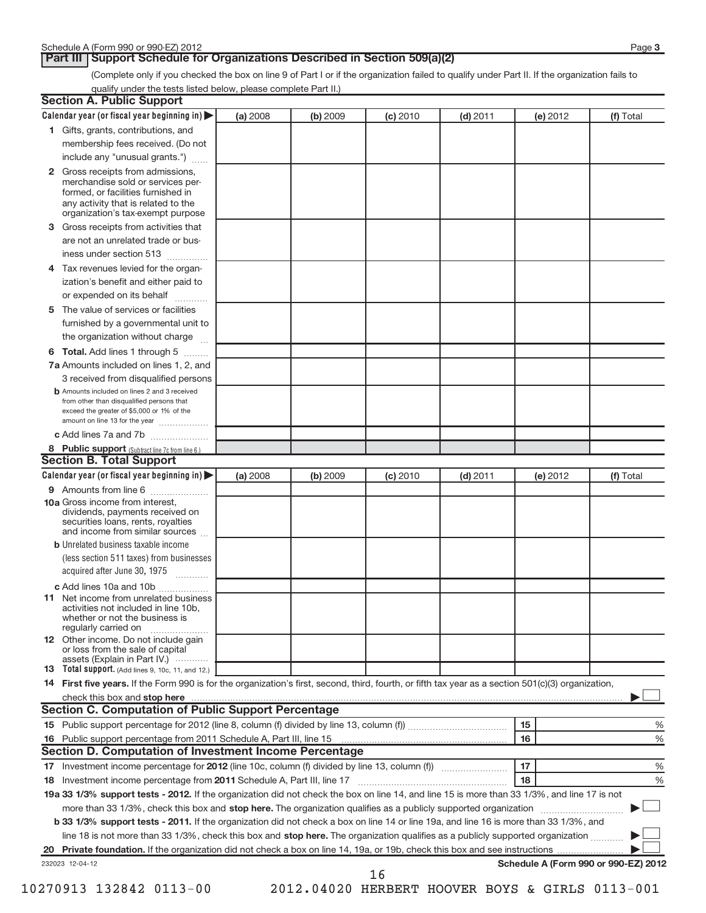**Part III | Support Schedule for Organizations Described in Section 509(a)(2)** 

(Complete only if you checked the box on line 9 of Part I or if the organization failed to qualify under Part II. If the organization fails to qualify under the tests listed below, please complete Part II.)

| <b>Section A. Public Support</b>                                                                                                                                                         |          |          |          |            |          |                                      |
|------------------------------------------------------------------------------------------------------------------------------------------------------------------------------------------|----------|----------|----------|------------|----------|--------------------------------------|
| Calendar year (or fiscal year beginning in)                                                                                                                                              | (a) 2008 | (b) 2009 | (c) 2010 | $(d)$ 2011 | (e) 2012 | (f) Total                            |
| 1 Gifts, grants, contributions, and                                                                                                                                                      |          |          |          |            |          |                                      |
| membership fees received. (Do not                                                                                                                                                        |          |          |          |            |          |                                      |
| include any "unusual grants.")                                                                                                                                                           |          |          |          |            |          |                                      |
| 2 Gross receipts from admissions,<br>merchandise sold or services per-<br>formed, or facilities furnished in<br>any activity that is related to the<br>organization's tax-exempt purpose |          |          |          |            |          |                                      |
| <b>3</b> Gross receipts from activities that                                                                                                                                             |          |          |          |            |          |                                      |
| are not an unrelated trade or bus-                                                                                                                                                       |          |          |          |            |          |                                      |
| iness under section 513                                                                                                                                                                  |          |          |          |            |          |                                      |
| 4 Tax revenues levied for the organ-                                                                                                                                                     |          |          |          |            |          |                                      |
| ization's benefit and either paid to<br>or expended on its behalf<br>.                                                                                                                   |          |          |          |            |          |                                      |
| 5 The value of services or facilities                                                                                                                                                    |          |          |          |            |          |                                      |
| furnished by a governmental unit to                                                                                                                                                      |          |          |          |            |          |                                      |
| the organization without charge                                                                                                                                                          |          |          |          |            |          |                                      |
| 6 Total. Add lines 1 through 5                                                                                                                                                           |          |          |          |            |          |                                      |
| 7a Amounts included on lines 1, 2, and                                                                                                                                                   |          |          |          |            |          |                                      |
| 3 received from disqualified persons                                                                                                                                                     |          |          |          |            |          |                                      |
| <b>b</b> Amounts included on lines 2 and 3 received<br>from other than disqualified persons that<br>exceed the greater of \$5,000 or 1% of the<br>amount on line 13 for the year         |          |          |          |            |          |                                      |
| c Add lines 7a and 7b                                                                                                                                                                    |          |          |          |            |          |                                      |
| 8 Public support (Subtract line 7c from line 6.)<br><b>Section B. Total Support</b>                                                                                                      |          |          |          |            |          |                                      |
| Calendar year (or fiscal year beginning in)                                                                                                                                              | (a) 2008 | (b) 2009 | (c) 2010 | $(d)$ 2011 | (e) 2012 | (f) Total                            |
| 9 Amounts from line 6                                                                                                                                                                    |          |          |          |            |          |                                      |
| <b>10a</b> Gross income from interest,<br>dividends, payments received on<br>securities loans, rents, royalties<br>and income from similar sources                                       |          |          |          |            |          |                                      |
| <b>b</b> Unrelated business taxable income                                                                                                                                               |          |          |          |            |          |                                      |
| (less section 511 taxes) from businesses                                                                                                                                                 |          |          |          |            |          |                                      |
| acquired after June 30, 1975                                                                                                                                                             |          |          |          |            |          |                                      |
| c Add lines 10a and 10b                                                                                                                                                                  |          |          |          |            |          |                                      |
| <b>11</b> Net income from unrelated business<br>activities not included in line 10b,<br>whether or not the business is<br>regularly carried on                                           |          |          |          |            |          |                                      |
| 12 Other income. Do not include gain<br>or loss from the sale of capital                                                                                                                 |          |          |          |            |          |                                      |
| assets (Explain in Part IV.) $\cdots$<br><b>13</b> Total support. (Add lines 9, 10c, 11, and 12.)                                                                                        |          |          |          |            |          |                                      |
| 14 First five years. If the Form 990 is for the organization's first, second, third, fourth, or fifth tax year as a section 501(c)(3) organization,                                      |          |          |          |            |          |                                      |
| check this box and stop here                                                                                                                                                             |          |          |          |            |          |                                      |
| <b>Section C. Computation of Public Support Percentage</b>                                                                                                                               |          |          |          |            |          |                                      |
|                                                                                                                                                                                          |          |          |          |            | 15       | %                                    |
| 16 Public support percentage from 2011 Schedule A, Part III, line 15                                                                                                                     |          |          |          |            | 16       | %                                    |
| Section D. Computation of Investment Income Percentage                                                                                                                                   |          |          |          |            |          |                                      |
|                                                                                                                                                                                          |          |          |          |            | 17       | %                                    |
| 18 Investment income percentage from 2011 Schedule A, Part III, line 17                                                                                                                  |          |          |          |            | 18       | %                                    |
| 19a 33 1/3% support tests - 2012. If the organization did not check the box on line 14, and line 15 is more than 33 1/3%, and line 17 is not                                             |          |          |          |            |          |                                      |
| more than 33 1/3%, check this box and stop here. The organization qualifies as a publicly supported organization                                                                         |          |          |          |            |          |                                      |
| <b>b 33 1/3% support tests - 2011.</b> If the organization did not check a box on line 14 or line 19a, and line 16 is more than 33 1/3%, and                                             |          |          |          |            |          |                                      |
| line 18 is not more than 33 1/3%, check this box and stop here. The organization qualifies as a publicly supported organization                                                          |          |          |          |            |          |                                      |
|                                                                                                                                                                                          |          |          |          |            |          |                                      |
| 232023 12-04-12                                                                                                                                                                          |          |          | 16       |            |          | Schedule A (Form 990 or 990-EZ) 2012 |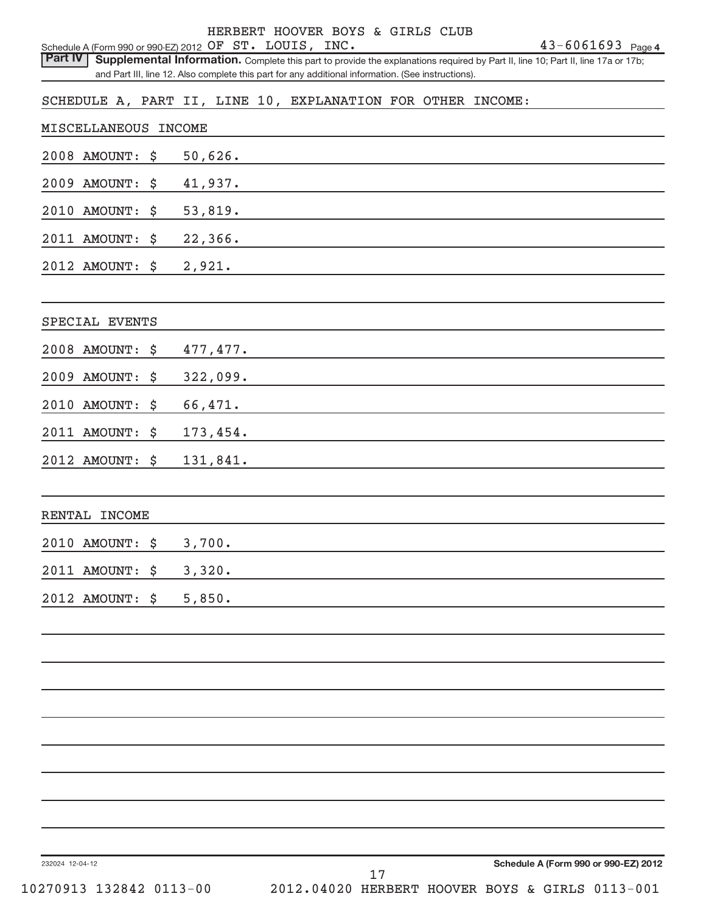|                                                                           |                                                                                                                                  | HERBERT HOOVER BOYS & GIRLS CLUB |  |                                      |  |
|---------------------------------------------------------------------------|----------------------------------------------------------------------------------------------------------------------------------|----------------------------------|--|--------------------------------------|--|
| Schedule A (Form 990 or 990-EZ) 2012 OF ST. LOUIS, INC.<br><b>Part IV</b> | Supplemental Information. Complete this part to provide the explanations required by Part II, line 10; Part II, line 17a or 17b; |                                  |  | $43 - 6061693$ Page 4                |  |
|                                                                           | and Part III, line 12. Also complete this part for any additional information. (See instructions).                               |                                  |  |                                      |  |
| SCHEDULE A, PART II, LINE 10, EXPLANATION FOR OTHER INCOME:               |                                                                                                                                  |                                  |  |                                      |  |
| MISCELLANEOUS INCOME                                                      |                                                                                                                                  |                                  |  |                                      |  |
|                                                                           |                                                                                                                                  |                                  |  |                                      |  |
| 2008 AMOUNT:<br>\$                                                        | 50,626.                                                                                                                          |                                  |  |                                      |  |
| 2009 AMOUNT:<br>\$                                                        | 41,937.                                                                                                                          |                                  |  |                                      |  |
| 2010 AMOUNT:<br>\$                                                        | 53,819.                                                                                                                          |                                  |  |                                      |  |
| 2011 AMOUNT:<br>\$                                                        | 22,366.                                                                                                                          |                                  |  |                                      |  |
| 2012 AMOUNT: \$                                                           | 2,921.                                                                                                                           |                                  |  |                                      |  |
| SPECIAL EVENTS                                                            |                                                                                                                                  |                                  |  |                                      |  |
| 2008 AMOUNT:<br>\$                                                        | 477,477.                                                                                                                         |                                  |  |                                      |  |
| 2009 AMOUNT:<br>\$                                                        | 322,099.                                                                                                                         |                                  |  |                                      |  |
| 2010 AMOUNT:<br>\$                                                        | 66,471.                                                                                                                          |                                  |  |                                      |  |
| 2011 AMOUNT:<br>\$                                                        | 173,454.                                                                                                                         |                                  |  |                                      |  |
| 2012 AMOUNT: \$                                                           | 131,841.                                                                                                                         |                                  |  |                                      |  |
| RENTAL INCOME                                                             |                                                                                                                                  |                                  |  |                                      |  |
| 2010 AMOUNT: \$                                                           | 3,700.                                                                                                                           |                                  |  |                                      |  |
| 2011 AMOUNT:<br>\$                                                        | 3,320.                                                                                                                           |                                  |  |                                      |  |
| 2012 AMOUNT:<br>\$                                                        | 5,850.                                                                                                                           |                                  |  |                                      |  |
|                                                                           |                                                                                                                                  |                                  |  |                                      |  |
|                                                                           |                                                                                                                                  |                                  |  |                                      |  |
|                                                                           |                                                                                                                                  |                                  |  |                                      |  |
|                                                                           |                                                                                                                                  |                                  |  |                                      |  |
|                                                                           |                                                                                                                                  |                                  |  |                                      |  |
|                                                                           |                                                                                                                                  |                                  |  |                                      |  |
|                                                                           |                                                                                                                                  |                                  |  |                                      |  |
|                                                                           |                                                                                                                                  |                                  |  |                                      |  |
| 232024 12-04-12                                                           |                                                                                                                                  | 17                               |  | Schedule A (Form 990 or 990-EZ) 2012 |  |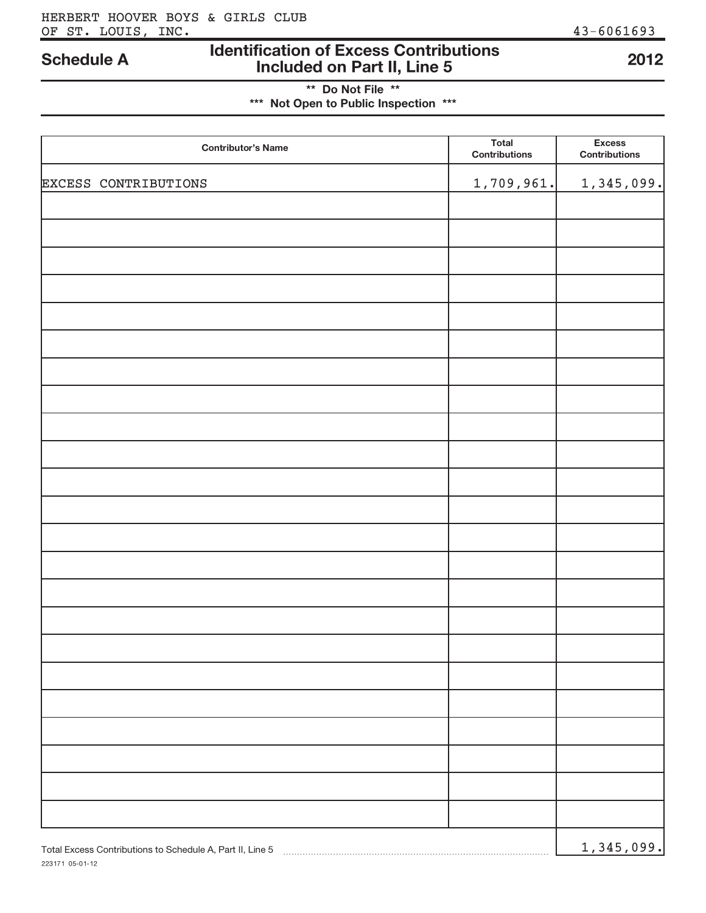### **Identification of Excess ContributionsIncluded on Part II, Line 5 Schedule A 2012**

**\*\* Do Not File \*\*\*\*\* Not Open to Public Inspection \*\*\***

| <b>Contributor's Name</b>                                 | <b>Total</b><br><b>Contributions</b> | <b>Excess</b><br><b>Contributions</b> |
|-----------------------------------------------------------|--------------------------------------|---------------------------------------|
| EXCESS CONTRIBUTIONS                                      | 1,709,961.                           | 1,345,099.                            |
|                                                           |                                      |                                       |
|                                                           |                                      |                                       |
|                                                           |                                      |                                       |
|                                                           |                                      |                                       |
|                                                           |                                      |                                       |
|                                                           |                                      |                                       |
|                                                           |                                      |                                       |
|                                                           |                                      |                                       |
|                                                           |                                      |                                       |
|                                                           |                                      |                                       |
|                                                           |                                      |                                       |
|                                                           |                                      |                                       |
|                                                           |                                      |                                       |
|                                                           |                                      |                                       |
|                                                           |                                      |                                       |
|                                                           |                                      |                                       |
|                                                           |                                      |                                       |
|                                                           |                                      |                                       |
|                                                           |                                      |                                       |
|                                                           |                                      |                                       |
|                                                           |                                      |                                       |
|                                                           |                                      |                                       |
| Total Excess Contributions to Schedule A, Part II, Line 5 |                                      | 1,345,099.                            |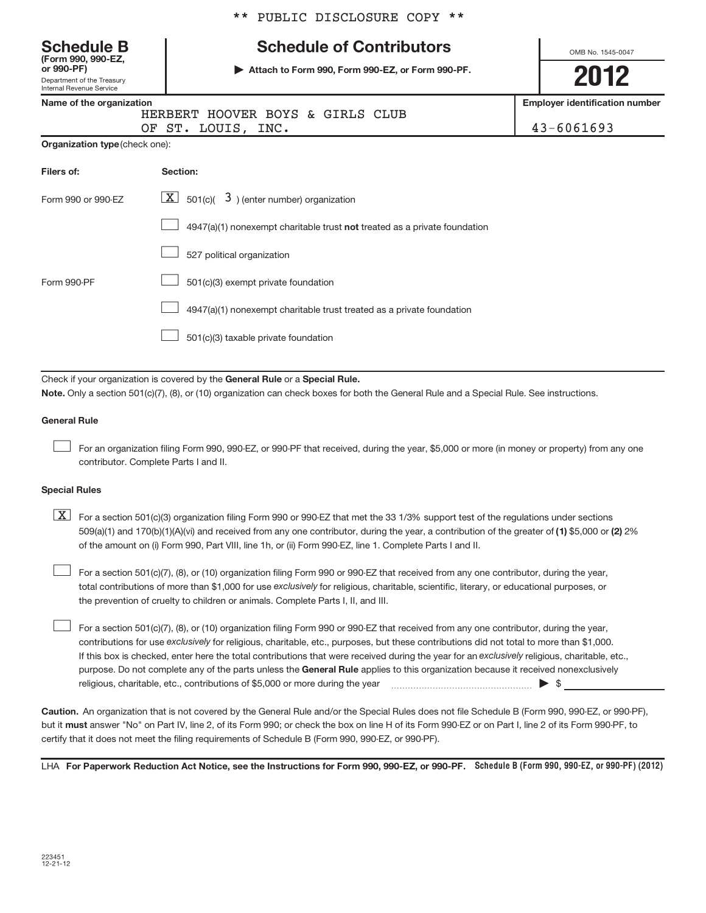# **(Form 990, 990-EZ,**

Department of the Treasury Internal Revenue Service **or 990-PF)**

## **Schedule B The Schedule of Contributors**

**| Attach to Form 990, Form 990-EZ, or Form 990-PF.**

OMB No. 1545-0047

**2012**

**Employer identification number**

|  | Name of the organization |     |
|--|--------------------------|-----|
|  |                          | HER |

| . |                                  |  |  |  | <b>LUPPORT INCHINIVAN</b> |  |
|---|----------------------------------|--|--|--|---------------------------|--|
|   | HERBERT HOOVER BOYS & GIRLS CLUB |  |  |  |                           |  |
|   | OF ST. LOUIS, INC.               |  |  |  | $43 - 6061693$            |  |

| <b>Organization type (check one):</b> |
|---------------------------------------|
|                                       |

| Filers of:         | Section:                                                                    |
|--------------------|-----------------------------------------------------------------------------|
| Form 990 or 990-EZ | $\boxed{\textbf{X}}$ 501(c)( 3) (enter number) organization                 |
|                    | $4947(a)(1)$ nonexempt charitable trust not treated as a private foundation |
|                    | 527 political organization                                                  |
| Form 990-PF        | 501(c)(3) exempt private foundation                                         |
|                    | 4947(a)(1) nonexempt charitable trust treated as a private foundation       |
|                    | 501(c)(3) taxable private foundation                                        |

Check if your organization is covered by the General Rule or a Special Rule.

**Note.**  Only a section 501(c)(7), (8), or (10) organization can check boxes for both the General Rule and a Special Rule. See instructions.

### **General Rule**

-

-

For an organization filing Form 990, 990-EZ, or 990-PF that received, during the year, \$5,000 or more (in money or property) from any one contributor. Complete Parts I and II.

### **Special Rules**

509(a)(1) and 170(b)(1)(A)(vi) and received from any one contributor, during the year, a contribution of the greater of **(1)** \$5,000 or **(2)** 2%  $\boxed{\textbf{X}}$  For a section 501(c)(3) organization filing Form 990 or 990-EZ that met the 33 1/3% support test of the regulations under sections of the amount on (i) Form 990, Part VIII, line 1h, or (ii) Form 990-EZ, line 1. Complete Parts I and II.

total contributions of more than \$1,000 for use ex*clusively* for religious, charitable, scientific, literary, or educational purposes, or For a section 501(c)(7), (8), or (10) organization filing Form 990 or 990-EZ that received from any one contributor, during the year, the prevention of cruelty to children or animals. Complete Parts I, II, and III.

purpose. Do not complete any of the parts unless the General Rule applies to this organization because it received nonexclusively contributions for use exclusively for religious, charitable, etc., purposes, but these contributions did not total to more than \$1,000. If this box is checked, enter here the total contributions that were received during the year for an exclusively religious, charitable, etc., For a section 501(c)(7), (8), or (10) organization filing Form 990 or 990-EZ that received from any one contributor, during the year, religious, charitable, etc., contributions of \$5,000 or more during the year  $\sim$   $\sim$   $\sim$   $\sim$  \$ -

**Caution.**An organization that is not covered by the General Rule and/or the Special Rules does not file Schedule B (Form 990, 990-EZ, or 990-PF), but it **must** answer "No" on Part IV, line 2, of its Form 990; or check the box on line H of its Form 990-EZ or on Part I, line 2 of its Form 990-PF, to certify that it does not meet the filing requirements of Schedule B (Form 990, 990-EZ, or 990-PF).

LHA For Paperwork Reduction Act Notice, see the Instructions for Form 990, 990-EZ, or 990-PF. Schedule B (Form 990, 990-EZ, or 990-PF) (2012)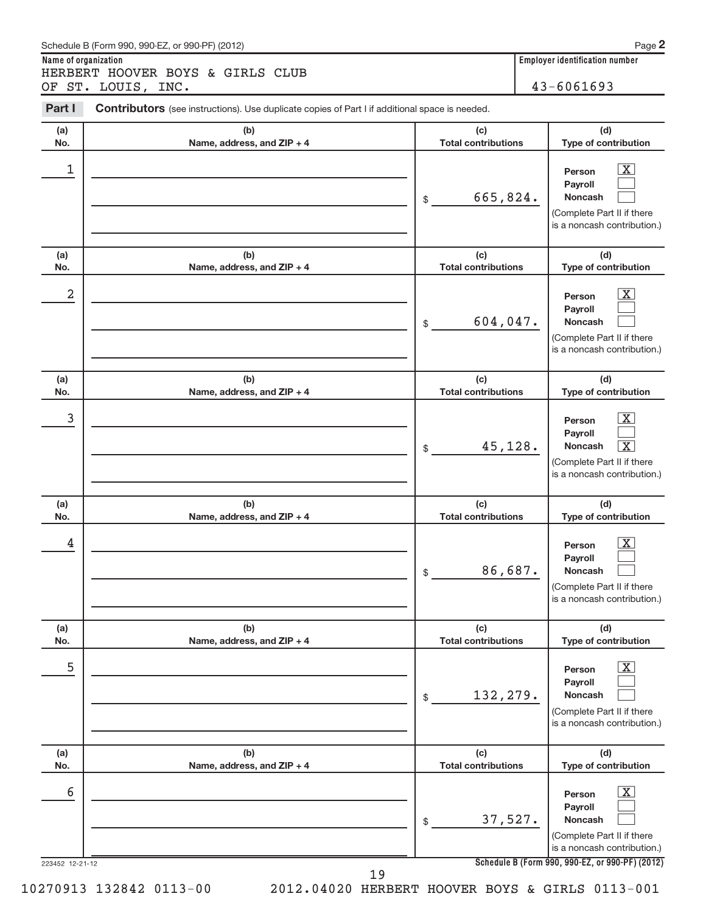| Schedule B (Form 990, 990-EZ, or 990-PF) (2012)                                                                 |  |     | Page 2                                                  |
|-----------------------------------------------------------------------------------------------------------------|--|-----|---------------------------------------------------------|
| Name of organization<br>HERBERT HOOVER BOYS & GIRLS CLUB<br>OF ST. LOUIS, INC.                                  |  |     | <b>Employer identification number</b><br>$43 - 6061693$ |
| Part I<br><b>Contributors</b> (see instructions). Use duplicate copies of Part I if additional space is needed. |  |     |                                                         |
| (a)<br>(b)                                                                                                      |  | (c) | (d)                                                     |

| (a)<br>No.           | (b)<br>Name, address, and ZIP + 4 | (c)<br><b>Total contributions</b> | (d)<br>Type of contribution                                                                                                                                           |
|----------------------|-----------------------------------|-----------------------------------|-----------------------------------------------------------------------------------------------------------------------------------------------------------------------|
| 1                    |                                   | 665,824.<br>\$                    | $\overline{\mathbf{X}}$<br>Person<br>Payroll<br><b>Noncash</b><br>(Complete Part II if there<br>is a noncash contribution.)                                           |
| (a)<br>No.           | (b)<br>Name, address, and ZIP + 4 | (c)<br><b>Total contributions</b> | (d)<br>Type of contribution                                                                                                                                           |
| 2                    |                                   | $604,047$ .<br>\$                 | $\overline{\mathbf{X}}$<br>Person<br>Payroll<br><b>Noncash</b><br>(Complete Part II if there<br>is a noncash contribution.)                                           |
| (a)<br>No.           | (b)<br>Name, address, and ZIP + 4 | (c)<br><b>Total contributions</b> | (d)<br>Type of contribution                                                                                                                                           |
| 3                    |                                   | 45,128.<br>\$                     | $\overline{\mathbf{X}}$<br>Person<br>Payroll<br>$\overline{\text{X}}$<br>Noncash<br>(Complete Part II if there<br>is a noncash contribution.)                         |
| (a)<br>No.           | (b)<br>Name, address, and ZIP + 4 | (c)<br><b>Total contributions</b> | (d)<br>Type of contribution                                                                                                                                           |
| 4                    |                                   | 86,687.<br>\$                     | $\overline{\mathbf{X}}$<br>Person<br>Payroll<br>Noncash<br>(Complete Part II if there<br>is a noncash contribution.)                                                  |
| (a)<br>No.           | (b)<br>Name, address, and ZIP + 4 | (c)<br><b>Total contributions</b> | (d)<br>Type of contribution                                                                                                                                           |
| 5                    |                                   | 132,279.<br>\$                    | $\overline{\text{X}}$<br>Person<br>Payroll<br>Noncash<br>(Complete Part II if there<br>is a noncash contribution.)                                                    |
| (a)<br>No.           | (b)<br>Name, address, and ZIP + 4 | (c)<br><b>Total contributions</b> | (d)<br>Type of contribution                                                                                                                                           |
| 6<br>223452 12-21-12 |                                   | 37,527.<br>\$                     | $\overline{\text{X}}$<br>Person<br>Payroll<br>Noncash<br>(Complete Part II if there<br>is a noncash contribution.)<br>Schedule B (Form 990, 990-EZ, or 990-PF) (2012) |
|                      | 19                                |                                   |                                                                                                                                                                       |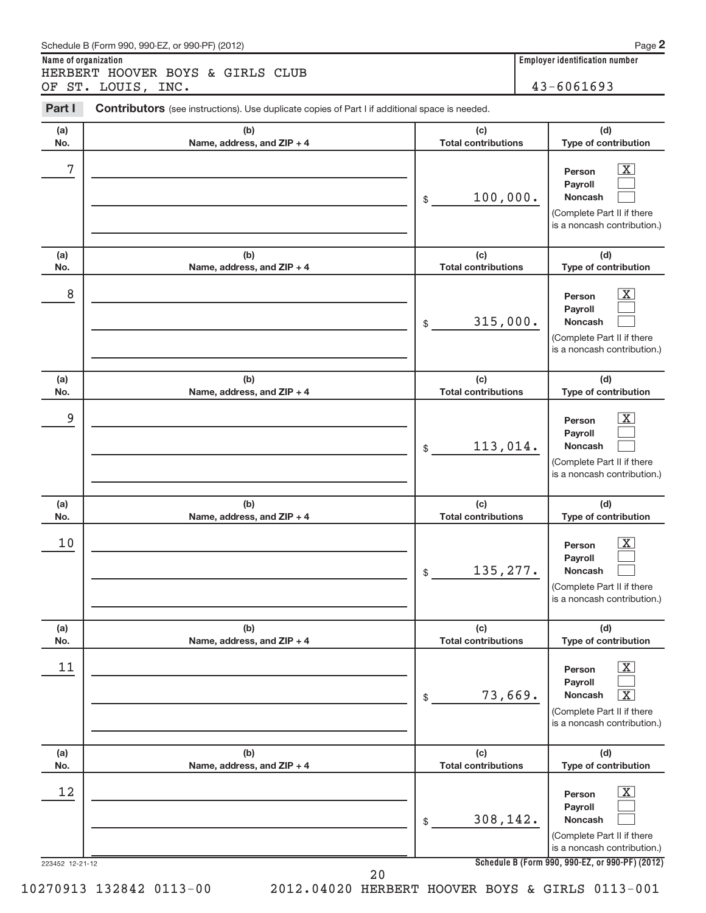| Schedule B (Form 990, 990-EZ, or 990-PF) (2012)                                                                 | Page 2                                |
|-----------------------------------------------------------------------------------------------------------------|---------------------------------------|
| Name of organization                                                                                            | <b>Employer identification number</b> |
| HERBERT HOOVER BOYS & GIRLS CLUB                                                                                |                                       |
| OF ST. LOUIS, INC.                                                                                              | $43 - 6061693$                        |
| Part I<br><b>Contributors</b> (see instructions). Use duplicate copies of Part I if additional space is needed. |                                       |
|                                                                                                                 |                                       |

| (a)        | (b)                               | (c)                               | (d)                                                                                                                                   |
|------------|-----------------------------------|-----------------------------------|---------------------------------------------------------------------------------------------------------------------------------------|
| No.        | Name, address, and ZIP + 4        | <b>Total contributions</b>        | Type of contribution                                                                                                                  |
| 7          |                                   | 100,000.<br>\$                    | $\overline{\mathbf{X}}$<br>Person<br>Payroll<br>Noncash<br>(Complete Part II if there<br>is a noncash contribution.)                  |
| (a)<br>No. | (b)<br>Name, address, and ZIP + 4 | (c)<br><b>Total contributions</b> | (d)<br>Type of contribution                                                                                                           |
| 8          |                                   | 315,000.<br>\$                    | $\mathbf{X}$<br>Person<br>Payroll<br>Noncash<br>(Complete Part II if there<br>is a noncash contribution.)                             |
| (a)        | (b)                               | (c)                               | (d)                                                                                                                                   |
| No.        | Name, address, and ZIP + 4        | <b>Total contributions</b>        | Type of contribution                                                                                                                  |
| 9          |                                   | 113,014.<br>\$                    | $\overline{\mathbf{X}}$<br>Person<br>Payroll<br><b>Noncash</b><br>(Complete Part II if there<br>is a noncash contribution.)           |
| (a)        | (b)                               | (c)                               | (d)                                                                                                                                   |
| No.        | Name, address, and ZIP + 4        | <b>Total contributions</b>        | Type of contribution                                                                                                                  |
| 10         |                                   | 135, 277.<br>\$                   | X<br>Person<br>Payroll<br><b>Noncash</b><br>(Complete Part II if there<br>is a noncash contribution.)                                 |
| (a)        | (b)                               | (c)                               | (d)                                                                                                                                   |
| NO.        | Name, address, and ZIP + 4        | Total contributions               | Type of contribution                                                                                                                  |
| 11         |                                   | 73,669.<br>\$                     | $\boxed{\text{X}}$<br>Person<br>Payroll<br>$\boxed{\text{X}}$<br>Noncash<br>(Complete Part II if there<br>is a noncash contribution.) |
| (a)        | (b)                               | (c)                               | (d)                                                                                                                                   |
| No.        | Name, address, and ZIP + 4        | <b>Total contributions</b>        | Type of contribution                                                                                                                  |
| 12         |                                   | 308,142.<br>\$                    | $\boxed{\text{X}}$<br>Person<br>Payroll<br>Noncash<br>(Complete Part II if there<br>is a noncash contribution.)                       |
|            | 223452 12-21-12                   |                                   | Schedule B (Form 990, 990-EZ, or 990-PF) (2012)                                                                                       |

20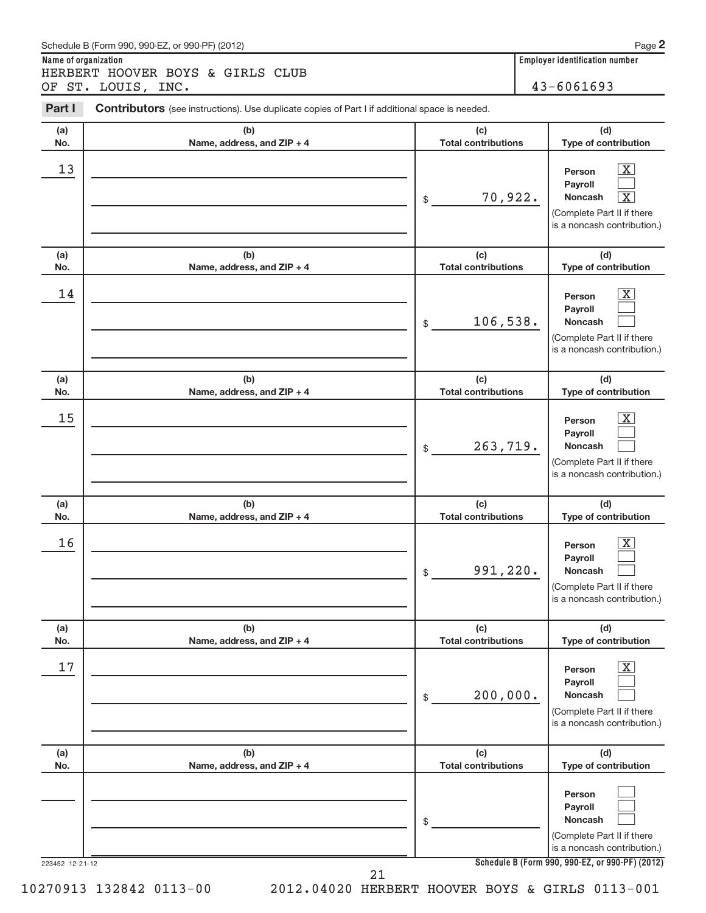| Schedule B (Form 990, 990-EZ, or 990-PF) (2012)                                                                 | Page                                  |
|-----------------------------------------------------------------------------------------------------------------|---------------------------------------|
| Name of organization                                                                                            | <b>Employer identification number</b> |
| HERBERT HOOVER BOYS & GIRLS CLUB                                                                                |                                       |
| OF ST. LOUIS, INC.                                                                                              | $43 - 6061693$                        |
| Part I<br><b>Contributors</b> (see instructions). Use duplicate copies of Part I if additional space is needed. |                                       |

| (a)<br>No.      | (b)<br>Name, address, and ZIP + 4 | (d)<br>(c)<br><b>Total contributions</b><br>Type of contribution                                                                                                                    |
|-----------------|-----------------------------------|-------------------------------------------------------------------------------------------------------------------------------------------------------------------------------------|
| 13              |                                   | $\overline{\mathbf{X}}$<br>Person<br>Payroll<br>70,922.<br>$\overline{\textbf{X}}$<br><b>Noncash</b><br>$\$$<br>(Complete Part II if there<br>is a noncash contribution.)           |
| (a)<br>No.      | (b)<br>Name, address, and ZIP + 4 | (d)<br>(c)<br><b>Total contributions</b><br>Type of contribution                                                                                                                    |
| 14              |                                   | $\overline{\text{X}}$<br>Person<br>Payroll<br>106,538.<br><b>Noncash</b><br>$\$$<br>(Complete Part II if there<br>is a noncash contribution.)                                       |
| (a)<br>No.      | (b)<br>Name, address, and ZIP + 4 | (c)<br>(d)<br><b>Total contributions</b><br>Type of contribution                                                                                                                    |
| 15              |                                   | $\overline{\text{X}}$<br>Person<br>Payroll<br>263,719.<br><b>Noncash</b><br>$\$$<br>(Complete Part II if there<br>is a noncash contribution.)                                       |
| (a)<br>No.      | (b)<br>Name, address, and ZIP + 4 | (c)<br>(d)<br><b>Total contributions</b><br>Type of contribution                                                                                                                    |
| 16              |                                   | $\overline{\text{X}}$<br>Person<br>Payroll<br>991,220.<br><b>Noncash</b><br>\$<br>(Complete Part II if there<br>is a noncash contribution.)                                         |
| (a)<br>No.      | (b)<br>Name, address, and ZIP + 4 | (c)<br>(d)<br><b>Total contributions</b><br>Type of contribution                                                                                                                    |
| 17              |                                   |                                                                                                                                                                                     |
|                 |                                   | $\overline{\text{X}}$<br>Person<br>Payroll<br>200,000.<br>Noncash<br>$\, \, \raisebox{-1.5pt}{\text{\circle*{1.5}}}\,$<br>(Complete Part II if there<br>is a noncash contribution.) |
| (a)<br>No.      | (b)<br>Name, address, and ZIP + 4 | (c)<br>(d)<br><b>Total contributions</b><br>Type of contribution                                                                                                                    |
| 223452 12-21-12 |                                   | Person<br>Payroll<br>Noncash<br>\$<br>(Complete Part II if there<br>is a noncash contribution.)<br>Schedule B (Form 990, 990-EZ, or 990-PF) (2012)                                  |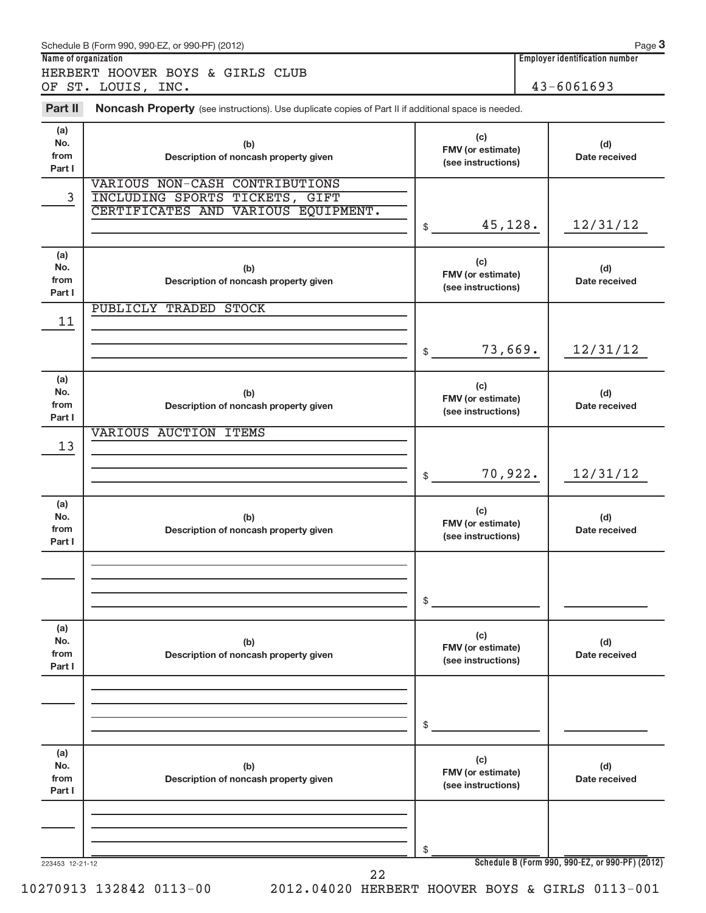|                              | Schedule B (Form 990, 990-EZ, or 990-PF) (2012)                                                         |                                                | Page 3<br><b>Employer identification number</b> |
|------------------------------|---------------------------------------------------------------------------------------------------------|------------------------------------------------|-------------------------------------------------|
| Name of organization         | HERBERT HOOVER BOYS & GIRLS CLUB                                                                        |                                                |                                                 |
|                              | OF ST. LOUIS, INC.                                                                                      |                                                | 43-6061693                                      |
| Part II                      | Noncash Property (see instructions). Use duplicate copies of Part II if additional space is needed.     |                                                |                                                 |
| (a)<br>No.<br>from<br>Part I | (b)<br>Description of noncash property given                                                            | (c)<br>FMV (or estimate)<br>(see instructions) | (d)<br>Date received                            |
| 3                            | VARIOUS NON-CASH CONTRIBUTIONS<br>INCLUDING SPORTS TICKETS, GIFT<br>CERTIFICATES AND VARIOUS EQUIPMENT. | 45,128.<br>\$                                  | 12/31/12                                        |
| (a)<br>No.<br>from<br>Part I | (b)<br>Description of noncash property given                                                            | (c)<br>FMV (or estimate)<br>(see instructions) | (d)<br>Date received                            |
| 11                           | PUBLICLY TRADED STOCK                                                                                   | 73,669.<br>\$                                  | 12/31/12                                        |
| (a)<br>No.<br>from<br>Part I | (b)<br>Description of noncash property given                                                            | (c)<br>FMV (or estimate)<br>(see instructions) | (d)<br>Date received                            |
| 13                           | VARIOUS AUCTION ITEMS                                                                                   | 70,922.<br>\$                                  | 12/31/12                                        |
| (a)<br>No.<br>from<br>Part I | (b)<br>Description of noncash property given                                                            | (c)<br>FMV (or estimate)<br>(see instructions) | (d)<br>Date received                            |
|                              |                                                                                                         | \$                                             |                                                 |
| (a)<br>No.<br>from<br>Part I | (b)<br>Description of noncash property given                                                            | (c)<br>FMV (or estimate)<br>(see instructions) | (d)<br>Date received                            |
|                              |                                                                                                         | \$                                             |                                                 |
| (a)<br>No.<br>from<br>Part I | (b)<br>Description of noncash property given                                                            | (c)<br>FMV (or estimate)<br>(see instructions) | (d)<br>Date received                            |
| 223453 12-21-12              |                                                                                                         | \$                                             | Schedule B (Form 990, 990-EZ, or 990-PF) (2012) |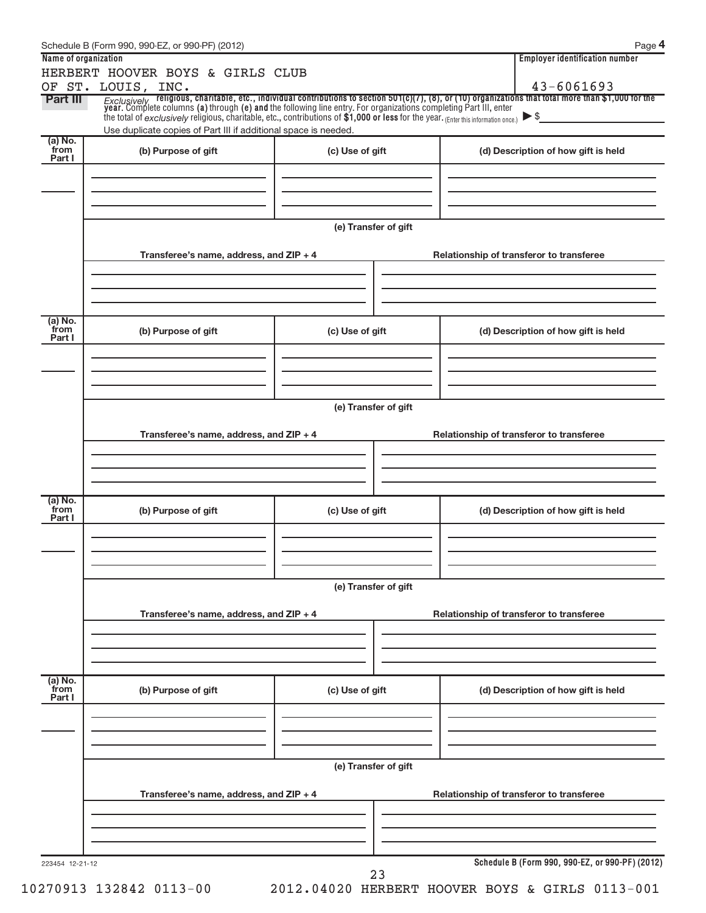|                           | Schedule B (Form 990, 990-EZ, or 990-PF) (2012)                                                                                                                                                                            |                      | Page 4                                                                                                                                                                                                                                 |
|---------------------------|----------------------------------------------------------------------------------------------------------------------------------------------------------------------------------------------------------------------------|----------------------|----------------------------------------------------------------------------------------------------------------------------------------------------------------------------------------------------------------------------------------|
| Name of organization      | HERBERT HOOVER BOYS & GIRLS CLUB                                                                                                                                                                                           |                      | <b>Employer identification number</b>                                                                                                                                                                                                  |
|                           | OF ST. LOUIS, INC.                                                                                                                                                                                                         |                      | 43-6061693                                                                                                                                                                                                                             |
| <b>Part III</b>           | the total of exclusively religious, charitable, etc., contributions of \$1,000 or less for the year. (Enter this information once.) $\triangleright$ \$<br>Use duplicate copies of Part III if additional space is needed. |                      | <i>Exclusively</i> religious, charitable, etc., individual contributions to section 501(c)(7), (8), or (10) organizations that total more than \$1,000 for the<br>year. Complete columns (a) through (e) and the following line entry. |
| (a) No.<br>from           | (b) Purpose of gift                                                                                                                                                                                                        | (c) Use of gift      | (d) Description of how gift is held                                                                                                                                                                                                    |
| Part I                    |                                                                                                                                                                                                                            |                      |                                                                                                                                                                                                                                        |
|                           |                                                                                                                                                                                                                            | (e) Transfer of gift |                                                                                                                                                                                                                                        |
|                           | Transferee's name, address, and ZIP + 4                                                                                                                                                                                    |                      | Relationship of transferor to transferee                                                                                                                                                                                               |
| (a) No.                   |                                                                                                                                                                                                                            |                      |                                                                                                                                                                                                                                        |
| from<br>Part I            | (b) Purpose of gift                                                                                                                                                                                                        | (c) Use of gift      | (d) Description of how gift is held                                                                                                                                                                                                    |
|                           |                                                                                                                                                                                                                            | (e) Transfer of gift |                                                                                                                                                                                                                                        |
|                           | Transferee's name, address, and ZIP + 4                                                                                                                                                                                    |                      | Relationship of transferor to transferee                                                                                                                                                                                               |
|                           |                                                                                                                                                                                                                            |                      |                                                                                                                                                                                                                                        |
| (a) No.<br>from<br>Part I | (b) Purpose of gift                                                                                                                                                                                                        | (c) Use of gift      | (d) Description of how gift is held                                                                                                                                                                                                    |
|                           |                                                                                                                                                                                                                            |                      |                                                                                                                                                                                                                                        |
|                           |                                                                                                                                                                                                                            | (e) Transfer of gift |                                                                                                                                                                                                                                        |
|                           | Transferee's name, address, and ZIP + 4                                                                                                                                                                                    |                      | Relationship of transferor to transferee                                                                                                                                                                                               |
|                           |                                                                                                                                                                                                                            |                      |                                                                                                                                                                                                                                        |
| (a) No.<br>from<br>Part I | (b) Purpose of gift                                                                                                                                                                                                        | (c) Use of gift      | (d) Description of how gift is held                                                                                                                                                                                                    |
|                           |                                                                                                                                                                                                                            |                      |                                                                                                                                                                                                                                        |
|                           | Transferee's name, address, and ZIP + 4                                                                                                                                                                                    | (e) Transfer of gift | Relationship of transferor to transferee                                                                                                                                                                                               |
|                           |                                                                                                                                                                                                                            |                      |                                                                                                                                                                                                                                        |
| 223454 12-21-12           |                                                                                                                                                                                                                            |                      | Schedule B (Form 990, 990-EZ, or 990-PF) (2012)                                                                                                                                                                                        |
|                           |                                                                                                                                                                                                                            | 23                   |                                                                                                                                                                                                                                        |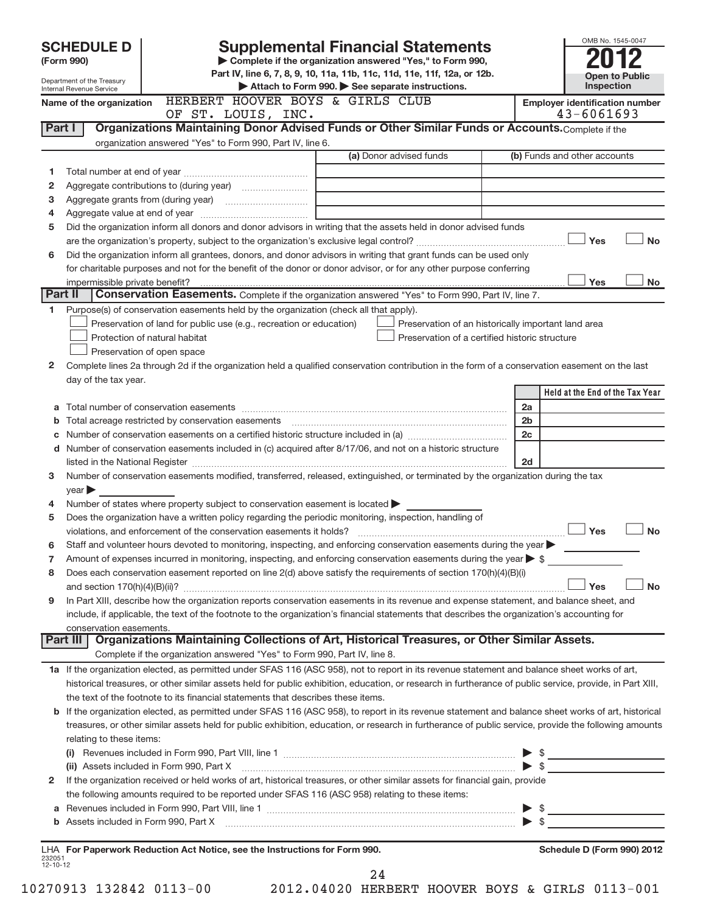|                | OMB No. 1545-0047<br><b>SCHEDULE D</b><br><b>Supplemental Financial Statements</b> |                                                                                                                                                                                                                                               |                          |                                       |  |  |
|----------------|------------------------------------------------------------------------------------|-----------------------------------------------------------------------------------------------------------------------------------------------------------------------------------------------------------------------------------------------|--------------------------|---------------------------------------|--|--|
|                | (Form 990)                                                                         | Complete if the organization answered "Yes," to Form 990,                                                                                                                                                                                     |                          |                                       |  |  |
|                | Department of the Treasury<br>Internal Revenue Service                             | Part IV, line 6, 7, 8, 9, 10, 11a, 11b, 11c, 11d, 11e, 11f, 12a, or 12b.<br>Attach to Form 990. See separate instructions.                                                                                                                    |                          | <b>Open to Public</b><br>Inspection   |  |  |
|                | Name of the organization                                                           | HERBERT HOOVER BOYS & GIRLS CLUB                                                                                                                                                                                                              |                          | <b>Employer identification number</b> |  |  |
|                |                                                                                    | OF ST. LOUIS, INC.                                                                                                                                                                                                                            |                          | 43-6061693                            |  |  |
| Part I         |                                                                                    | Organizations Maintaining Donor Advised Funds or Other Similar Funds or Accounts. Complete if the                                                                                                                                             |                          |                                       |  |  |
|                |                                                                                    | organization answered "Yes" to Form 990, Part IV, line 6.                                                                                                                                                                                     |                          |                                       |  |  |
|                |                                                                                    | (a) Donor advised funds                                                                                                                                                                                                                       |                          | (b) Funds and other accounts          |  |  |
| 1              |                                                                                    |                                                                                                                                                                                                                                               |                          |                                       |  |  |
| 2              |                                                                                    |                                                                                                                                                                                                                                               |                          |                                       |  |  |
| З              |                                                                                    |                                                                                                                                                                                                                                               |                          |                                       |  |  |
| 4              |                                                                                    |                                                                                                                                                                                                                                               |                          |                                       |  |  |
| 5              |                                                                                    | Did the organization inform all donors and donor advisors in writing that the assets held in donor advised funds                                                                                                                              |                          | <b>No</b>                             |  |  |
| 6              |                                                                                    | Did the organization inform all grantees, donors, and donor advisors in writing that grant funds can be used only                                                                                                                             |                          | Yes                                   |  |  |
|                |                                                                                    | for charitable purposes and not for the benefit of the donor or donor advisor, or for any other purpose conferring                                                                                                                            |                          |                                       |  |  |
|                | impermissible private benefit?                                                     |                                                                                                                                                                                                                                               |                          | Yes<br>No                             |  |  |
|                | Part II                                                                            | Conservation Easements. Complete if the organization answered "Yes" to Form 990, Part IV, line 7.                                                                                                                                             |                          |                                       |  |  |
| 1              |                                                                                    | Purpose(s) of conservation easements held by the organization (check all that apply).                                                                                                                                                         |                          |                                       |  |  |
|                |                                                                                    | Preservation of land for public use (e.g., recreation or education)<br>Preservation of an historically important land area                                                                                                                    |                          |                                       |  |  |
|                |                                                                                    | Protection of natural habitat<br>Preservation of a certified historic structure                                                                                                                                                               |                          |                                       |  |  |
|                |                                                                                    | Preservation of open space                                                                                                                                                                                                                    |                          |                                       |  |  |
| 2              |                                                                                    | Complete lines 2a through 2d if the organization held a qualified conservation contribution in the form of a conservation easement on the last                                                                                                |                          |                                       |  |  |
|                | day of the tax year.                                                               |                                                                                                                                                                                                                                               |                          |                                       |  |  |
|                |                                                                                    |                                                                                                                                                                                                                                               |                          | Held at the End of the Tax Year       |  |  |
|                |                                                                                    |                                                                                                                                                                                                                                               | 2a                       |                                       |  |  |
| b              |                                                                                    | Total acreage restricted by conservation easements [11] [11] Total acreage restricted by conservation easements                                                                                                                               | 2 <sub>b</sub>           |                                       |  |  |
|                |                                                                                    |                                                                                                                                                                                                                                               | 2c                       |                                       |  |  |
|                |                                                                                    | d Number of conservation easements included in (c) acquired after 8/17/06, and not on a historic structure                                                                                                                                    |                          |                                       |  |  |
|                |                                                                                    |                                                                                                                                                                                                                                               | 2d                       |                                       |  |  |
| 3              |                                                                                    | Number of conservation easements modified, transferred, released, extinguished, or terminated by the organization during the tax                                                                                                              |                          |                                       |  |  |
| 4              | year                                                                               | Number of states where property subject to conservation easement is located >                                                                                                                                                                 |                          |                                       |  |  |
| 5              |                                                                                    | Does the organization have a written policy regarding the periodic monitoring, inspection, handling of                                                                                                                                        |                          |                                       |  |  |
|                |                                                                                    | violations, and enforcement of the conservation easements it holds?                                                                                                                                                                           |                          | Yes<br><b>No</b>                      |  |  |
|                |                                                                                    | Staff and volunteer hours devoted to monitoring, inspecting, and enforcing conservation easements during the year                                                                                                                             |                          |                                       |  |  |
| 7              |                                                                                    | Amount of expenses incurred in monitoring, inspecting, and enforcing conservation easements during the year $\triangleright$ \$                                                                                                               |                          |                                       |  |  |
| 8              |                                                                                    | Does each conservation easement reported on line 2(d) above satisfy the requirements of section 170(h)(4)(B)(i)                                                                                                                               |                          |                                       |  |  |
|                |                                                                                    |                                                                                                                                                                                                                                               |                          | Yes<br>No                             |  |  |
| 9              |                                                                                    | In Part XIII, describe how the organization reports conservation easements in its revenue and expense statement, and balance sheet, and                                                                                                       |                          |                                       |  |  |
|                |                                                                                    | include, if applicable, the text of the footnote to the organization's financial statements that describes the organization's accounting for                                                                                                  |                          |                                       |  |  |
|                | conservation easements.                                                            |                                                                                                                                                                                                                                               |                          |                                       |  |  |
|                | Part III I                                                                         | Organizations Maintaining Collections of Art, Historical Treasures, or Other Similar Assets.                                                                                                                                                  |                          |                                       |  |  |
|                |                                                                                    | Complete if the organization answered "Yes" to Form 990, Part IV, line 8.                                                                                                                                                                     |                          |                                       |  |  |
|                |                                                                                    | 1a If the organization elected, as permitted under SFAS 116 (ASC 958), not to report in its revenue statement and balance sheet works of art,                                                                                                 |                          |                                       |  |  |
|                |                                                                                    | historical treasures, or other similar assets held for public exhibition, education, or research in furtherance of public service, provide, in Part XIII,<br>the text of the footnote to its financial statements that describes these items. |                          |                                       |  |  |
|                |                                                                                    | b If the organization elected, as permitted under SFAS 116 (ASC 958), to report in its revenue statement and balance sheet works of art, historical                                                                                           |                          |                                       |  |  |
|                |                                                                                    | treasures, or other similar assets held for public exhibition, education, or research in furtherance of public service, provide the following amounts                                                                                         |                          |                                       |  |  |
|                | relating to these items:                                                           |                                                                                                                                                                                                                                               |                          |                                       |  |  |
|                |                                                                                    |                                                                                                                                                                                                                                               |                          |                                       |  |  |
|                |                                                                                    | (ii) Assets included in Form 990, Part X                                                                                                                                                                                                      | $\blacktriangleright$ \$ |                                       |  |  |
| 2              |                                                                                    | If the organization received or held works of art, historical treasures, or other similar assets for financial gain, provide                                                                                                                  |                          |                                       |  |  |
|                |                                                                                    | the following amounts required to be reported under SFAS 116 (ASC 958) relating to these items:                                                                                                                                               |                          |                                       |  |  |
|                |                                                                                    |                                                                                                                                                                                                                                               |                          |                                       |  |  |
|                |                                                                                    | b Assets included in Form 990, Part X <b>Marting and Construction</b> Assets included in Form 990, Part X                                                                                                                                     |                          |                                       |  |  |
|                |                                                                                    |                                                                                                                                                                                                                                               |                          |                                       |  |  |
| 232051         |                                                                                    | LHA For Paperwork Reduction Act Notice, see the Instructions for Form 990.                                                                                                                                                                    |                          | Schedule D (Form 990) 2012            |  |  |
| $12 - 10 - 12$ |                                                                                    |                                                                                                                                                                                                                                               |                          |                                       |  |  |
|                |                                                                                    | 24                                                                                                                                                                                                                                            |                          |                                       |  |  |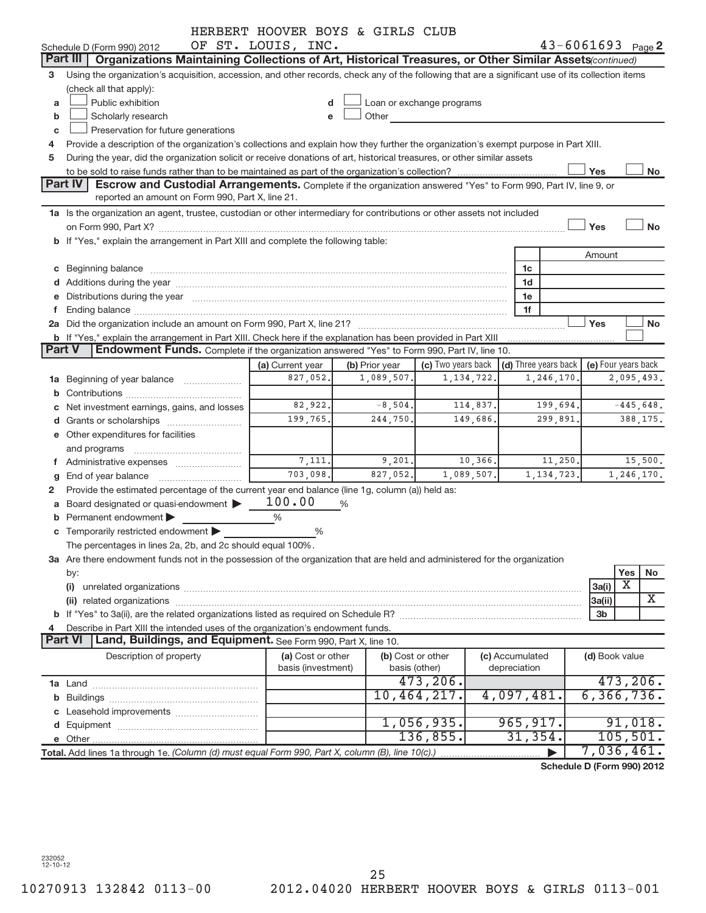|               |                                                                                                                                                                                                                                     | HERBERT HOOVER BOYS & GIRLS CLUB |                   |                           |                 |                                         |                            |                     |
|---------------|-------------------------------------------------------------------------------------------------------------------------------------------------------------------------------------------------------------------------------------|----------------------------------|-------------------|---------------------------|-----------------|-----------------------------------------|----------------------------|---------------------|
|               | Schedule D (Form 990) 2012                                                                                                                                                                                                          | OF ST. LOUIS, INC.               |                   |                           |                 |                                         | $43 - 6061693$ Page 2      |                     |
|               | <b>Part III</b><br>Organizations Maintaining Collections of Art, Historical Treasures, or Other Similar Assets(continued)                                                                                                           |                                  |                   |                           |                 |                                         |                            |                     |
| 3             | Using the organization's acquisition, accession, and other records, check any of the following that are a significant use of its collection items                                                                                   |                                  |                   |                           |                 |                                         |                            |                     |
|               | (check all that apply):                                                                                                                                                                                                             |                                  |                   |                           |                 |                                         |                            |                     |
| a             | Public exhibition                                                                                                                                                                                                                   |                                  |                   | Loan or exchange programs |                 |                                         |                            |                     |
| b             | Scholarly research                                                                                                                                                                                                                  |                                  | Other             |                           |                 |                                         |                            |                     |
| c             | Preservation for future generations                                                                                                                                                                                                 |                                  |                   |                           |                 |                                         |                            |                     |
| 4             | Provide a description of the organization's collections and explain how they further the organization's exempt purpose in Part XIII.                                                                                                |                                  |                   |                           |                 |                                         |                            |                     |
| 5             | During the year, did the organization solicit or receive donations of art, historical treasures, or other similar assets                                                                                                            |                                  |                   |                           |                 |                                         |                            |                     |
|               |                                                                                                                                                                                                                                     |                                  |                   |                           |                 |                                         | Yes                        | No                  |
|               | <b>Part IV</b><br>Escrow and Custodial Arrangements. Complete if the organization answered "Yes" to Form 990, Part IV, line 9, or                                                                                                   |                                  |                   |                           |                 |                                         |                            |                     |
|               | reported an amount on Form 990, Part X, line 21.                                                                                                                                                                                    |                                  |                   |                           |                 |                                         |                            |                     |
|               |                                                                                                                                                                                                                                     |                                  |                   |                           |                 |                                         |                            |                     |
|               | 1a Is the organization an agent, trustee, custodian or other intermediary for contributions or other assets not included                                                                                                            |                                  |                   |                           |                 |                                         |                            |                     |
|               |                                                                                                                                                                                                                                     |                                  |                   |                           |                 |                                         | Yes                        | <b>No</b>           |
|               | b If "Yes," explain the arrangement in Part XIII and complete the following table:                                                                                                                                                  |                                  |                   |                           |                 |                                         |                            |                     |
|               |                                                                                                                                                                                                                                     |                                  |                   |                           |                 |                                         | Amount                     |                     |
|               |                                                                                                                                                                                                                                     |                                  |                   |                           |                 | 1c                                      |                            |                     |
|               | d Additions during the year manufactured and an account of the year manufactured and account of the year manufactured and account of the year manufactured and account of the year manufactured and account of the year manufa      |                                  |                   |                           |                 | 1d                                      |                            |                     |
|               | e Distributions during the year manufactured and a control of the year manufactured and a Distributions during the year                                                                                                             |                                  |                   |                           |                 | 1e                                      |                            |                     |
| f.            | Ending balance <i>www.communicality.communicality.communicality.communicality.communicality.communicality.communicality.com</i>                                                                                                     |                                  |                   |                           |                 | 1f                                      |                            |                     |
|               |                                                                                                                                                                                                                                     |                                  |                   |                           |                 |                                         | Yes                        | No                  |
|               | b If "Yes," explain the arrangement in Part XIII. Check here if the explanation has been provided in Part XIII                                                                                                                      |                                  |                   |                           |                 |                                         |                            |                     |
| <b>Part V</b> | Endowment Funds. Complete if the organization answered "Yes" to Form 990, Part IV, line 10.                                                                                                                                         |                                  |                   |                           |                 |                                         |                            |                     |
|               |                                                                                                                                                                                                                                     | (a) Current year                 | (b) Prior year    |                           |                 | (c) Two years back (d) Three years back |                            | (e) Four years back |
|               | 1a Beginning of year balance                                                                                                                                                                                                        | 827,052.                         | 1,089,507.        | 1, 134, 722.              |                 | 1,246,170                               |                            | 2,095,493.          |
|               |                                                                                                                                                                                                                                     |                                  |                   |                           |                 |                                         |                            |                     |
|               | c Net investment earnings, gains, and losses                                                                                                                                                                                        | 82,922.                          | $-8,504.$         | 114,837.                  |                 | 199,694.                                |                            | $-445,648.$         |
|               |                                                                                                                                                                                                                                     | 199,765.                         | 244,750.          | 149,686.                  |                 | 299,891.                                |                            | 388,175.            |
|               | e Other expenditures for facilities                                                                                                                                                                                                 |                                  |                   |                           |                 |                                         |                            |                     |
|               | and programs                                                                                                                                                                                                                        |                                  |                   |                           |                 |                                         |                            |                     |
|               |                                                                                                                                                                                                                                     | 7,111.                           | 9,201.            |                           | 10,366.         | 11,250.                                 |                            | 15,500.             |
| g             |                                                                                                                                                                                                                                     | 703,098.                         | 827,052.          | 1,089,507.                |                 | 1, 134, 723.                            |                            | 1,246,170.          |
| 2             | Provide the estimated percentage of the current year end balance (line 1g, column (a)) held as:                                                                                                                                     |                                  |                   |                           |                 |                                         |                            |                     |
| a             | Board designated or quasi-endowment                                                                                                                                                                                                 | 100.00                           | %                 |                           |                 |                                         |                            |                     |
| b             | Permanent endowment                                                                                                                                                                                                                 | %                                |                   |                           |                 |                                         |                            |                     |
|               | c Temporarily restricted endowment                                                                                                                                                                                                  | %                                |                   |                           |                 |                                         |                            |                     |
|               | The percentages in lines 2a, 2b, and 2c should equal 100%.                                                                                                                                                                          |                                  |                   |                           |                 |                                         |                            |                     |
|               | 3a Are there endowment funds not in the possession of the organization that are held and administered for the organization                                                                                                          |                                  |                   |                           |                 |                                         |                            |                     |
|               |                                                                                                                                                                                                                                     |                                  |                   |                           |                 |                                         |                            | Yes                 |
|               | by:                                                                                                                                                                                                                                 |                                  |                   |                           |                 |                                         |                            | No<br>Х             |
|               | (i)                                                                                                                                                                                                                                 |                                  |                   |                           |                 |                                         | 3a(i)                      | X                   |
|               | (ii) related organizations <b>contracts</b> and contracts are contracted as a contract of the contract of the contract of the contract of the contract of the contract of the contract of the contract of the contract of the contr |                                  |                   |                           |                 |                                         | 3a(ii)                     |                     |
|               |                                                                                                                                                                                                                                     |                                  |                   |                           |                 |                                         | 3b                         |                     |
| 4             | Describe in Part XIII the intended uses of the organization's endowment funds.                                                                                                                                                      |                                  |                   |                           |                 |                                         |                            |                     |
|               | <b>Part VI</b><br>Land, Buildings, and Equipment. See Form 990, Part X, line 10.                                                                                                                                                    |                                  |                   |                           |                 |                                         |                            |                     |
|               | Description of property                                                                                                                                                                                                             | (a) Cost or other                | (b) Cost or other |                           | (c) Accumulated |                                         | (d) Book value             |                     |
|               |                                                                                                                                                                                                                                     | basis (investment)               | basis (other)     |                           | depreciation    |                                         |                            |                     |
|               |                                                                                                                                                                                                                                     |                                  |                   | 473, 206.                 |                 |                                         |                            | 473,206.            |
|               |                                                                                                                                                                                                                                     |                                  |                   | 10,464,217.               |                 | 4,097,481.                              |                            | 6, 366, 736.        |
|               |                                                                                                                                                                                                                                     |                                  |                   |                           |                 |                                         |                            |                     |
|               |                                                                                                                                                                                                                                     |                                  |                   | 1,056,935.                |                 | 965, 917.                               |                            | 91,018.             |
|               |                                                                                                                                                                                                                                     |                                  |                   | 136,855.                  |                 | 31,354.                                 |                            | 105, 501.           |
|               | Total. Add lines 1a through 1e. (Column (d) must equal Form 990, Part X, column (B), line 10(c).)                                                                                                                                   |                                  |                   |                           |                 |                                         |                            | 7,036,461.          |
|               |                                                                                                                                                                                                                                     |                                  |                   |                           |                 |                                         | Schedule D (Form 990) 2012 |                     |
|               |                                                                                                                                                                                                                                     |                                  |                   |                           |                 |                                         |                            |                     |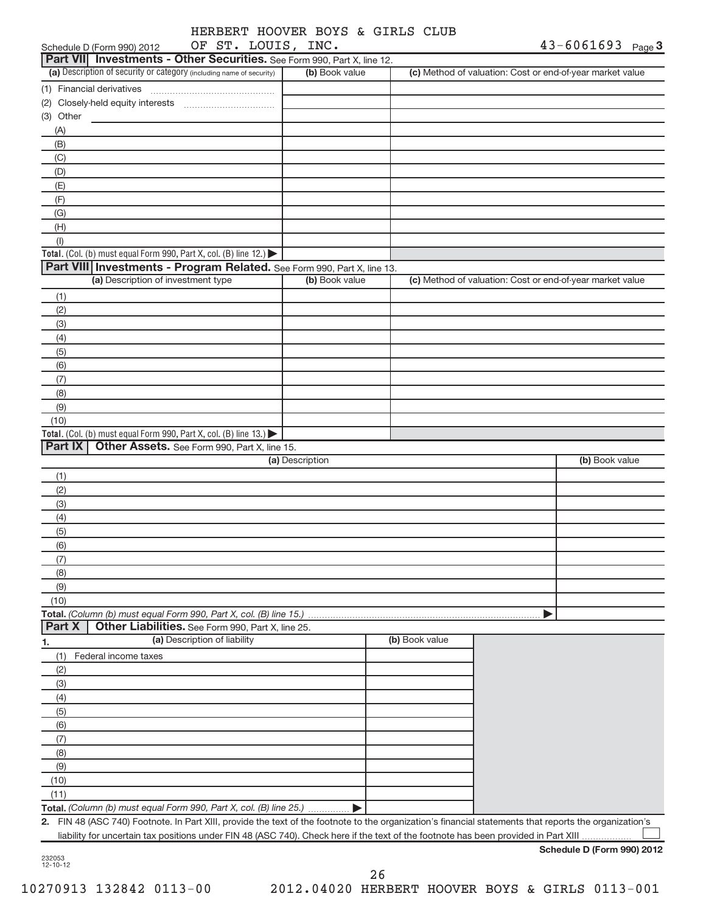| OF ST. LOUIS, INC.<br>Schedule D (Form 990) 2012                                                                                                        |                 |                | 43-6061693 Page 3                                         |
|---------------------------------------------------------------------------------------------------------------------------------------------------------|-----------------|----------------|-----------------------------------------------------------|
| Part VII Investments - Other Securities. See Form 990, Part X, line 12.                                                                                 |                 |                |                                                           |
| (a) Description of security or category (including name of security)                                                                                    | (b) Book value  |                | (c) Method of valuation: Cost or end-of-year market value |
| (1) Financial derivatives                                                                                                                               |                 |                |                                                           |
|                                                                                                                                                         |                 |                |                                                           |
| (3) Other                                                                                                                                               |                 |                |                                                           |
| (A)                                                                                                                                                     |                 |                |                                                           |
| (B)                                                                                                                                                     |                 |                |                                                           |
| (C)                                                                                                                                                     |                 |                |                                                           |
| (D)                                                                                                                                                     |                 |                |                                                           |
| (E)                                                                                                                                                     |                 |                |                                                           |
| (F)                                                                                                                                                     |                 |                |                                                           |
| (G)                                                                                                                                                     |                 |                |                                                           |
| (H)                                                                                                                                                     |                 |                |                                                           |
| (1)                                                                                                                                                     |                 |                |                                                           |
| <b>Total.</b> (Col. (b) must equal Form 990, Part X, col. (B) line $12$ .)                                                                              |                 |                |                                                           |
| Part VIII Investments - Program Related. See Form 990, Part X, line 13.                                                                                 |                 |                |                                                           |
| (a) Description of investment type                                                                                                                      | (b) Book value  |                | (c) Method of valuation: Cost or end-of-year market value |
| (1)                                                                                                                                                     |                 |                |                                                           |
| (2)                                                                                                                                                     |                 |                |                                                           |
| (3)                                                                                                                                                     |                 |                |                                                           |
| (4)                                                                                                                                                     |                 |                |                                                           |
| (5)                                                                                                                                                     |                 |                |                                                           |
| (6)                                                                                                                                                     |                 |                |                                                           |
| (7)                                                                                                                                                     |                 |                |                                                           |
| (8)                                                                                                                                                     |                 |                |                                                           |
| (9)                                                                                                                                                     |                 |                |                                                           |
| (10)                                                                                                                                                    |                 |                |                                                           |
| Total. (Col. (b) must equal Form 990, Part X, col. (B) line 13.)                                                                                        |                 |                |                                                           |
| Part IX   Other Assets. See Form 990, Part X, line 15.                                                                                                  |                 |                |                                                           |
|                                                                                                                                                         | (a) Description |                | (b) Book value                                            |
| (1)                                                                                                                                                     |                 |                |                                                           |
| (2)                                                                                                                                                     |                 |                |                                                           |
| (3)                                                                                                                                                     |                 |                |                                                           |
| (4)                                                                                                                                                     |                 |                |                                                           |
| (5)                                                                                                                                                     |                 |                |                                                           |
| (6)                                                                                                                                                     |                 |                |                                                           |
| (7)                                                                                                                                                     |                 |                |                                                           |
| (8)                                                                                                                                                     |                 |                |                                                           |
| (9)                                                                                                                                                     |                 |                |                                                           |
| (10)                                                                                                                                                    |                 |                |                                                           |
| Total. (Column (b) must equal Form 990, Part X, col. (B) line 15.)<br>Other Liabilities. See Form 990, Part X, line 25.<br>Part X                       |                 |                |                                                           |
| (a) Description of liability<br>1.                                                                                                                      |                 | (b) Book value |                                                           |
| Federal income taxes<br>(1)                                                                                                                             |                 |                |                                                           |
| (2)                                                                                                                                                     |                 |                |                                                           |
| (3)                                                                                                                                                     |                 |                |                                                           |
| (4)                                                                                                                                                     |                 |                |                                                           |
| (5)                                                                                                                                                     |                 |                |                                                           |
| (6)                                                                                                                                                     |                 |                |                                                           |
| (7)                                                                                                                                                     |                 |                |                                                           |
| (8)                                                                                                                                                     |                 |                |                                                           |
| (9)                                                                                                                                                     |                 |                |                                                           |
| (10)                                                                                                                                                    |                 |                |                                                           |
| (11)                                                                                                                                                    |                 |                |                                                           |
| Total. (Column (b) must equal Form 990, Part X, col. (B) line 25.)                                                                                      |                 |                |                                                           |
| 2. FIN 48 (ASC 740) Footnote. In Part XIII, provide the text of the footnote to the organization's financial statements that reports the organization's |                 |                |                                                           |
| liability for uncertain tax positions under FIN 48 (ASC 740). Check here if the text of the footnote has been provided in Part XIII                     |                 |                |                                                           |
|                                                                                                                                                         |                 |                |                                                           |

| ۰2۱.<br>r  |     |
|------------|-----|
| - 1<br>٠٦. | ٠٠) |

**Schedule D (Form 990) 2012**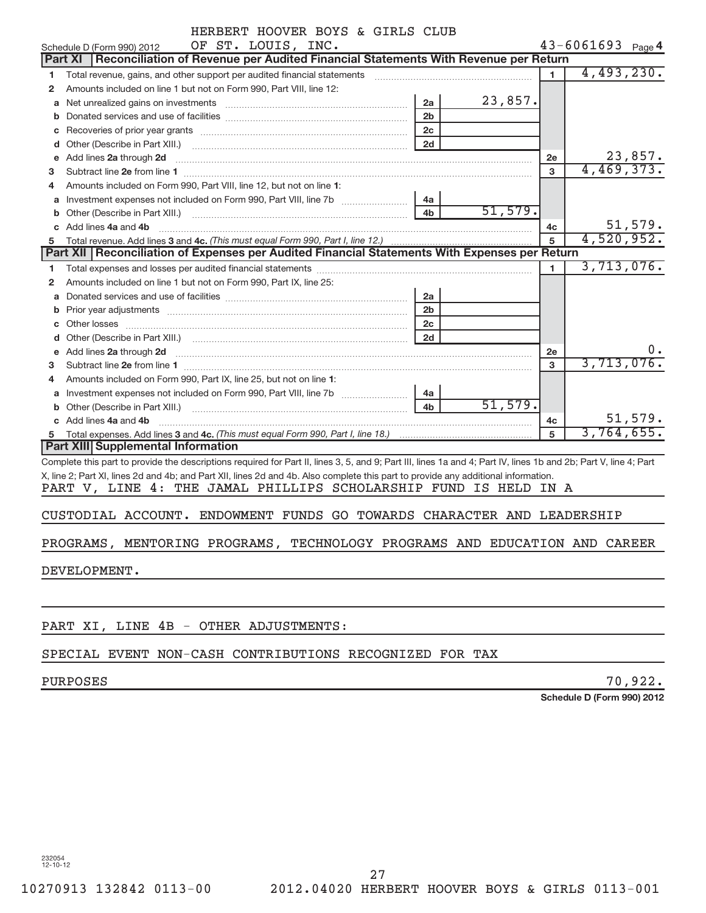| HERBERT HOOVER BOYS & GIRLS CLUB |  |  |  |  |  |
|----------------------------------|--|--|--|--|--|
|----------------------------------|--|--|--|--|--|

|    | OF ST. LOUIS, INC.<br>Schedule D (Form 990) 2012                                                                                                                 |                |         |              | $43 - 6061693$ Page 4      |
|----|------------------------------------------------------------------------------------------------------------------------------------------------------------------|----------------|---------|--------------|----------------------------|
|    | Reconciliation of Revenue per Audited Financial Statements With Revenue per Return<br><b>Part XI</b>                                                             |                |         |              |                            |
| 1  | Total revenue, gains, and other support per audited financial statements                                                                                         |                |         | $\mathbf{1}$ | 4,493,230.                 |
| 2  | Amounts included on line 1 but not on Form 990, Part VIII, line 12:                                                                                              |                |         |              |                            |
| a  |                                                                                                                                                                  | 2a             | 23,857. |              |                            |
| b  |                                                                                                                                                                  | 2 <sub>b</sub> |         |              |                            |
| с  |                                                                                                                                                                  | 2 <sub>c</sub> |         |              |                            |
| d  | Other (Describe in Part XIII.)                                                                                                                                   | 2d             |         |              |                            |
| е  | Add lines 2a through 2d                                                                                                                                          |                |         | 2e           | 23,857.                    |
| з  |                                                                                                                                                                  |                |         | 3            | 4,469,373.                 |
|    | Amounts included on Form 990, Part VIII, line 12, but not on line 1:                                                                                             |                |         |              |                            |
|    |                                                                                                                                                                  | 4a             |         |              |                            |
| b  |                                                                                                                                                                  | 4 <sub>b</sub> | 51,579. |              |                            |
| c  | Add lines 4a and 4b                                                                                                                                              |                |         | 4с           | 51,579.                    |
| 5  |                                                                                                                                                                  |                |         | 5            | 4,520,952.                 |
|    | Part XII   Reconciliation of Expenses per Audited Financial Statements With Expenses per Return                                                                  |                |         |              |                            |
| 1. |                                                                                                                                                                  |                |         | $\mathbf{1}$ | 3,713,076.                 |
| 2  | Amounts included on line 1 but not on Form 990, Part IX, line 25:                                                                                                |                |         |              |                            |
| а  |                                                                                                                                                                  | 2a             |         |              |                            |
| b  |                                                                                                                                                                  | 2 <sub>b</sub> |         |              |                            |
|    | Prior year adjustments information and continuum and continuum and continuum and continuum and continuum and c                                                   | 2c             |         |              |                            |
|    |                                                                                                                                                                  | 2d             |         |              |                            |
|    |                                                                                                                                                                  |                |         |              | $0$ .                      |
| е  | Add lines 2a through 2d                                                                                                                                          |                |         | 2e           | 3,713,076.                 |
| 3  |                                                                                                                                                                  |                |         | 3            |                            |
|    | Amounts included on Form 990, Part IX, line 25, but not on line 1:                                                                                               |                |         |              |                            |
| a  |                                                                                                                                                                  | 4a             |         |              |                            |
| b  |                                                                                                                                                                  | 4 <sub>b</sub> | 51,579. |              |                            |
|    | c Add lines 4a and 4b                                                                                                                                            |                |         | 4c           | 51,579.                    |
|    |                                                                                                                                                                  |                |         | 5            | 3,764,655.                 |
|    | <b>Part XIII Supplemental Information</b>                                                                                                                        |                |         |              |                            |
|    | Complete this part to provide the descriptions required for Part II, lines 3, 5, and 9; Part III, lines 1a and 4; Part IV, lines 1b and 2b; Part V, line 4; Part |                |         |              |                            |
|    | X, line 2; Part XI, lines 2d and 4b; and Part XII, lines 2d and 4b. Also complete this part to provide any additional information.                               |                |         |              |                            |
|    | PART V, LINE 4: THE JAMAL PHILLIPS SCHOLARSHIP FUND IS HELD IN A                                                                                                 |                |         |              |                            |
|    |                                                                                                                                                                  |                |         |              |                            |
|    | CUSTODIAL ACCOUNT. ENDOWMENT FUNDS GO TOWARDS CHARACTER AND LEADERSHIP                                                                                           |                |         |              |                            |
|    |                                                                                                                                                                  |                |         |              |                            |
|    | PROGRAMS, MENTORING PROGRAMS, TECHNOLOGY PROGRAMS AND EDUCATION AND CAREER                                                                                       |                |         |              |                            |
|    |                                                                                                                                                                  |                |         |              |                            |
|    | DEVELOPMENT.                                                                                                                                                     |                |         |              |                            |
|    |                                                                                                                                                                  |                |         |              |                            |
|    |                                                                                                                                                                  |                |         |              |                            |
|    |                                                                                                                                                                  |                |         |              |                            |
|    | PART XI, LINE 4B - OTHER ADJUSTMENTS:                                                                                                                            |                |         |              |                            |
|    |                                                                                                                                                                  |                |         |              |                            |
|    | SPECIAL EVENT NON-CASH CONTRIBUTIONS RECOGNIZED FOR TAX                                                                                                          |                |         |              |                            |
|    |                                                                                                                                                                  |                |         |              |                            |
|    | <b>PURPOSES</b>                                                                                                                                                  |                |         |              | 70,922.                    |
|    |                                                                                                                                                                  |                |         |              | Schedule D (Form 990) 2012 |
|    |                                                                                                                                                                  |                |         |              |                            |
|    |                                                                                                                                                                  |                |         |              |                            |
|    |                                                                                                                                                                  |                |         |              |                            |
|    |                                                                                                                                                                  |                |         |              |                            |
|    |                                                                                                                                                                  |                |         |              |                            |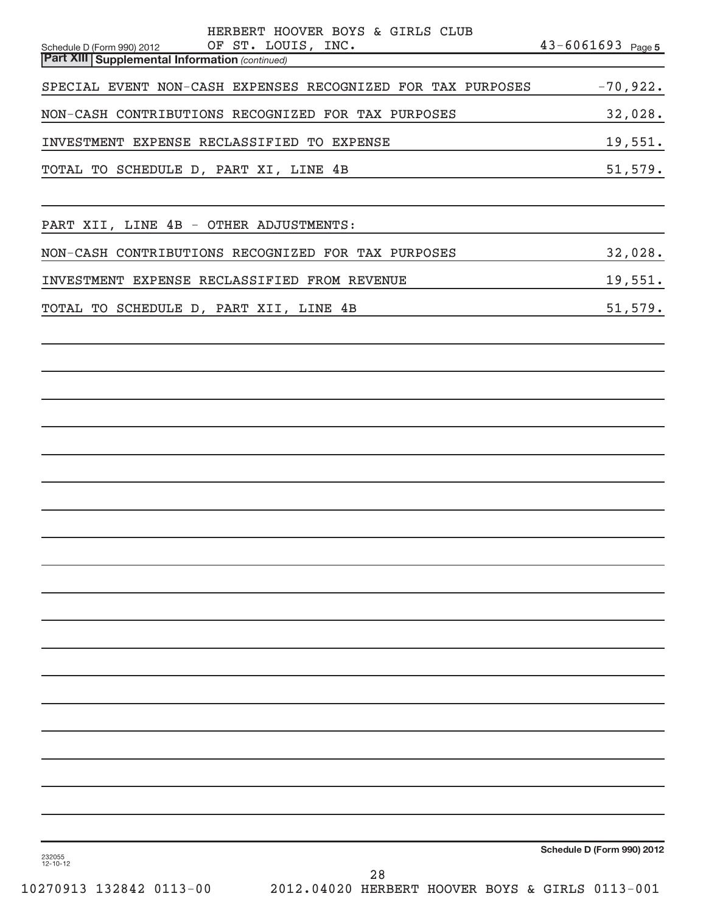| HERBERT HOOVER BOYS & GIRLS CLUB<br>Schedule D (Form 990) 2012 OF ST. LOUIS, INC.<br><b>Part XIII Supplemental Information (continued)</b> | $43 - 6061693$ Page 5      |  |
|--------------------------------------------------------------------------------------------------------------------------------------------|----------------------------|--|
| SPECIAL EVENT NON-CASH EXPENSES RECOGNIZED FOR TAX PURPOSES                                                                                | $-70,922.$                 |  |
| NON-CASH CONTRIBUTIONS RECOGNIZED FOR TAX PURPOSES                                                                                         | 32,028.                    |  |
| INVESTMENT EXPENSE RECLASSIFIED TO EXPENSE                                                                                                 | 19,551.                    |  |
| TOTAL TO SCHEDULE D, PART XI, LINE 4B                                                                                                      | 51,579.                    |  |
| PART XII, LINE 4B - OTHER ADJUSTMENTS:                                                                                                     |                            |  |
| NON-CASH CONTRIBUTIONS RECOGNIZED FOR TAX PURPOSES                                                                                         | 32,028.                    |  |
| INVESTMENT EXPENSE RECLASSIFIED FROM REVENUE                                                                                               | 19,551.                    |  |
| TOTAL TO SCHEDULE D, PART XII, LINE 4B                                                                                                     | 51,579.                    |  |
|                                                                                                                                            |                            |  |
|                                                                                                                                            |                            |  |
|                                                                                                                                            |                            |  |
|                                                                                                                                            |                            |  |
|                                                                                                                                            |                            |  |
|                                                                                                                                            |                            |  |
|                                                                                                                                            |                            |  |
|                                                                                                                                            |                            |  |
|                                                                                                                                            |                            |  |
|                                                                                                                                            |                            |  |
|                                                                                                                                            |                            |  |
|                                                                                                                                            |                            |  |
|                                                                                                                                            |                            |  |
|                                                                                                                                            |                            |  |
|                                                                                                                                            |                            |  |
|                                                                                                                                            |                            |  |
|                                                                                                                                            |                            |  |
| 232055<br>12-10-12                                                                                                                         | Schedule D (Form 990) 2012 |  |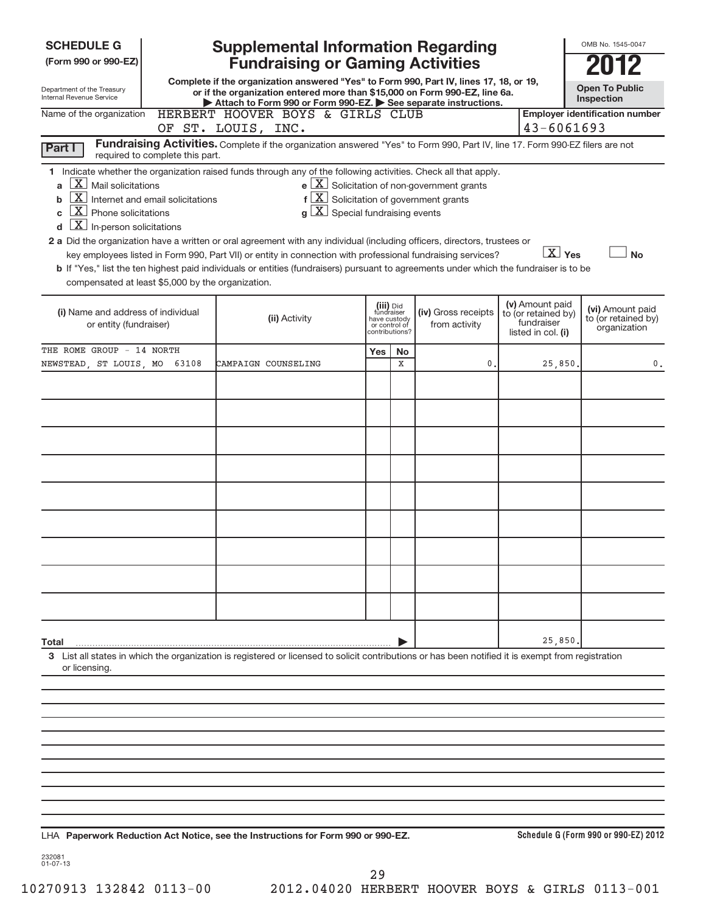| <b>SCHEDULE G</b>                                                                                                                                                                                                                                                                 |                                                                     | <b>Supplemental Information Regarding</b>                                                                                                                                                                                                                                                                                                                                                                                                                                                                                                                                                                      |     |    |                                                       |                                                         | OMB No. 1545-0047                                   |
|-----------------------------------------------------------------------------------------------------------------------------------------------------------------------------------------------------------------------------------------------------------------------------------|---------------------------------------------------------------------|----------------------------------------------------------------------------------------------------------------------------------------------------------------------------------------------------------------------------------------------------------------------------------------------------------------------------------------------------------------------------------------------------------------------------------------------------------------------------------------------------------------------------------------------------------------------------------------------------------------|-----|----|-------------------------------------------------------|---------------------------------------------------------|-----------------------------------------------------|
| (Form 990 or 990-EZ)                                                                                                                                                                                                                                                              |                                                                     | <b>Fundraising or Gaming Activities</b>                                                                                                                                                                                                                                                                                                                                                                                                                                                                                                                                                                        |     |    |                                                       |                                                         |                                                     |
| Department of the Treasury<br>Internal Revenue Service                                                                                                                                                                                                                            |                                                                     | Complete if the organization answered "Yes" to Form 990, Part IV, lines 17, 18, or 19,<br>or if the organization entered more than \$15,000 on Form 990-EZ, line 6a.<br>Attach to Form 990 or Form 990-EZ. See separate instructions.                                                                                                                                                                                                                                                                                                                                                                          |     |    |                                                       |                                                         | <b>Open To Public</b><br><b>Inspection</b>          |
| Name of the organization                                                                                                                                                                                                                                                          |                                                                     | HERBERT HOOVER BOYS & GIRLS CLUB<br>OF ST. LOUIS, INC.                                                                                                                                                                                                                                                                                                                                                                                                                                                                                                                                                         |     |    |                                                       |                                                         | <b>Employer identification number</b><br>43-6061693 |
| Part I                                                                                                                                                                                                                                                                            |                                                                     | Fundraising Activities. Complete if the organization answered "Yes" to Form 990, Part IV, line 17. Form 990-EZ filers are not                                                                                                                                                                                                                                                                                                                                                                                                                                                                                  |     |    |                                                       |                                                         |                                                     |
| $\boxed{\textbf{X}}$ Mail solicitations<br>a<br>$\mathbf{X}$<br>b<br>$\boxed{\text{X}}$ Phone solicitations<br>C<br>$\boxed{\textbf{X}}$ In-person solicitations<br>d<br>compensated at least \$5,000 by the organization.                                                        | required to complete this part.<br>Internet and email solicitations | 1 Indicate whether the organization raised funds through any of the following activities. Check all that apply.<br>$f\left[\frac{X}{X}\right]$ Solicitation of government grants<br>$g\mid X$ Special fundraising events<br>2 a Did the organization have a written or oral agreement with any individual (including officers, directors, trustees or<br>key employees listed in Form 990, Part VII) or entity in connection with professional fundraising services?<br>b If "Yes," list the ten highest paid individuals or entities (fundraisers) pursuant to agreements under which the fundraiser is to be |     |    | $e$ $\boxed{X}$ Solicitation of non-government grants |                                                         | $\boxed{X}$ Yes<br><b>No</b>                        |
| (v) Amount paid<br>(iii) Did<br>fundraiser<br>(i) Name and address of individual<br>(iv) Gross receipts<br>to (or retained by)<br>(ii) Activity<br>have custody<br>fundraiser<br>or entity (fundraiser)<br>from activity<br>or control of<br>contributions?<br>listed in col. (i) |                                                                     |                                                                                                                                                                                                                                                                                                                                                                                                                                                                                                                                                                                                                |     |    |                                                       | (vi) Amount paid<br>to (or retained by)<br>organization |                                                     |
| THE ROME GROUP - 14 NORTH                                                                                                                                                                                                                                                         |                                                                     |                                                                                                                                                                                                                                                                                                                                                                                                                                                                                                                                                                                                                | Yes | No |                                                       |                                                         |                                                     |
| NEWSTEAD, ST LOUIS, MO 63108                                                                                                                                                                                                                                                      |                                                                     | CAMPAIGN COUNSELING                                                                                                                                                                                                                                                                                                                                                                                                                                                                                                                                                                                            |     | X  | $\mathbf{0}$ .                                        | 25,850.                                                 | 0.                                                  |
|                                                                                                                                                                                                                                                                                   |                                                                     |                                                                                                                                                                                                                                                                                                                                                                                                                                                                                                                                                                                                                |     |    |                                                       |                                                         |                                                     |
|                                                                                                                                                                                                                                                                                   |                                                                     |                                                                                                                                                                                                                                                                                                                                                                                                                                                                                                                                                                                                                |     |    |                                                       |                                                         |                                                     |
|                                                                                                                                                                                                                                                                                   |                                                                     |                                                                                                                                                                                                                                                                                                                                                                                                                                                                                                                                                                                                                |     |    |                                                       |                                                         |                                                     |
|                                                                                                                                                                                                                                                                                   |                                                                     |                                                                                                                                                                                                                                                                                                                                                                                                                                                                                                                                                                                                                |     |    |                                                       |                                                         |                                                     |
|                                                                                                                                                                                                                                                                                   |                                                                     |                                                                                                                                                                                                                                                                                                                                                                                                                                                                                                                                                                                                                |     |    |                                                       |                                                         |                                                     |
|                                                                                                                                                                                                                                                                                   |                                                                     |                                                                                                                                                                                                                                                                                                                                                                                                                                                                                                                                                                                                                |     |    |                                                       |                                                         |                                                     |
|                                                                                                                                                                                                                                                                                   |                                                                     |                                                                                                                                                                                                                                                                                                                                                                                                                                                                                                                                                                                                                |     |    |                                                       |                                                         |                                                     |
|                                                                                                                                                                                                                                                                                   |                                                                     |                                                                                                                                                                                                                                                                                                                                                                                                                                                                                                                                                                                                                |     |    |                                                       |                                                         |                                                     |
|                                                                                                                                                                                                                                                                                   |                                                                     |                                                                                                                                                                                                                                                                                                                                                                                                                                                                                                                                                                                                                |     |    |                                                       |                                                         |                                                     |
|                                                                                                                                                                                                                                                                                   |                                                                     |                                                                                                                                                                                                                                                                                                                                                                                                                                                                                                                                                                                                                |     |    |                                                       |                                                         |                                                     |
|                                                                                                                                                                                                                                                                                   |                                                                     |                                                                                                                                                                                                                                                                                                                                                                                                                                                                                                                                                                                                                |     |    |                                                       |                                                         |                                                     |
| Total                                                                                                                                                                                                                                                                             |                                                                     |                                                                                                                                                                                                                                                                                                                                                                                                                                                                                                                                                                                                                |     |    |                                                       | 25,850.                                                 |                                                     |
| or licensing.                                                                                                                                                                                                                                                                     |                                                                     | 3 List all states in which the organization is registered or licensed to solicit contributions or has been notified it is exempt from registration                                                                                                                                                                                                                                                                                                                                                                                                                                                             |     |    |                                                       |                                                         |                                                     |
|                                                                                                                                                                                                                                                                                   |                                                                     |                                                                                                                                                                                                                                                                                                                                                                                                                                                                                                                                                                                                                |     |    |                                                       |                                                         |                                                     |
|                                                                                                                                                                                                                                                                                   |                                                                     |                                                                                                                                                                                                                                                                                                                                                                                                                                                                                                                                                                                                                |     |    |                                                       |                                                         |                                                     |
|                                                                                                                                                                                                                                                                                   |                                                                     |                                                                                                                                                                                                                                                                                                                                                                                                                                                                                                                                                                                                                |     |    |                                                       |                                                         |                                                     |
|                                                                                                                                                                                                                                                                                   |                                                                     |                                                                                                                                                                                                                                                                                                                                                                                                                                                                                                                                                                                                                |     |    |                                                       |                                                         |                                                     |
|                                                                                                                                                                                                                                                                                   |                                                                     |                                                                                                                                                                                                                                                                                                                                                                                                                                                                                                                                                                                                                |     |    |                                                       |                                                         |                                                     |
|                                                                                                                                                                                                                                                                                   |                                                                     |                                                                                                                                                                                                                                                                                                                                                                                                                                                                                                                                                                                                                |     |    |                                                       |                                                         |                                                     |
|                                                                                                                                                                                                                                                                                   |                                                                     |                                                                                                                                                                                                                                                                                                                                                                                                                                                                                                                                                                                                                |     |    |                                                       |                                                         |                                                     |

**Paperwork Reduction Act Notice, see the Instructions for Form 990 or 990-EZ.** LHA

**Schedule G (Form 990 or 990-EZ) 2012**

232081 01-07-13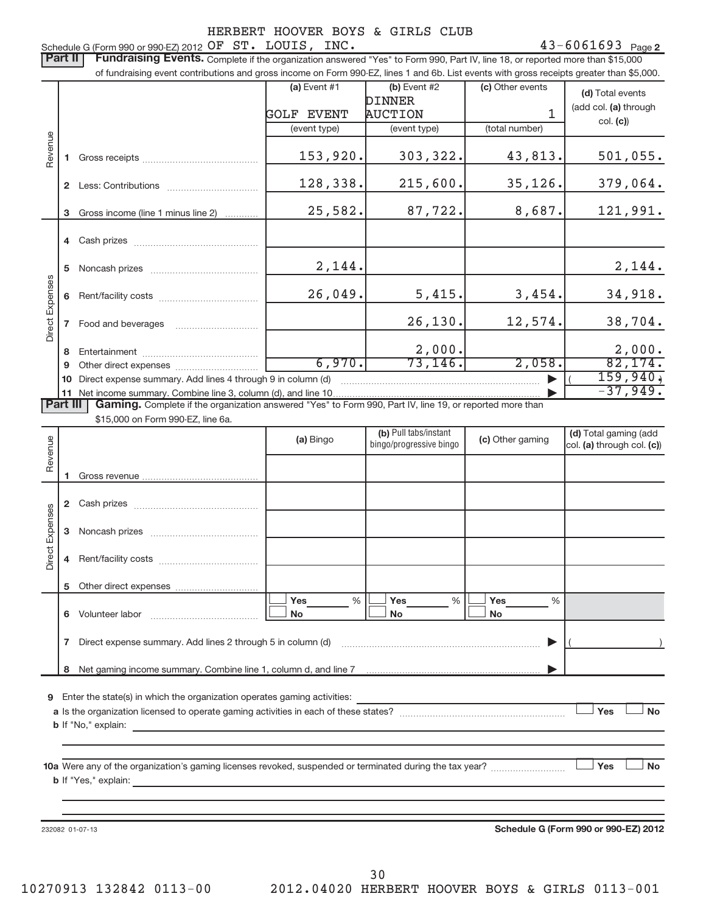Schedule G (Form 990 or 990-EZ) 2012  $OFST. LOUIS, INC.$   $43-6061693$  Page 43-6061693 Page 2 Part II | Fundraising Events. Complete if the organization answered "Yes" to Form 990, Part IV, line 18, or reported more than \$15,000 of fundraising event contributions and gross income on Form 990-EZ, lines 1 and 6b. List events with gross receipts greater than \$5,000. **(a)** Event  $#1$  **(b)** Event  $#2$ (c) Other events **(d)** Total events DINNER (add col. (a) through AUCTION 1 GOLF EVENT col. **(c)**) (event type) (event type) (total number) Revenue 153,920. 303,322. 43,813. 501,055. **1** Gross receipts ~~~~~~~~~~~~~~ 128,338. 215,600. 35,126. 379,064. **2** Less: Contributions ................................... 25,582. 87,722. 8,687. 121,991. **3**Gross income (line 1 minus line 2) . . . . . . . . . . . . **4** Cash prizes ~~~~~~~~~~~~~~~ 2,144. 2,144. **5** Noncash prizes ~~~~~~~~~~~~~ Direct Expenses Expenses 26,049. 5,415. 3,454. 34,918. **6** Rent/facility costs ~~~~~~~~~~~~ Direct 26,130. 12,574. 38,704. **7** Food and beverages ……………………………… 2,000. 2,000. **8** Entertainment ~~~~~~~~~~~~~~ 6,970. 73,146. 2,058. 82,174. **9** Other direct expenses  $\ldots$  **..........................** ~~~~~~~~~~~~~~~~~~~~~~~~ | ( ) 159,940. **10** Direct expense summary. Add lines 4 through 9 in column (d)  $-37,949.$ **11** Net income summary. Combine line 3, column (d), and line 10 | Part III | Gaming. Complete if the organization answered "Yes" to Form 990, Part IV, line 19, or reported more than \$15,000 on Form 990-EZ, line 6a. (b) Pull tabs/instant (d) Total gaming (add **(a) (b) (c) (d)**  Revenue bingo/progressive bingocol. (a) through col. (c)) **1** Gross revenue **2** Cash prizes ~~~~~~~~~~~~~~~ Expenses Direct Expenses **3** Noncash prizes ~~~~~~~~~~~~~ Direct **4** Rent/facility costs ~~~~~~~~~~~~ **5**Other direct expenses ---Yes % |└──<sup>|</sup> Yes % |└──<sup>|</sup> Yes %%% **6** Volunteer labor ---No |└──No |└──No Volunteer labor ~~~~~~~~~~~~~ **7**Direct expense summary. Add lines 2 through 5 in column (d) ~~~~~~~~~~~~~~~~~~~~~~~~ | ( ) Net gaming income summary. Combine line 1, column d, and line 7 **8** | **9**Enter the state(s) in which the organization operates gaming activities: -**Nes Yes Noa**Is the organization licensed to operate gaming activities in each of these states? ~~~~~~~~~~~~~~~~~~~~ **b** If "No," explain: **No-** -**10 a** Were any of the organization's gaming licenses revoked, suspended or terminated during the tax year? ~~~~~~~~~ **b** If "Yes," explain: **Schedule G (Form 990 or 990-EZ) 2012**232082 01-07-13 30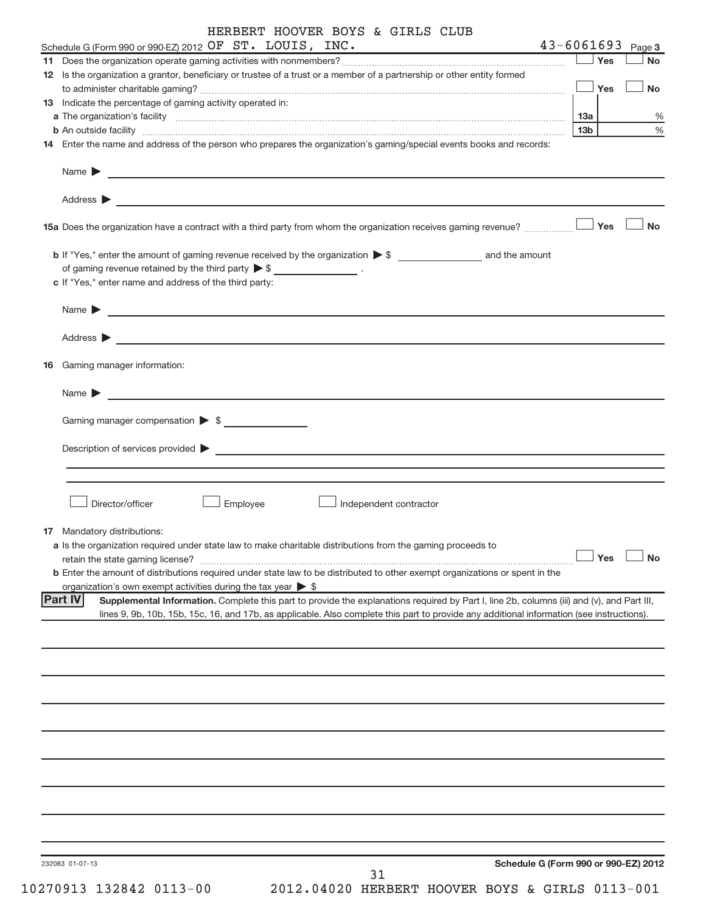|    | Schedule G (Form 990 or 990-EZ) 2012 OF ST. LOUIS, INC.                                                                                                                                                                              |     |     | $43 - 6061693$ Page 3 |
|----|--------------------------------------------------------------------------------------------------------------------------------------------------------------------------------------------------------------------------------------|-----|-----|-----------------------|
| 11 |                                                                                                                                                                                                                                      |     | Yes | <b>No</b>             |
|    | 12 Is the organization a grantor, beneficiary or trustee of a trust or a member of a partnership or other entity formed                                                                                                              |     |     |                       |
|    |                                                                                                                                                                                                                                      |     | Yes | <b>No</b>             |
|    | <b>13</b> Indicate the percentage of gaming activity operated in:                                                                                                                                                                    |     |     |                       |
|    | a The organization's facility <b>continuum and continuum and continuum and continuum and continuum and continuum and continuum and continuum and continuum and continuum and continuum and continuum and continuum and continuum</b> | 13a |     | %                     |
|    | <b>b</b> An outside facility <i>www.communicality www.communicality.communicality www.communicality www.communicality.communicality www.communicality.com</i>                                                                        | 13b |     | %                     |
|    | 14 Enter the name and address of the person who prepares the organization's gaming/special events books and records:                                                                                                                 |     |     |                       |
|    |                                                                                                                                                                                                                                      |     |     |                       |
|    | Address ><br>and the control of the control of the control of the control of the control of the control of the control of the                                                                                                        |     |     |                       |
|    | 15a Does the organization have a contract with a third party from whom the organization receives gaming revenue?                                                                                                                     |     | Yes | No                    |
|    |                                                                                                                                                                                                                                      |     |     |                       |
|    | of gaming revenue retained by the third party $\triangleright$ \$ __________________.                                                                                                                                                |     |     |                       |
|    | c If "Yes," enter name and address of the third party:                                                                                                                                                                               |     |     |                       |
|    |                                                                                                                                                                                                                                      |     |     |                       |
|    | Name $\blacktriangleright$ $\lrcorner$                                                                                                                                                                                               |     |     |                       |
|    |                                                                                                                                                                                                                                      |     |     |                       |
|    |                                                                                                                                                                                                                                      |     |     |                       |
| 16 | Gaming manager information:                                                                                                                                                                                                          |     |     |                       |
|    |                                                                                                                                                                                                                                      |     |     |                       |
|    | <u> 1989 - Jan Barbara (j. 1989)</u><br>Name $\blacktriangleright$                                                                                                                                                                   |     |     |                       |
|    |                                                                                                                                                                                                                                      |     |     |                       |
|    | Gaming manager compensation $\triangleright$ \$                                                                                                                                                                                      |     |     |                       |
|    | Description of services provided states and the contract of the contract of the contract of the contract of the contract of the contract of the contract of the contract of the contract of the contract of the contract of th       |     |     |                       |
|    |                                                                                                                                                                                                                                      |     |     |                       |
|    |                                                                                                                                                                                                                                      |     |     |                       |
|    |                                                                                                                                                                                                                                      |     |     |                       |
|    | Employee<br>Director/officer<br>Independent contractor                                                                                                                                                                               |     |     |                       |
|    |                                                                                                                                                                                                                                      |     |     |                       |
|    | <b>17</b> Mandatory distributions:                                                                                                                                                                                                   |     |     |                       |
|    | a Is the organization required under state law to make charitable distributions from the gaming proceeds to                                                                                                                          |     |     | $\Box$ Yes $\Box$ No  |
|    | retain the state gaming license?<br><b>b</b> Enter the amount of distributions required under state law to be distributed to other exempt organizations or spent in the                                                              |     |     |                       |
|    | organization's own exempt activities during the tax year $\triangleright$ \$                                                                                                                                                         |     |     |                       |
|    | <b>Part IV</b><br>Supplemental Information. Complete this part to provide the explanations required by Part I, line 2b, columns (iii) and (v), and Part III,                                                                         |     |     |                       |
|    | lines 9, 9b, 10b, 15b, 15c, 16, and 17b, as applicable. Also complete this part to provide any additional information (see instructions).                                                                                            |     |     |                       |
|    |                                                                                                                                                                                                                                      |     |     |                       |
|    |                                                                                                                                                                                                                                      |     |     |                       |
|    |                                                                                                                                                                                                                                      |     |     |                       |
|    |                                                                                                                                                                                                                                      |     |     |                       |
|    |                                                                                                                                                                                                                                      |     |     |                       |
|    |                                                                                                                                                                                                                                      |     |     |                       |
|    |                                                                                                                                                                                                                                      |     |     |                       |
|    |                                                                                                                                                                                                                                      |     |     |                       |
|    |                                                                                                                                                                                                                                      |     |     |                       |
|    |                                                                                                                                                                                                                                      |     |     |                       |
|    |                                                                                                                                                                                                                                      |     |     |                       |
|    |                                                                                                                                                                                                                                      |     |     |                       |
|    |                                                                                                                                                                                                                                      |     |     |                       |
|    |                                                                                                                                                                                                                                      |     |     |                       |
|    | Schedule G (Form 990 or 990-EZ) 2012<br>232083 01-07-13                                                                                                                                                                              |     |     |                       |
|    |                                                                                                                                                                                                                                      |     |     |                       |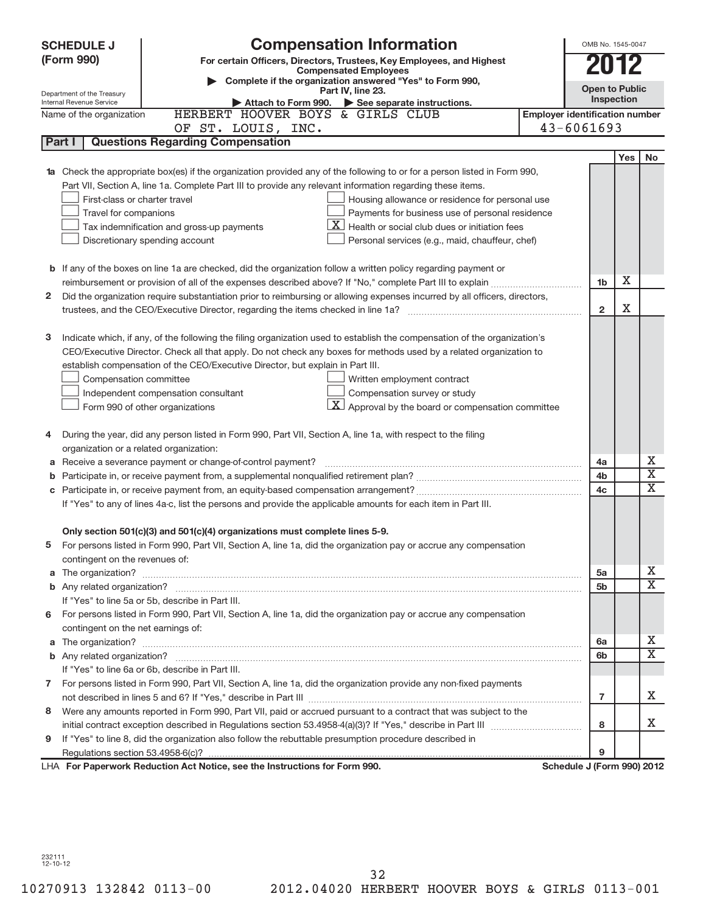|   | <b>Compensation Information</b><br><b>SCHEDULE J</b>                                                                                                                                                                                            |                                       | OMB No. 1545-0047     |     |                       |  |  |  |  |  |  |
|---|-------------------------------------------------------------------------------------------------------------------------------------------------------------------------------------------------------------------------------------------------|---------------------------------------|-----------------------|-----|-----------------------|--|--|--|--|--|--|
|   | (Form 990)<br>For certain Officers, Directors, Trustees, Key Employees, and Highest                                                                                                                                                             |                                       |                       |     |                       |  |  |  |  |  |  |
|   | <b>Compensated Employees</b><br>Complete if the organization answered "Yes" to Form 990,                                                                                                                                                        |                                       |                       |     |                       |  |  |  |  |  |  |
|   | Part IV, line 23.<br>Department of the Treasury                                                                                                                                                                                                 |                                       | <b>Open to Public</b> |     |                       |  |  |  |  |  |  |
|   | Internal Revenue Service<br>Attach to Form 990. $\triangleright$ See separate instructions.                                                                                                                                                     |                                       | Inspection            |     |                       |  |  |  |  |  |  |
|   | HERBERT HOOVER BOYS & GIRLS CLUB<br>Name of the organization                                                                                                                                                                                    | <b>Employer identification number</b> |                       |     |                       |  |  |  |  |  |  |
|   | OF ST. LOUIS, INC.                                                                                                                                                                                                                              | $43 - 6061693$                        |                       |     |                       |  |  |  |  |  |  |
|   | Part I<br><b>Questions Regarding Compensation</b>                                                                                                                                                                                               |                                       |                       |     |                       |  |  |  |  |  |  |
|   |                                                                                                                                                                                                                                                 |                                       |                       | Yes | No                    |  |  |  |  |  |  |
|   | <b>1a</b> Check the appropriate box(es) if the organization provided any of the following to or for a person listed in Form 990,                                                                                                                |                                       |                       |     |                       |  |  |  |  |  |  |
|   | Part VII, Section A, line 1a. Complete Part III to provide any relevant information regarding these items.                                                                                                                                      |                                       |                       |     |                       |  |  |  |  |  |  |
|   | First-class or charter travel<br>Housing allowance or residence for personal use                                                                                                                                                                |                                       |                       |     |                       |  |  |  |  |  |  |
|   | Travel for companions<br>Payments for business use of personal residence<br>X.                                                                                                                                                                  |                                       |                       |     |                       |  |  |  |  |  |  |
|   | Health or social club dues or initiation fees<br>Tax indemnification and gross-up payments                                                                                                                                                      |                                       |                       |     |                       |  |  |  |  |  |  |
|   | Discretionary spending account<br>Personal services (e.g., maid, chauffeur, chef)                                                                                                                                                               |                                       |                       |     |                       |  |  |  |  |  |  |
|   |                                                                                                                                                                                                                                                 |                                       |                       |     |                       |  |  |  |  |  |  |
|   | <b>b</b> If any of the boxes on line 1a are checked, did the organization follow a written policy regarding payment or                                                                                                                          |                                       | Х                     |     |                       |  |  |  |  |  |  |
|   |                                                                                                                                                                                                                                                 | 1b                                    |                       |     |                       |  |  |  |  |  |  |
| 2 | Did the organization require substantiation prior to reimbursing or allowing expenses incurred by all officers, directors,                                                                                                                      |                                       | X                     |     |                       |  |  |  |  |  |  |
|   |                                                                                                                                                                                                                                                 | $\overline{2}$                        |                       |     |                       |  |  |  |  |  |  |
|   |                                                                                                                                                                                                                                                 |                                       |                       |     |                       |  |  |  |  |  |  |
| З | Indicate which, if any, of the following the filing organization used to establish the compensation of the organization's<br>CEO/Executive Director. Check all that apply. Do not check any boxes for methods used by a related organization to |                                       |                       |     |                       |  |  |  |  |  |  |
|   |                                                                                                                                                                                                                                                 |                                       |                       |     |                       |  |  |  |  |  |  |
|   | establish compensation of the CEO/Executive Director, but explain in Part III.<br>Compensation committee<br>Written employment contract                                                                                                         |                                       |                       |     |                       |  |  |  |  |  |  |
|   |                                                                                                                                                                                                                                                 |                                       |                       |     |                       |  |  |  |  |  |  |
|   | Compensation survey or study<br>Independent compensation consultant                                                                                                                                                                             |                                       |                       |     |                       |  |  |  |  |  |  |
|   | $\mathbf{X}$ Approval by the board or compensation committee<br>Form 990 of other organizations                                                                                                                                                 |                                       |                       |     |                       |  |  |  |  |  |  |
| 4 | During the year, did any person listed in Form 990, Part VII, Section A, line 1a, with respect to the filing                                                                                                                                    |                                       |                       |     |                       |  |  |  |  |  |  |
|   | organization or a related organization:                                                                                                                                                                                                         |                                       |                       |     |                       |  |  |  |  |  |  |
|   | a Receive a severance payment or change-of-control payment?                                                                                                                                                                                     | 4a                                    |                       |     | х                     |  |  |  |  |  |  |
| b |                                                                                                                                                                                                                                                 | 4b                                    |                       |     | Χ                     |  |  |  |  |  |  |
|   |                                                                                                                                                                                                                                                 | 4c                                    |                       |     | Χ                     |  |  |  |  |  |  |
|   | If "Yes" to any of lines 4a-c, list the persons and provide the applicable amounts for each item in Part III.                                                                                                                                   |                                       |                       |     |                       |  |  |  |  |  |  |
|   |                                                                                                                                                                                                                                                 |                                       |                       |     |                       |  |  |  |  |  |  |
|   | Only section 501(c)(3) and 501(c)(4) organizations must complete lines 5-9.                                                                                                                                                                     |                                       |                       |     |                       |  |  |  |  |  |  |
|   | For persons listed in Form 990, Part VII, Section A, line 1a, did the organization pay or accrue any compensation                                                                                                                               |                                       |                       |     |                       |  |  |  |  |  |  |
|   | contingent on the revenues of:                                                                                                                                                                                                                  |                                       |                       |     |                       |  |  |  |  |  |  |
|   |                                                                                                                                                                                                                                                 | 5a                                    |                       |     | х                     |  |  |  |  |  |  |
|   |                                                                                                                                                                                                                                                 | 5 <sub>b</sub>                        |                       |     | X                     |  |  |  |  |  |  |
|   | If "Yes" to line 5a or 5b, describe in Part III.                                                                                                                                                                                                |                                       |                       |     |                       |  |  |  |  |  |  |
| 6 | For persons listed in Form 990, Part VII, Section A, line 1a, did the organization pay or accrue any compensation                                                                                                                               |                                       |                       |     |                       |  |  |  |  |  |  |
|   | contingent on the net earnings of:                                                                                                                                                                                                              |                                       |                       |     |                       |  |  |  |  |  |  |
|   |                                                                                                                                                                                                                                                 | 6a                                    |                       |     | х                     |  |  |  |  |  |  |
|   |                                                                                                                                                                                                                                                 | 6b                                    |                       |     | $\overline{\text{X}}$ |  |  |  |  |  |  |
|   | If "Yes" to line 6a or 6b, describe in Part III.                                                                                                                                                                                                |                                       |                       |     |                       |  |  |  |  |  |  |
|   | 7 For persons listed in Form 990, Part VII, Section A, line 1a, did the organization provide any non-fixed payments                                                                                                                             |                                       |                       |     |                       |  |  |  |  |  |  |
|   |                                                                                                                                                                                                                                                 | 7                                     |                       |     | x                     |  |  |  |  |  |  |
| 8 | Were any amounts reported in Form 990, Part VII, paid or accrued pursuant to a contract that was subject to the                                                                                                                                 |                                       |                       |     |                       |  |  |  |  |  |  |
|   |                                                                                                                                                                                                                                                 | 8                                     |                       |     | x                     |  |  |  |  |  |  |
| 9 | If "Yes" to line 8, did the organization also follow the rebuttable presumption procedure described in                                                                                                                                          |                                       |                       |     |                       |  |  |  |  |  |  |
|   |                                                                                                                                                                                                                                                 | 9                                     |                       |     |                       |  |  |  |  |  |  |
|   | LHA For Paperwork Reduction Act Notice, see the Instructions for Form 990.                                                                                                                                                                      | Schedule J (Form 990) 2012            |                       |     |                       |  |  |  |  |  |  |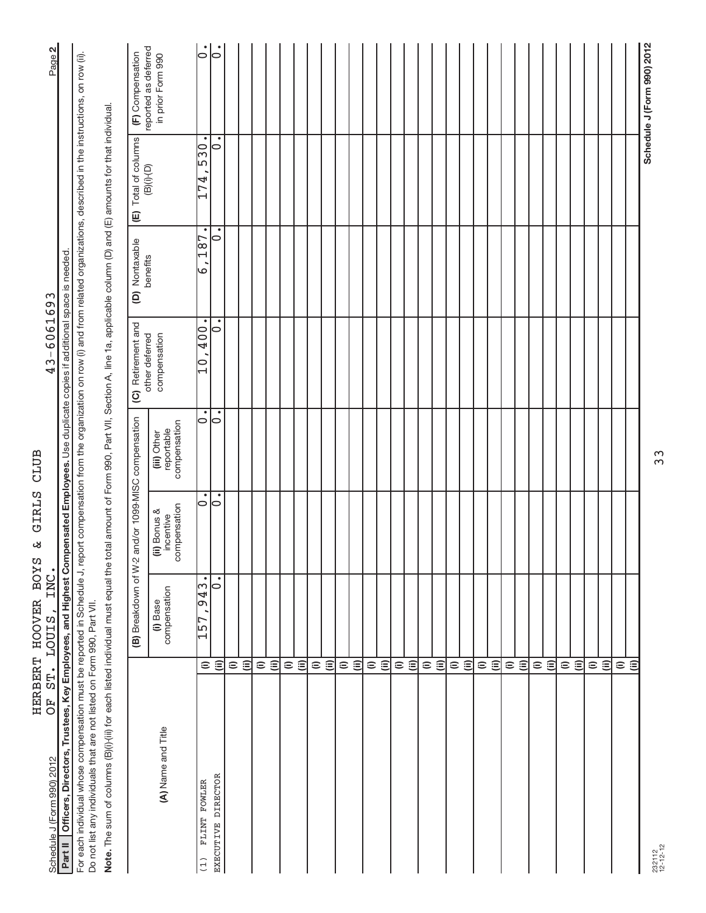| Schedule J (Form 990) 2012                                                                                                                                                                                                                                                       |                          | OF ST. LOUIS, INC.       |                                           |                                           | 43-6061693                             |                                    |                                                                            | Page 2                                    |
|----------------------------------------------------------------------------------------------------------------------------------------------------------------------------------------------------------------------------------------------------------------------------------|--------------------------|--------------------------|-------------------------------------------|-------------------------------------------|----------------------------------------|------------------------------------|----------------------------------------------------------------------------|-------------------------------------------|
| Part II   Officers, Directors, Trustees, Key Employees, and Highest Compensated Employees. Use duplicate copies if additional space is needed                                                                                                                                    |                          |                          |                                           |                                           |                                        |                                    |                                                                            |                                           |
| For each individual whose compensation must be reported in Schedule J, report compensation from the organization on row (i) and from related organizations, described in the instructions, on row (ii)<br>Do not list any individuals that are not listed on Form 990, Part VII. |                          |                          |                                           |                                           |                                        |                                    |                                                                            |                                           |
| Note. The sum of columns (B)(i) (iii) for each listed individual must equal the total amount of Form 990, Part VII, Section A, line 1a, applicable column (D) and (E) amounts for that individual.                                                                               |                          |                          |                                           |                                           |                                        |                                    |                                                                            |                                           |
|                                                                                                                                                                                                                                                                                  |                          | (B) Breakdown of W-2     |                                           | and/or 1099-MISC compensation             | (C) Retirement and                     | (D) Nontaxable                     | (E) Total of columns                                                       | (F) Compensation                          |
| (A) Name and Title                                                                                                                                                                                                                                                               |                          | compensation<br>(i) Base | compensation<br>(ii) Bonus &<br>incentive | compensation<br>reportable<br>(iii) Other | other deferred<br>compensation         | benefits                           | $(B)(i)$ - $(D)$                                                           | reported as deferred<br>in prior Form 990 |
| FLINT FOWLER<br>(1)                                                                                                                                                                                                                                                              | $\widehat{=}$            | ٠<br>943<br>157          | $\circ$                                   | ٠<br>$\circ$                              | ٠<br>$00\overline{b}$<br>$\frac{1}{2}$ | $\bullet$<br>$\frac{187}{2}$<br>ما | $\bullet$<br>$\frac{6}{53}$<br>$\overline{74}$<br>$\overline{\phantom{0}}$ | $\dot{\circ}$                             |
| EXECUTIVE DIRECTOR                                                                                                                                                                                                                                                               | $\widehat{\Xi}$          | $\bullet$<br>0           | 0                                         | 0                                         | ∣⇔                                     | 0                                  | ٠<br>10                                                                    | $\circ$                                   |
|                                                                                                                                                                                                                                                                                  | $\widehat{=}$            |                          |                                           |                                           |                                        |                                    |                                                                            |                                           |
|                                                                                                                                                                                                                                                                                  | $\widehat{(\mathbb{I})}$ |                          |                                           |                                           |                                        |                                    |                                                                            |                                           |
|                                                                                                                                                                                                                                                                                  | $\widehat{=}$            |                          |                                           |                                           |                                        |                                    |                                                                            |                                           |
|                                                                                                                                                                                                                                                                                  | $\widehat{\equiv}$       |                          |                                           |                                           |                                        |                                    |                                                                            |                                           |
|                                                                                                                                                                                                                                                                                  | $\widehat{=}$            |                          |                                           |                                           |                                        |                                    |                                                                            |                                           |
|                                                                                                                                                                                                                                                                                  | $\widehat{\equiv}$       |                          |                                           |                                           |                                        |                                    |                                                                            |                                           |
|                                                                                                                                                                                                                                                                                  | $\widehat{=}$            |                          |                                           |                                           |                                        |                                    |                                                                            |                                           |
|                                                                                                                                                                                                                                                                                  | $\widehat{=}$            |                          |                                           |                                           |                                        |                                    |                                                                            |                                           |
|                                                                                                                                                                                                                                                                                  | $\widehat{=}$            |                          |                                           |                                           |                                        |                                    |                                                                            |                                           |
|                                                                                                                                                                                                                                                                                  | $\widehat{\equiv}$       |                          |                                           |                                           |                                        |                                    |                                                                            |                                           |
|                                                                                                                                                                                                                                                                                  |                          |                          |                                           |                                           |                                        |                                    |                                                                            |                                           |
|                                                                                                                                                                                                                                                                                  | $\oplus$ $\oplus$        |                          |                                           |                                           |                                        |                                    |                                                                            |                                           |
|                                                                                                                                                                                                                                                                                  | $\widehat{=}$            |                          |                                           |                                           |                                        |                                    |                                                                            |                                           |
|                                                                                                                                                                                                                                                                                  | $\widehat{(\mathbb{I})}$ |                          |                                           |                                           |                                        |                                    |                                                                            |                                           |
|                                                                                                                                                                                                                                                                                  | $\widehat{=}$            |                          |                                           |                                           |                                        |                                    |                                                                            |                                           |
|                                                                                                                                                                                                                                                                                  | $\widehat{\equiv}$       |                          |                                           |                                           |                                        |                                    |                                                                            |                                           |
|                                                                                                                                                                                                                                                                                  |                          |                          |                                           |                                           |                                        |                                    |                                                                            |                                           |
|                                                                                                                                                                                                                                                                                  | $\oplus$ $\oplus$        |                          |                                           |                                           |                                        |                                    |                                                                            |                                           |
|                                                                                                                                                                                                                                                                                  | $\widehat{=}$            |                          |                                           |                                           |                                        |                                    |                                                                            |                                           |
|                                                                                                                                                                                                                                                                                  | $\ddot{=}$               |                          |                                           |                                           |                                        |                                    |                                                                            |                                           |
|                                                                                                                                                                                                                                                                                  | $\widehat{=}$            |                          |                                           |                                           |                                        |                                    |                                                                            |                                           |
|                                                                                                                                                                                                                                                                                  | $\widehat{\equiv}$       |                          |                                           |                                           |                                        |                                    |                                                                            |                                           |
|                                                                                                                                                                                                                                                                                  |                          |                          |                                           |                                           |                                        |                                    |                                                                            |                                           |
|                                                                                                                                                                                                                                                                                  | $\widehat{\Xi}$          |                          |                                           |                                           |                                        |                                    |                                                                            |                                           |
|                                                                                                                                                                                                                                                                                  | $\mathrel{\widehat{=}}$  |                          |                                           |                                           |                                        |                                    |                                                                            |                                           |
|                                                                                                                                                                                                                                                                                  | $\ddot{=}$               |                          |                                           |                                           |                                        |                                    |                                                                            |                                           |
|                                                                                                                                                                                                                                                                                  | $\widehat{=}$            |                          |                                           |                                           |                                        |                                    |                                                                            |                                           |
|                                                                                                                                                                                                                                                                                  | $\widehat{\equiv}$       |                          |                                           |                                           |                                        |                                    |                                                                            |                                           |
|                                                                                                                                                                                                                                                                                  | $\widehat{=}$            |                          |                                           |                                           |                                        |                                    |                                                                            |                                           |
|                                                                                                                                                                                                                                                                                  | $\widehat{\equiv}$       |                          |                                           |                                           |                                        |                                    |                                                                            |                                           |
|                                                                                                                                                                                                                                                                                  |                          |                          |                                           |                                           |                                        |                                    |                                                                            | Schedule J (Form 990) 2012                |
| 232112<br>12-12-12                                                                                                                                                                                                                                                               |                          |                          |                                           | 33                                        |                                        |                                    |                                                                            |                                           |

232112 12-12-12

# **2**

 $43 - 6061693$ 

HERBERT HOOVER BOYS & GIRLS CLUB

HERBERT HOOVER BOYS & GIRLS CLUB<br>OF ST. LOUIS, INC.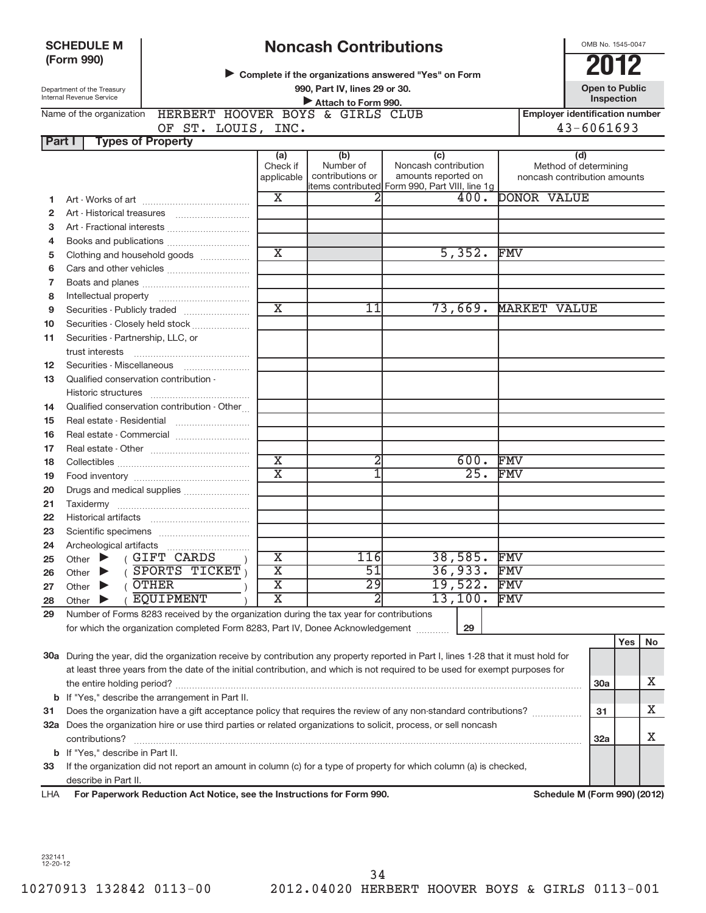### **SCHEDULE M(Form 990)**

## **Noncash Contributions**

OMB No. 1545-0047

| <u>NUILLASIT VUITUIDULIUITS</u>                      |               |
|------------------------------------------------------|---------------|
| Complete if the organizations answered "Yes" on Form | 2012          |
| 990, Part IV, lines 29 or 30.                        | Open to Publi |

 **Open to Public Inspection**

| Department of the Treasury<br>Internal Revenue Service | 990, Part IV, lines 29 or 30.<br>Attach to Form 990. | <b>Open to Public</b><br><b>Inspection</b> |
|--------------------------------------------------------|------------------------------------------------------|--------------------------------------------|
| Name of the organization                               | HERBERT HOOVER BOYS & GIRLS CLUB                     | <b>Employer identification number</b>      |
|                                                        | OF ST. LOUIS,<br>INC.                                | $43 - 6061693$                             |
| Part I<br><b>Types of Property</b>                     |                                                      |                                            |

|                |                                                                                                                                     | (a)<br>Check if<br>applicable | (b)<br>Number of<br>contributions or | (c)<br>Noncash contribution<br>amounts reported on | (d)<br>Method of determining<br>noncash contribution amounts |
|----------------|-------------------------------------------------------------------------------------------------------------------------------------|-------------------------------|--------------------------------------|----------------------------------------------------|--------------------------------------------------------------|
|                |                                                                                                                                     |                               |                                      | items contributed Form 990, Part VIII, line 1g     |                                                              |
| 1.             |                                                                                                                                     | $\overline{\text{x}}$         |                                      | 400.                                               | <b>DONOR VALUE</b>                                           |
| 2              | Art - Historical treasures                                                                                                          |                               |                                      |                                                    |                                                              |
| 3              | Art - Fractional interests                                                                                                          |                               |                                      |                                                    |                                                              |
| 4              |                                                                                                                                     |                               |                                      |                                                    |                                                              |
| 5              | Clothing and household goods                                                                                                        | $\overline{\text{x}}$         |                                      | 5,352.                                             | FMV                                                          |
| 6              |                                                                                                                                     |                               |                                      |                                                    |                                                              |
| $\overline{7}$ |                                                                                                                                     |                               |                                      |                                                    |                                                              |
| 8              | Intellectual property                                                                                                               |                               |                                      |                                                    |                                                              |
| 9              |                                                                                                                                     | $\overline{\textnormal{x}}$   | 11                                   | 73,669.                                            | <b>MARKET VALUE</b>                                          |
| 10             | Securities - Closely held stock                                                                                                     |                               |                                      |                                                    |                                                              |
| 11             | Securities - Partnership, LLC, or                                                                                                   |                               |                                      |                                                    |                                                              |
|                | trust interests                                                                                                                     |                               |                                      |                                                    |                                                              |
| 12             | Securities - Miscellaneous                                                                                                          |                               |                                      |                                                    |                                                              |
| 13             | Qualified conservation contribution -                                                                                               |                               |                                      |                                                    |                                                              |
|                | Historic structures                                                                                                                 |                               |                                      |                                                    |                                                              |
| 14             | Qualified conservation contribution - Other                                                                                         |                               |                                      |                                                    |                                                              |
| 15             | Real estate - Residential                                                                                                           |                               |                                      |                                                    |                                                              |
| 16             |                                                                                                                                     |                               |                                      |                                                    |                                                              |
| 17             |                                                                                                                                     |                               |                                      |                                                    |                                                              |
| 18             |                                                                                                                                     | $\overline{\textnormal{x}}$   | 2                                    | 600.                                               | FMV                                                          |
| 19             |                                                                                                                                     | $\overline{\mathbf{x}}$       |                                      | 25.                                                | <b>FMV</b>                                                   |
| 20             | Drugs and medical supplies                                                                                                          |                               |                                      |                                                    |                                                              |
| 21             |                                                                                                                                     |                               |                                      |                                                    |                                                              |
| 22             | <b>Historical artifacts</b>                                                                                                         |                               |                                      |                                                    |                                                              |
| 23             |                                                                                                                                     |                               |                                      |                                                    |                                                              |
| 24             | Archeological artifacts                                                                                                             |                               |                                      |                                                    |                                                              |
| 25             | (GIFT CARDS<br>Other $\blacktriangleright$                                                                                          | $\overline{\mathbf{X}}$       | 116                                  | 38,585.                                            | <b>FMV</b>                                                   |
| 26             | (SPORTS TICKET)<br>Other $\blacktriangleright$                                                                                      | $\overline{\text{x}}$         | $\overline{51}$                      | 36,933.                                            | FMV                                                          |
| 27             | (OTHER<br>Other $\blacktriangleright$                                                                                               | $\overline{\texttt{x}}$       | $\overline{29}$                      | 19,522.                                            | <b>FMV</b>                                                   |
| 28             | (EQUIPMENT<br>Other $\blacktriangleright$                                                                                           | $\overline{\text{X}}$         | 2                                    | 13,100.                                            | FMV                                                          |
| 29             | Number of Forms 8283 received by the organization during the tax year for contributions                                             |                               |                                      |                                                    |                                                              |
|                | for which the organization completed Form 8283, Part IV, Donee Acknowledgement                                                      |                               |                                      | 29                                                 |                                                              |
|                |                                                                                                                                     |                               |                                      |                                                    | Yes<br>No                                                    |
|                | 30a During the year, did the organization receive by contribution any property reported in Part I, lines 1-28 that it must hold for |                               |                                      |                                                    |                                                              |

|    | <b>oo</b> a Danny the year, and the organization receive by continuation any property reported in matri, infect medicinitiate more non-                                                     |     |  |
|----|---------------------------------------------------------------------------------------------------------------------------------------------------------------------------------------------|-----|--|
|    | at least three years from the date of the initial contribution, and which is not required to be used for exempt purposes for                                                                |     |  |
|    | the entire holding period?                                                                                                                                                                  | 30a |  |
|    | <b>b</b> If "Yes," describe the arrangement in Part II.                                                                                                                                     |     |  |
| 31 | Does the organization have a gift acceptance policy that requires the review of any non-standard contributions?                                                                             | 31  |  |
|    | 32a Does the organization hire or use third parties or related organizations to solicit, process, or sell noncash                                                                           |     |  |
|    | contributions?                                                                                                                                                                              | 32a |  |
|    | <b>b</b> If "Yes," describe in Part II.                                                                                                                                                     |     |  |
| 33 | If the organization did not report an amount in column (c) for a type of property for which column (a) is checked,                                                                          |     |  |
|    | describe in Part II.                                                                                                                                                                        |     |  |
|    | $0.11111 = 0.00110010$<br>$\mathbf{u} = \mathbf{u} - \mathbf{v}$ , $\mathbf{u} = \mathbf{v} - \mathbf{v}$ , $\mathbf{u} = \mathbf{v} - \mathbf{v}$ , $\mathbf{v} = \mathbf{v} - \mathbf{v}$ |     |  |

For Paperwork Reduction Act Notice, see the Instructions for Form 990. LHA

Schedule M (Form 990) (2012)

232141 12-20-12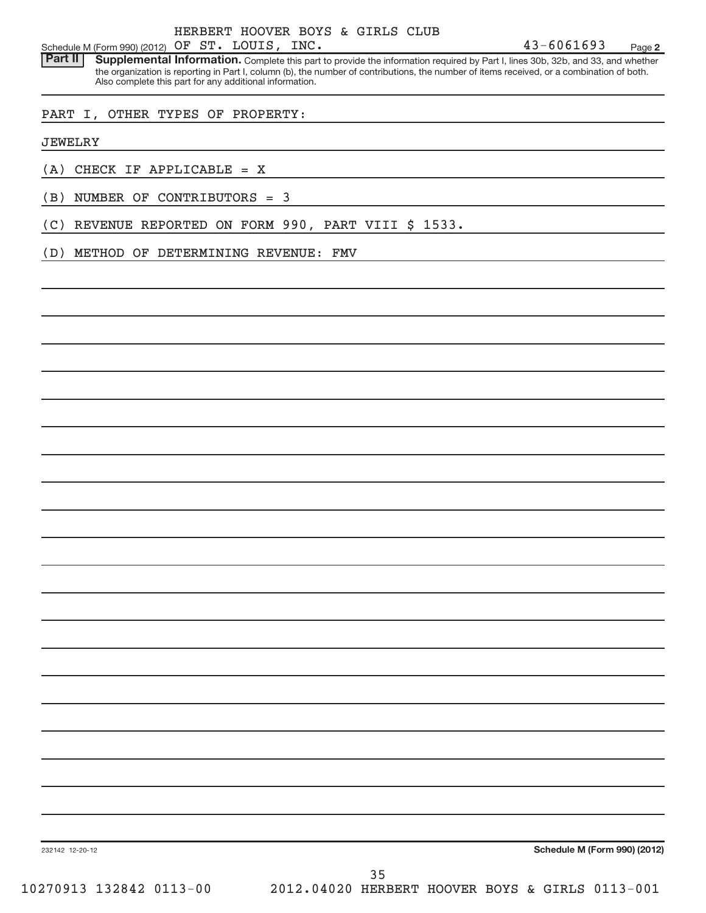**2**Schedule M (Form 990) (2012)  $OF$   $ST.$   $LOUIS$ ,  $INC.$   $43-6061693$  Page

**Supplemental Information.** Complete this part to provide the information required by Part I, lines 30b, 32b, and 33, and whether the organization is reporting in Part I, column (b), the number of contributions, the number of items received, or a combination of both. Also complete this part for any additional information. **Part II**

### PART I, OTHER TYPES OF PROPERTY:

JEWELRY

- (A) CHECK IF APPLICABLE = X
- (B) NUMBER OF CONTRIBUTORS = 3
- (C) REVENUE REPORTED ON FORM 990, PART VIII \$ 1533.
- (D) METHOD OF DETERMINING REVENUE: FMV

**Schedule M (Form 990) (2012)**

232142 12-20-12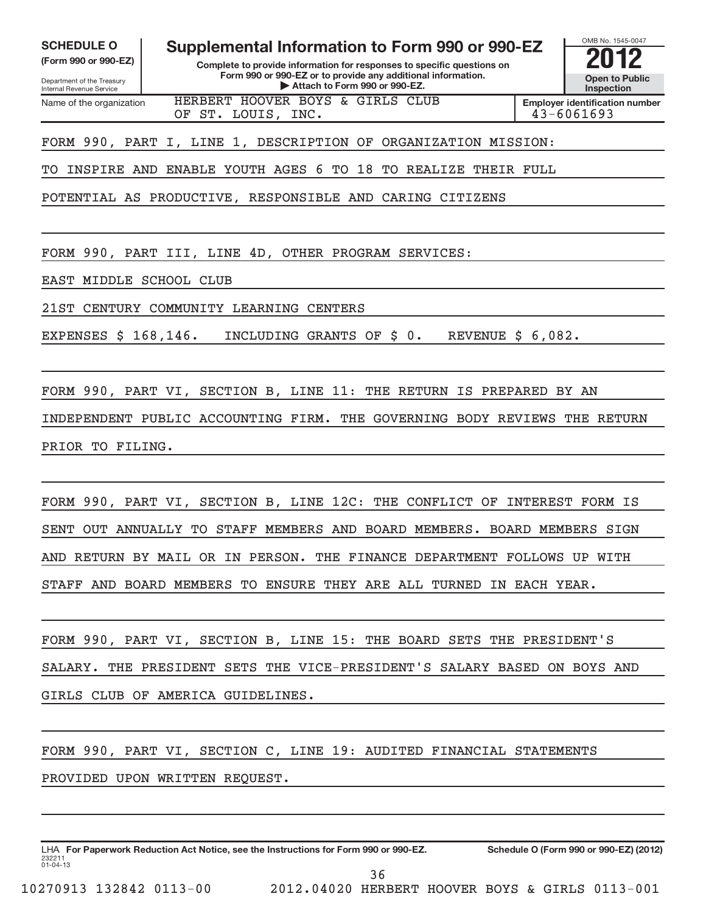| <b>SCHEDULE O</b><br>Supplemental Information to Form 990 or 990-EZ<br>(Form 990 or 990-EZ)<br>Complete to provide information for responses to specific questions on<br>Form 990 or 990-EZ or to provide any additional information.<br>Department of the Treasury<br>Attach to Form 990 or 990-EZ.<br>Internal Revenue Service | OMB No. 1545-0047<br><b>Open to Public</b><br><b>Inspection</b> |
|----------------------------------------------------------------------------------------------------------------------------------------------------------------------------------------------------------------------------------------------------------------------------------------------------------------------------------|-----------------------------------------------------------------|
| HERBERT HOOVER BOYS & GIRLS CLUB<br>Name of the organization<br>OF ST. LOUIS, INC.                                                                                                                                                                                                                                               | <b>Employer identification number</b><br>43-6061693             |
| FORM 990, PART I, LINE 1, DESCRIPTION OF ORGANIZATION MISSION:                                                                                                                                                                                                                                                                   |                                                                 |
| ENABLE YOUTH AGES 6 TO 18<br>TO REALIZE THEIR FULL<br>INSPIRE AND<br>TО                                                                                                                                                                                                                                                          |                                                                 |
| POTENTIAL AS PRODUCTIVE, RESPONSIBLE AND CARING CITIZENS                                                                                                                                                                                                                                                                         |                                                                 |
|                                                                                                                                                                                                                                                                                                                                  |                                                                 |
| FORM 990, PART III, LINE 4D, OTHER PROGRAM SERVICES:                                                                                                                                                                                                                                                                             |                                                                 |
| MIDDLE SCHOOL CLUB<br>EAST                                                                                                                                                                                                                                                                                                       |                                                                 |
| 21ST<br>CENTURY COMMUNITY LEARNING CENTERS                                                                                                                                                                                                                                                                                       |                                                                 |
| EXPENSES \$ 168,146.<br>INCLUDING GRANTS OF \$0.<br>REVENUE $$6,082$ .                                                                                                                                                                                                                                                           |                                                                 |
|                                                                                                                                                                                                                                                                                                                                  |                                                                 |
| FORM 990, PART VI, SECTION B, LINE 11: THE RETURN IS PREPARED BY AN                                                                                                                                                                                                                                                              |                                                                 |
| INDEPENDENT PUBLIC ACCOUNTING FIRM.<br>THE GOVERNING BODY REVIEWS THE RETURN                                                                                                                                                                                                                                                     |                                                                 |
| PRIOR TO FILING.                                                                                                                                                                                                                                                                                                                 |                                                                 |
|                                                                                                                                                                                                                                                                                                                                  |                                                                 |
| FORM 990, PART VI, SECTION B, LINE 12C: THE CONFLICT OF INTEREST FORM IS                                                                                                                                                                                                                                                         |                                                                 |
| SENT OUT ANNUALLY TO STAFF MEMBERS AND BOARD MEMBERS. BOARD MEMBERS SIGN                                                                                                                                                                                                                                                         |                                                                 |
| AND RETURN BY MAIL OR IN PERSON. THE FINANCE DEPARTMENT FOLLOWS UP WITH                                                                                                                                                                                                                                                          |                                                                 |
| STAFF AND BOARD MEMBERS TO ENSURE THEY ARE ALL TURNED IN EACH YEAR.                                                                                                                                                                                                                                                              |                                                                 |
|                                                                                                                                                                                                                                                                                                                                  |                                                                 |

FORM 990, PART VI, SECTION B, LINE 15: THE BOARD SETS THE PRESIDENT'S SALARY. THE PRESIDENT SETS THE VICE-PRESIDENT'S SALARY BASED ON BOYS AND GIRLS CLUB OF AMERICA GUIDELINES.

FORM 990, PART VI, SECTION C, LINE 19: AUDITED FINANCIAL STATEMENTS

PROVIDED UPON WRITTEN REQUEST.

232211 01-04-13 LHA For Paperwork Reduction Act Notice, see the Instructions for Form 990 or 990-EZ. Schedule O (Form 990 or 990-EZ) (2012)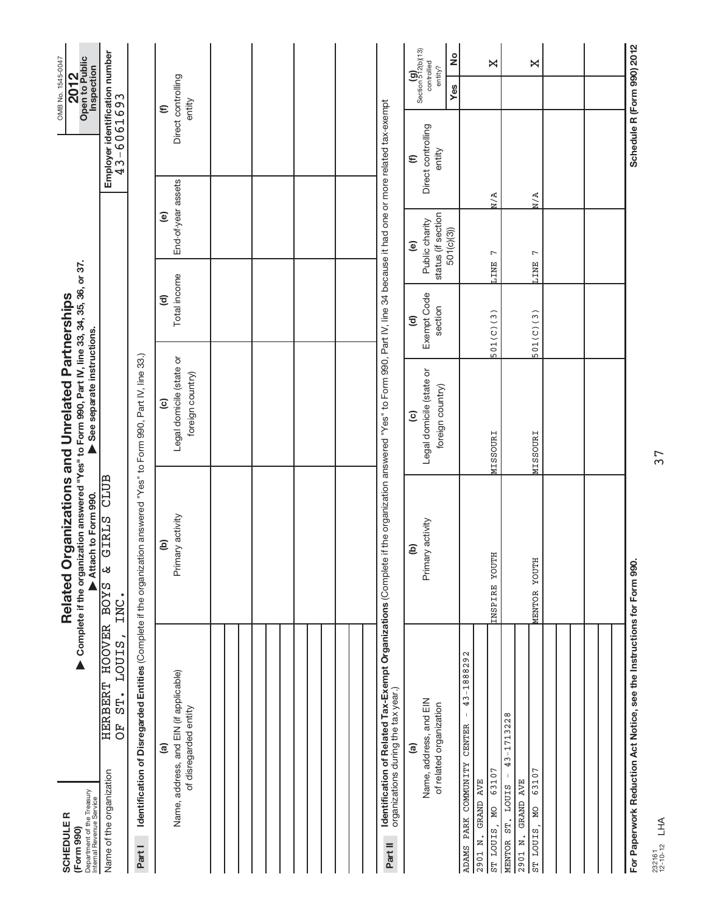| Department of the Treasury<br>Internal Revenue Service<br><b>SCHEDULER</b><br>(Form 990)                                      | Complete if the organization answered "Yes" to Form 990, Part IV, line 33, 34, 35, 36, or 37.<br>Related Organizations and Unrelated Partnerships<br>Attach to Form 990. | See separate instructions.                                                                                     |                                        |                                                                     |                                                  | OMB No. 1545-0047<br>Open to Public<br>Inspection<br>2012                      |               |
|-------------------------------------------------------------------------------------------------------------------------------|--------------------------------------------------------------------------------------------------------------------------------------------------------------------------|----------------------------------------------------------------------------------------------------------------|----------------------------------------|---------------------------------------------------------------------|--------------------------------------------------|--------------------------------------------------------------------------------|---------------|
| <b>HERBERT HOOVER</b><br>LOUIS,<br>ST.<br>FO<br>O<br>Name of the organization                                                 | CLUB<br>GIRLS<br>ىغ<br><b>SAOR</b><br>INC.                                                                                                                               |                                                                                                                |                                        |                                                                     | Employer identification number<br>$43 - 6061693$ |                                                                                |               |
| Identification of Disregarded Entities (Complete if the organization answered "Yes" to Form 990, Part IV, line 33.)<br>Part I |                                                                                                                                                                          |                                                                                                                |                                        |                                                                     |                                                  |                                                                                |               |
| Name, address, and EIN (if applicable)<br>of disregarded entity<br><u>ි</u>                                                   | Primary activity<br>ê                                                                                                                                                    | Legal domicile (state or<br>foreign country)<br>$\widehat{\mathbf{c}}$                                         | Total income<br>ල                      | End-of-year assets<br>$\widehat{e}$                                 |                                                  | Direct controlling<br>entity<br>$\widehat{\epsilon}$                           |               |
|                                                                                                                               |                                                                                                                                                                          |                                                                                                                |                                        |                                                                     |                                                  |                                                                                |               |
|                                                                                                                               |                                                                                                                                                                          |                                                                                                                |                                        |                                                                     |                                                  |                                                                                |               |
|                                                                                                                               |                                                                                                                                                                          |                                                                                                                |                                        |                                                                     |                                                  |                                                                                |               |
|                                                                                                                               |                                                                                                                                                                          |                                                                                                                |                                        |                                                                     |                                                  |                                                                                |               |
| Identification of Related Tax-Exempt Organizations (Complete<br>organizations during the tax year.)<br>Part II                |                                                                                                                                                                          | if the organization answered "Yes" to Form 990, Part IV, line 34 because it had one or more related tax-exempt |                                        |                                                                     |                                                  |                                                                                |               |
| Name, address, and EIN<br>of related organization<br>ම                                                                        | Primary activity<br>$\widehat{e}$                                                                                                                                        | Legal domicile (state or<br>foreign country)<br>$\odot$                                                        | Exempt Code<br>section<br>$\mathbf{G}$ | status (if section<br>Public charity<br>501(c)(3))<br>$\widehat{e}$ | Direct controlling<br>entity<br>$\widehat{E}$    | Section $\frac{\left( 9 \right)}{512}$ (b)(13)<br>controlled<br>entity?<br>Yes | $\frac{1}{2}$ |
| 43-1888292<br>$\bar{\mathbb{I}}$<br>ADAMS PARK COMMUNITY CENTER<br>63107<br>GRAND AVE<br>DИ<br>ST LOUIS,<br>2901 N.           | INSPIRE YOUTH                                                                                                                                                            | <b>MISSOURI</b>                                                                                                | 501(C)(3)                              | $\overline{ }$<br><b>LINE</b>                                       | N/A                                              |                                                                                | ×             |
| $43 - 1713228$<br>63107<br>GRAND AVE<br>MENTOR ST. LOUIS<br><b>DM</b><br>ST LOUIS,<br>2901 N.                                 | <b>MENTOR YOUTH</b>                                                                                                                                                      | <b>MISSOURI</b>                                                                                                | 501(C)(3)                              | $\overline{ }$<br><b>LINE</b>                                       | N/A                                              |                                                                                | ×             |
|                                                                                                                               |                                                                                                                                                                          |                                                                                                                |                                        |                                                                     |                                                  |                                                                                |               |
|                                                                                                                               |                                                                                                                                                                          |                                                                                                                |                                        |                                                                     |                                                  |                                                                                |               |
| For Paperwork Reduction Act Notice, see the Instructions for Form 990.                                                        |                                                                                                                                                                          |                                                                                                                |                                        |                                                                     | Schedule R (Form 990) 2012                       |                                                                                |               |

37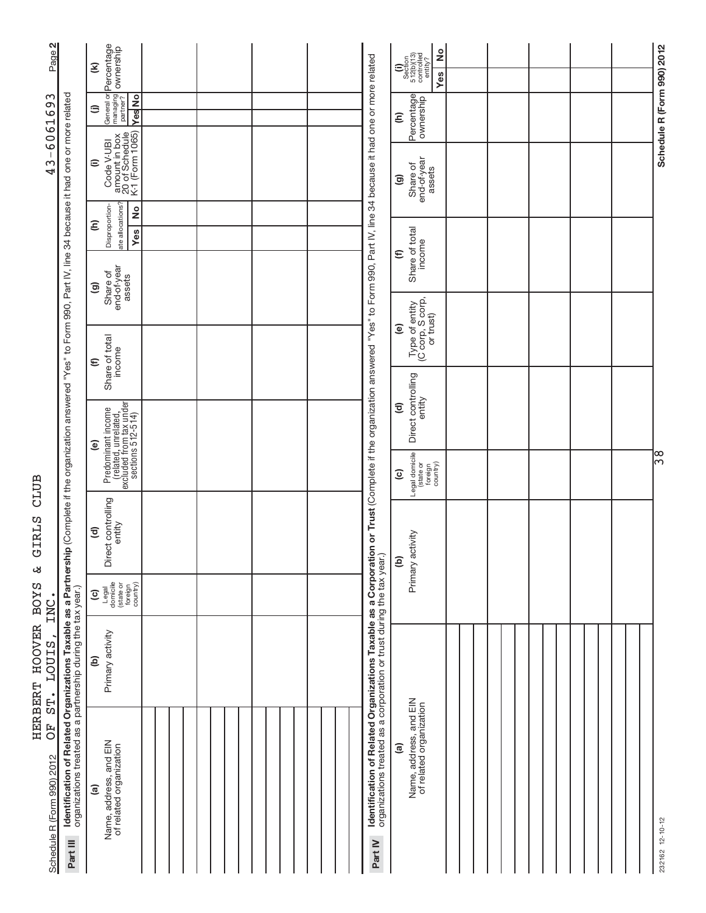| $\sim$<br>Page <sup>1</sup>                 |                                                                                                                                                                                                                                                            | Percentage<br>General or <mark>Percentage</mark><br>managing <b>ownership</b><br>partner?<br>$\widehat{\boldsymbol{\epsilon}}$ |  |  |                                                                                                                                                   | °<br>$\begin{array}{c} \textbf{(i)}\\ \text{Section}\\ 512 \text{(b)} \text{(13)}\\ \text{controlled}\\ \text{entiv} \text{?} \end{array}$<br>Yes |  |  |                            |
|---------------------------------------------|------------------------------------------------------------------------------------------------------------------------------------------------------------------------------------------------------------------------------------------------------------|--------------------------------------------------------------------------------------------------------------------------------|--|--|---------------------------------------------------------------------------------------------------------------------------------------------------|---------------------------------------------------------------------------------------------------------------------------------------------------|--|--|----------------------------|
| $\sim$<br>606169                            |                                                                                                                                                                                                                                                            | <b>Yes</b> No<br>⊜                                                                                                             |  |  |                                                                                                                                                   | Percentage<br>Ξ                                                                                                                                   |  |  | Schedule R (Form 990) 2012 |
| 43                                          |                                                                                                                                                                                                                                                            | Code V-UBI<br>$\widehat{=}$                                                                                                    |  |  | on or Trust (Complete if the organization answered "Yes" to Form 990, Part IV, line 34 because it had one or more related                         | end-of-year<br>assets<br>Share of<br>ම                                                                                                            |  |  |                            |
|                                             |                                                                                                                                                                                                                                                            | ate allocations?<br>Disproportion-<br>$\frac{1}{2}$<br>Ξ<br><b>Yes</b>                                                         |  |  |                                                                                                                                                   |                                                                                                                                                   |  |  |                            |
|                                             |                                                                                                                                                                                                                                                            | end-of-year<br>assets<br>Share of<br>ම                                                                                         |  |  |                                                                                                                                                   | Share of total<br>income<br>$\widehat{\epsilon}$                                                                                                  |  |  |                            |
|                                             |                                                                                                                                                                                                                                                            |                                                                                                                                |  |  |                                                                                                                                                   | Type of entity<br>(C corp, S corp,<br>or trust)<br>$\widehat{\mathbf{e}}$                                                                         |  |  |                            |
|                                             |                                                                                                                                                                                                                                                            | Share of total<br>income<br>$\widehat{\epsilon}$                                                                               |  |  |                                                                                                                                                   |                                                                                                                                                   |  |  |                            |
|                                             |                                                                                                                                                                                                                                                            |                                                                                                                                |  |  |                                                                                                                                                   | Direct controlling<br>entity<br>$\widehat{\mathbf{c}}$                                                                                            |  |  |                            |
|                                             |                                                                                                                                                                                                                                                            | (related, unrelated,<br>excluded from tax under<br>sections 512-514)<br>Predominant income<br>ම                                |  |  |                                                                                                                                                   |                                                                                                                                                   |  |  | ြ္က                        |
|                                             |                                                                                                                                                                                                                                                            |                                                                                                                                |  |  |                                                                                                                                                   | Legal domicile<br>(state or<br>foreign<br>country)<br>$\widehat{\mathbf{c}}$                                                                      |  |  |                            |
|                                             |                                                                                                                                                                                                                                                            | ect controlling<br>entity<br>$\widehat{\mathbf{c}}$<br>ă                                                                       |  |  |                                                                                                                                                   | Primary activity<br>ව                                                                                                                             |  |  |                            |
| INC                                         |                                                                                                                                                                                                                                                            | Legal<br>domicile<br>(state or<br>foreign<br>country)<br>$\widehat{c}$                                                         |  |  |                                                                                                                                                   |                                                                                                                                                   |  |  |                            |
| <b>LOUIS</b><br>$\bullet$                   |                                                                                                                                                                                                                                                            | Primary activity<br>ê                                                                                                          |  |  |                                                                                                                                                   |                                                                                                                                                   |  |  |                            |
| ST<br>FO<br>O<br>Schedule R (Form 990) 2012 | Identification of Related Organizations Taxable as a Partnership (Complete if the organization answered "Yes" to Form 990, Part IV, line 34 because it had one or more related<br>organizations treated as a partnership during the tax year.)<br>Part III | Name, address, and EIN<br>of related organization<br>$\widehat{a}$                                                             |  |  | Identification of Related Organizations Taxable as a Corporati<br>organizations treated as a corporation or trust during the tax year.<br>Part IV | Name, address, and EIN<br>of related organization<br><u>ි</u>                                                                                     |  |  | 232162 12-10-12            |

HERBERT HOOVER BOYS & GIRLS CLUB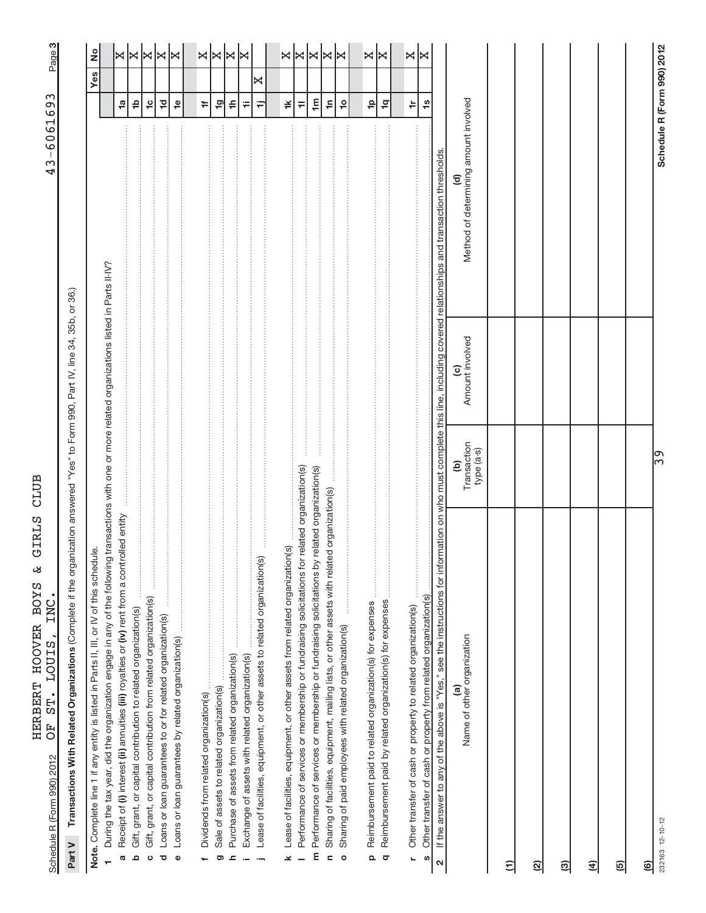|                            | וט כטנקלים<br>I<br>١<br>l |
|----------------------------|---------------------------|
|                            |                           |
|                            |                           |
| תדסות רווח                 |                           |
|                            |                           |
| ś                          | くとけ<br>ر<br>174           |
| さんこく しょうしょう ストー・コード しょうしょう | てトトトくト<br>ł               |
| į                          | 目に にく<br>$\frac{1}{2}$    |
|                            |                           |
|                            | CTCC CCTC                 |
|                            |                           |

က|

Part V Transactions With Related Organizations (Complete if the organization answered "Yes" to Form 990, Part IV, line 34, 35b, or 36.) (Complete if the organization answered "Yes" to Form 990, Part IV, line 34, 35b, or 36.) **Part V Transactions With Related Organizations** 

| نه<br>Note. Complete line 1 if any entity is listed in Parts II, III, or IV of this schedu                                                          |                                |                                   |                                                                                                    |                            | Yes | $\frac{1}{2}$     |
|-----------------------------------------------------------------------------------------------------------------------------------------------------|--------------------------------|-----------------------------------|----------------------------------------------------------------------------------------------------|----------------------------|-----|-------------------|
| During the tax year, did the organization engage in any of the following transactions with one or more related organizations listed in Parts II-IV? |                                |                                   |                                                                                                    |                            |     |                   |
| Receipt of (i) interest (ii) annuities (iii) royalties or (iv) rent from a controlled entity<br>G                                                   |                                |                                   |                                                                                                    | <b>1</b> a                 |     | $\bowtie$         |
| Gift, grant, or capital contribution to related organization(s)<br>$\Omega$                                                                         |                                |                                   |                                                                                                    | $\frac{1}{2}$              |     | ×                 |
| :<br>:<br>: : : : : : : : : :                                                                                                                       |                                |                                   |                                                                                                    | $\frac{1}{2}$              |     | $\bowtie$         |
| Gift, grant, or capital contribution from related organization(s)<br>ပ                                                                              |                                |                                   |                                                                                                    |                            |     |                   |
| Loans or loan guarantees to or for related organization(s)<br>ত                                                                                     |                                |                                   |                                                                                                    | $\overline{10}$            |     | ∣≍                |
| $\bullet$                                                                                                                                           |                                |                                   |                                                                                                    | $\frac{1}{2}$              |     | ∣≍                |
|                                                                                                                                                     |                                |                                   |                                                                                                    |                            |     |                   |
|                                                                                                                                                     |                                |                                   |                                                                                                    | ÷                          |     |                   |
|                                                                                                                                                     |                                |                                   |                                                                                                    |                            |     |                   |
| Sale of assets to related organization(s)<br>ග                                                                                                      |                                |                                   |                                                                                                    | $\overline{9}$             |     | $\times$ $\times$ |
| Purchase of assets from related organization(s)<br>ᇰ                                                                                                |                                |                                   |                                                                                                    | ≑                          |     |                   |
| Exchange of assets with related organization(s)                                                                                                     |                                |                                   |                                                                                                    | Ŧ                          |     | k                 |
| Lease of facilities, equipment, or other assets to related organization(s)                                                                          |                                |                                   |                                                                                                    | Ξ                          | ×   |                   |
|                                                                                                                                                     |                                |                                   |                                                                                                    |                            |     |                   |
| $\circledcirc$<br>Lease of facilities, equipment, or other assets from related organization<br>×                                                    |                                |                                   |                                                                                                    | ¥                          |     | X                 |
| related organization(s)<br>Performance of services or membership or fundraising solicitations for                                                   |                                |                                   |                                                                                                    | $\equiv$                   |     | k                 |
| elated organization(s)<br>m Performance of services or membership or fundraising solicitations by r                                                 |                                |                                   |                                                                                                    | $\mathbf{m}$               |     | ∣≍                |
| Sharing of facilities, equipment, mailing lists, or other assets with related organization(s)<br>c                                                  |                                |                                   |                                                                                                    | $\tilde{=}$                |     | ∣≍                |
| Sharing of paid employees with related organization(s)<br>$\circ$                                                                                   |                                |                                   |                                                                                                    | $\frac{1}{2}$              |     | ∣≍                |
| $\begin{array}{c} \vdots \\ \vdots \\ \vdots \end{array}$                                                                                           |                                |                                   |                                                                                                    |                            |     |                   |
| Reimbursement paid to related organization(s) for expenses<br>$\mathbf{\Omega}$                                                                     |                                |                                   |                                                                                                    | $\frac{\rho}{\tau}$        |     |                   |
| Reimbursement paid by related organization(s) for expenses<br>$\sigma$                                                                              |                                |                                   |                                                                                                    | $\overline{q}$             |     | ×∣×               |
|                                                                                                                                                     |                                |                                   |                                                                                                    |                            |     |                   |
| Other transfer of cash or property to related organization(s)<br>L                                                                                  |                                |                                   |                                                                                                    | $\doteq$                   |     | X                 |
|                                                                                                                                                     |                                |                                   |                                                                                                    |                            |     | ⋈                 |
| Other transfer of cash or property from related organization(s)<br>S                                                                                |                                |                                   |                                                                                                    | $\frac{3}{5}$              |     |                   |
| If the answer to any of the above is "Yes," see the instructions for infor<br>$\mathbf{\Omega}$                                                     |                                |                                   | mation on who must complete this line, including covered relationships and transaction thresholds. |                            |     |                   |
| Name of other organization<br>$\widehat{\mathbf{e}}$                                                                                                | Transaction<br>type (a-s)<br>ව | Amount involved<br>$\overline{c}$ | Method of determining amount involved<br>$\widehat{\mathbf{c}}$                                    |                            |     |                   |
| Ξ                                                                                                                                                   |                                |                                   |                                                                                                    |                            |     |                   |
| <u>(ମ</u>                                                                                                                                           |                                |                                   |                                                                                                    |                            |     |                   |
|                                                                                                                                                     |                                |                                   |                                                                                                    |                            |     |                   |
| ම                                                                                                                                                   |                                |                                   |                                                                                                    |                            |     |                   |
| €                                                                                                                                                   |                                |                                   |                                                                                                    |                            |     |                   |
| ල)                                                                                                                                                  |                                |                                   |                                                                                                    |                            |     |                   |
| $\circledcirc$                                                                                                                                      |                                |                                   |                                                                                                    |                            |     |                   |
| 232163 12-10-12                                                                                                                                     | ြွာ                            |                                   |                                                                                                    | Schedule R (Form 990) 2012 |     |                   |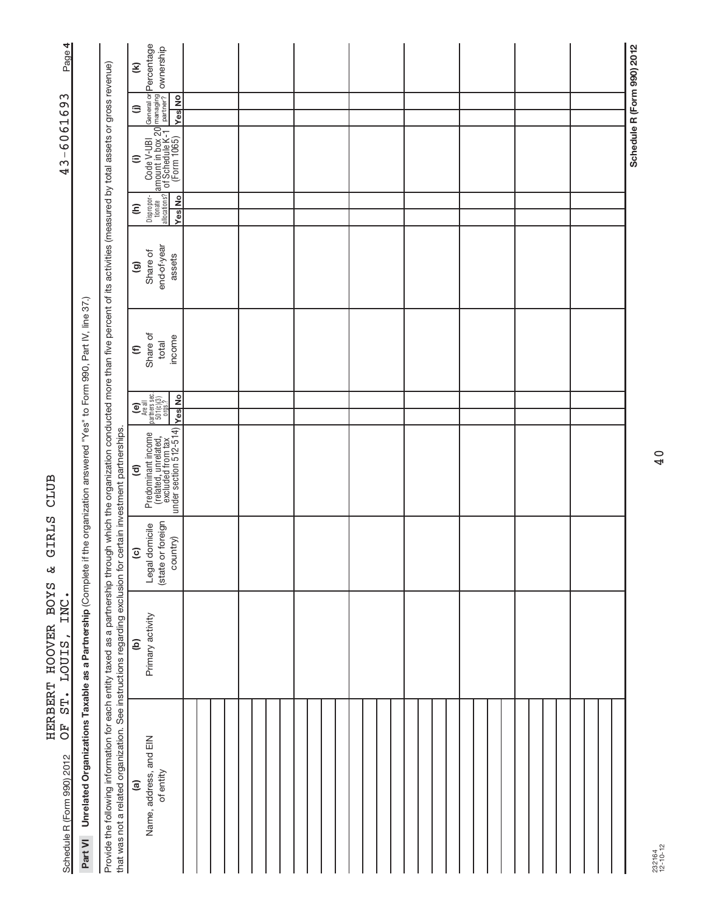| Page 4                                              |                                                                       |                                                                                                                                                                                                                                                                                                                          | $\mathbf{\widehat{\epsilon}}$                                                                                                                                                                                                                                                                        |  |  |  |  |  |  |  |  |  |  | Schedule R (Form 990) 2012 |
|-----------------------------------------------------|-----------------------------------------------------------------------|--------------------------------------------------------------------------------------------------------------------------------------------------------------------------------------------------------------------------------------------------------------------------------------------------------------------------|------------------------------------------------------------------------------------------------------------------------------------------------------------------------------------------------------------------------------------------------------------------------------------------------------|--|--|--|--|--|--|--|--|--|--|----------------------------|
|                                                     |                                                                       |                                                                                                                                                                                                                                                                                                                          | <b>Yes</b> No<br>⊜                                                                                                                                                                                                                                                                                   |  |  |  |  |  |  |  |  |  |  |                            |
| 43-6061693                                          |                                                                       |                                                                                                                                                                                                                                                                                                                          | Dispropr- Code V-UBI General or Percentage<br>tionate amount in box 20 managing<br>allocations? of Schedule K-1 Derther? Ownership<br>Yes No (Form 1065) Yes No<br>$\widehat{=}$                                                                                                                     |  |  |  |  |  |  |  |  |  |  |                            |
|                                                     |                                                                       |                                                                                                                                                                                                                                                                                                                          | <b>Yes</b> No<br>Ξ                                                                                                                                                                                                                                                                                   |  |  |  |  |  |  |  |  |  |  |                            |
|                                                     |                                                                       |                                                                                                                                                                                                                                                                                                                          | end-of-year<br>Share of<br>assets<br>ම                                                                                                                                                                                                                                                               |  |  |  |  |  |  |  |  |  |  |                            |
|                                                     |                                                                       |                                                                                                                                                                                                                                                                                                                          | Share of<br>income<br>total<br>$\epsilon$                                                                                                                                                                                                                                                            |  |  |  |  |  |  |  |  |  |  |                            |
|                                                     |                                                                       |                                                                                                                                                                                                                                                                                                                          | $\begin{bmatrix} \mathbf{e} \\ \mathbf{h} \end{bmatrix}$<br>Are all<br>partners sec.<br>501(c)(3)<br>orgs.?<br><b>Yes</b> No                                                                                                                                                                         |  |  |  |  |  |  |  |  |  |  |                            |
| CLUB                                                | the organization answered "Yes" to Form 990, Part IV, line 37.)       |                                                                                                                                                                                                                                                                                                                          | $\begin{tabular}{ p c } \hline \textbf{Predominant income} & \textbf{else} \\ \hline \textbf{(related, unrelated, t)} & \textbf{else} \\ \hline \textbf{excluded from tax} & \textbf{else} \\ \hline \textbf{not section 512-514) & \textbf{else} \\ \hline \end{tabular}$<br>$\widehat{\mathbf{c}}$ |  |  |  |  |  |  |  |  |  |  |                            |
| GIRLS<br>لان                                        |                                                                       |                                                                                                                                                                                                                                                                                                                          | (state or foreign<br>Legal domicile<br>country)<br>$\overline{c}$                                                                                                                                                                                                                                    |  |  |  |  |  |  |  |  |  |  |                            |
| HERBERT HOOVER BOYS<br>INC.<br><b>LOUIS</b>         |                                                                       |                                                                                                                                                                                                                                                                                                                          | Primary activity<br>$\widehat{e}$                                                                                                                                                                                                                                                                    |  |  |  |  |  |  |  |  |  |  |                            |
| ST.<br>F <sub>O</sub><br>Schedule R (Form 990) 2012 | Part VI Unrelated Organizations Taxable as a Partnership (Complete if | Provide the following information for each entity taxed as a partnership through which the organization conducted more than five percent of its activities (measured by total assets or gross revenue)<br>that was not a related organization. See instructions regarding exclusion for certain investment partnerships. | Name, address, and EIN<br>of entity<br>$\widehat{a}$                                                                                                                                                                                                                                                 |  |  |  |  |  |  |  |  |  |  |                            |

# $43 - 6061693$